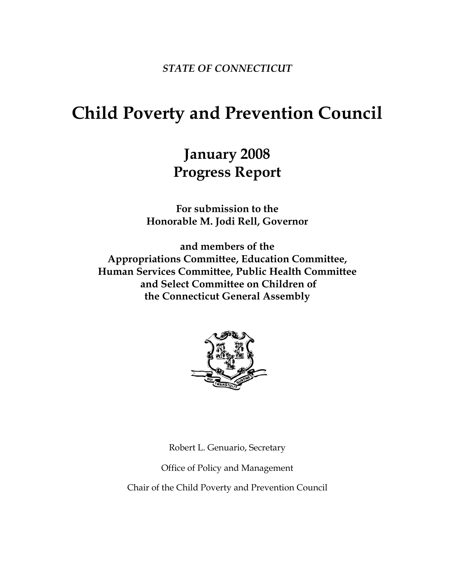*STATE OF CONNECTICUT* 

# **Child Poverty and Prevention Council**

# **January 2008 Progress Report**

**For submission to the Honorable M. Jodi Rell, Governor** 

**and members of the Appropriations Committee, Education Committee, Human Services Committee, Public Health Committee and Select Committee on Children of the Connecticut General Assembly** 



Robert L. Genuario, Secretary

Office of Policy and Management

Chair of the Child Poverty and Prevention Council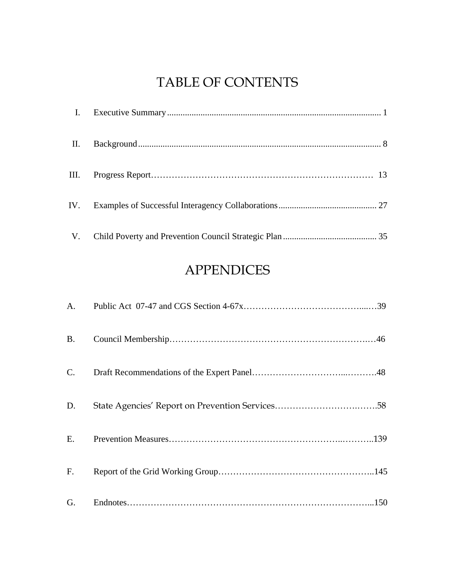# TABLE OF CONTENTS

| П. |  |
|----|--|
|    |  |
|    |  |
|    |  |

# APPENDICES

| A.          |  |
|-------------|--|
| <b>B.</b>   |  |
| C.          |  |
| D.          |  |
| E.          |  |
| $F_{\cdot}$ |  |
| G.          |  |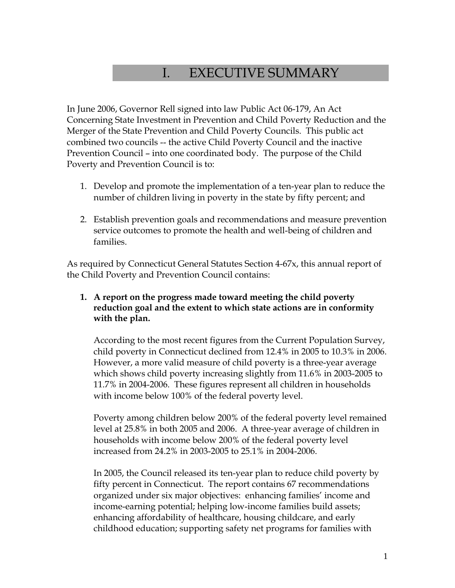# I. EXECUTIVE SUMMARY

In June 2006, Governor Rell signed into law Public Act 06-179, An Act Concerning State Investment in Prevention and Child Poverty Reduction and the Merger of the State Prevention and Child Poverty Councils. This public act combined two councils -- the active Child Poverty Council and the inactive Prevention Council – into one coordinated body. The purpose of the Child Poverty and Prevention Council is to:

- 1. Develop and promote the implementation of a ten-year plan to reduce the number of children living in poverty in the state by fifty percent; and
- 2. Establish prevention goals and recommendations and measure prevention service outcomes to promote the health and well-being of children and families.

As required by Connecticut General Statutes Section 4-67x, this annual report of the Child Poverty and Prevention Council contains:

#### **1. A report on the progress made toward meeting the child poverty reduction goal and the extent to which state actions are in conformity with the plan.**

According to the most recent figures from the Current Population Survey, child poverty in Connecticut declined from 12.4% in 2005 to 10.3% in 2006. However, a more valid measure of child poverty is a three-year average which shows child poverty increasing slightly from 11.6% in 2003-2005 to 11.7% in 2004-2006. These figures represent all children in households with income below 100% of the federal poverty level.

Poverty among children below 200% of the federal poverty level remained level at 25.8% in both 2005 and 2006. A three-year average of children in households with income below 200% of the federal poverty level increased from 24.2% in 2003-2005 to 25.1% in 2004-2006.

In 2005, the Council released its ten-year plan to reduce child poverty by fifty percent in Connecticut. The report contains 67 recommendations organized under six major objectives: enhancing families' income and income-earning potential; helping low-income families build assets; enhancing affordability of healthcare, housing childcare, and early childhood education; supporting safety net programs for families with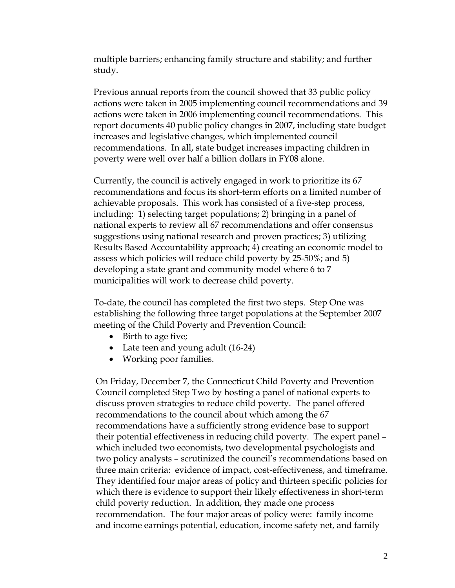multiple barriers; enhancing family structure and stability; and further study.

Previous annual reports from the council showed that 33 public policy actions were taken in 2005 implementing council recommendations and 39 actions were taken in 2006 implementing council recommendations. This report documents 40 public policy changes in 2007, including state budget increases and legislative changes, which implemented council recommendations. In all, state budget increases impacting children in poverty were well over half a billion dollars in FY08 alone.

Currently, the council is actively engaged in work to prioritize its 67 recommendations and focus its short-term efforts on a limited number of achievable proposals. This work has consisted of a five-step process, including: 1) selecting target populations; 2) bringing in a panel of national experts to review all 67 recommendations and offer consensus suggestions using national research and proven practices; 3) utilizing Results Based Accountability approach; 4) creating an economic model to assess which policies will reduce child poverty by 25-50%; and 5) developing a state grant and community model where 6 to 7 municipalities will work to decrease child poverty.

To-date, the council has completed the first two steps. Step One was establishing the following three target populations at the September 2007 meeting of the Child Poverty and Prevention Council:

- Birth to age five;
- Late teen and young adult (16-24)
- Working poor families.

On Friday, December 7, the Connecticut Child Poverty and Prevention Council completed Step Two by hosting a panel of national experts to discuss proven strategies to reduce child poverty. The panel offered recommendations to the council about which among the 67 recommendations have a sufficiently strong evidence base to support their potential effectiveness in reducing child poverty. The expert panel – which included two economists, two developmental psychologists and two policy analysts – scrutinized the council's recommendations based on three main criteria: evidence of impact, cost-effectiveness, and timeframe. They identified four major areas of policy and thirteen specific policies for which there is evidence to support their likely effectiveness in short-term child poverty reduction. In addition, they made one process recommendation. The four major areas of policy were: family income and income earnings potential, education, income safety net, and family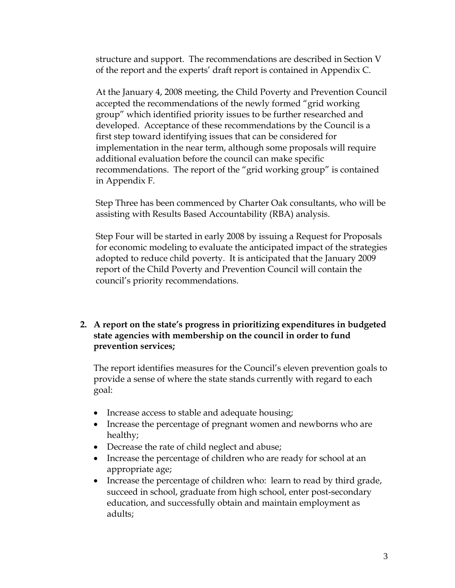structure and support. The recommendations are described in Section V of the report and the experts' draft report is contained in Appendix C.

At the January 4, 2008 meeting, the Child Poverty and Prevention Council accepted the recommendations of the newly formed "grid working group" which identified priority issues to be further researched and developed. Acceptance of these recommendations by the Council is a first step toward identifying issues that can be considered for implementation in the near term, although some proposals will require additional evaluation before the council can make specific recommendations. The report of the "grid working group" is contained in Appendix F.

Step Three has been commenced by Charter Oak consultants, who will be assisting with Results Based Accountability (RBA) analysis.

Step Four will be started in early 2008 by issuing a Request for Proposals for economic modeling to evaluate the anticipated impact of the strategies adopted to reduce child poverty. It is anticipated that the January 2009 report of the Child Poverty and Prevention Council will contain the council's priority recommendations.

**2. A report on the state's progress in prioritizing expenditures in budgeted state agencies with membership on the council in order to fund prevention services;** 

The report identifies measures for the Council's eleven prevention goals to provide a sense of where the state stands currently with regard to each goal:

- Increase access to stable and adequate housing;
- Increase the percentage of pregnant women and newborns who are healthy;
- Decrease the rate of child neglect and abuse;
- Increase the percentage of children who are ready for school at an appropriate age;
- Increase the percentage of children who: learn to read by third grade, succeed in school, graduate from high school, enter post-secondary education, and successfully obtain and maintain employment as adults;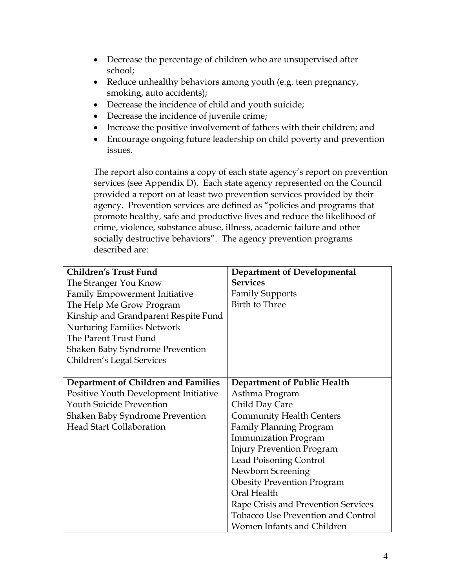- Decrease the percentage of children who are unsupervised after school;
- Reduce unhealthy behaviors among youth (e.g. teen pregnancy, smoking, auto accidents);
- Decrease the incidence of child and youth suicide;
- Decrease the incidence of juvenile crime;
- Increase the positive involvement of fathers with their children; and
- Encourage ongoing future leadership on child poverty and prevention issues.

The report also contains a copy of each state agency's report on prevention services (see Appendix D). Each state agency represented on the Council provided a report on at least two prevention services provided by their agency. Prevention services are defined as "policies and programs that promote healthy, safe and productive lives and reduce the likelihood of crime, violence, substance abuse, illness, academic failure and other socially destructive behaviors". The agency prevention programs described are:

| <b>Children's Trust Fund</b>           | <b>Department of Developmental</b>        |
|----------------------------------------|-------------------------------------------|
| The Stranger You Know                  | <b>Services</b>                           |
| Family Empowerment Initiative          | <b>Family Supports</b>                    |
| The Help Me Grow Program               | Birth to Three                            |
| Kinship and Grandparent Respite Fund   |                                           |
| <b>Nurturing Families Network</b>      |                                           |
| The Parent Trust Fund                  |                                           |
| <b>Shaken Baby Syndrome Prevention</b> |                                           |
| Children's Legal Services              |                                           |
|                                        |                                           |
| Department of Children and Families    | Department of Public Health               |
| Positive Youth Development Initiative  | Asthma Program                            |
| <b>Youth Suicide Prevention</b>        | Child Day Care                            |
| <b>Shaken Baby Syndrome Prevention</b> | <b>Community Health Centers</b>           |
| <b>Head Start Collaboration</b>        | <b>Family Planning Program</b>            |
|                                        | <b>Immunization Program</b>               |
|                                        | <b>Injury Prevention Program</b>          |
|                                        | <b>Lead Poisoning Control</b>             |
|                                        | Newborn Screening                         |
|                                        | <b>Obesity Prevention Program</b>         |
|                                        | Oral Health                               |
|                                        | Rape Crisis and Prevention Services       |
|                                        | <b>Tobacco Use Prevention and Control</b> |
|                                        | Women Infants and Children                |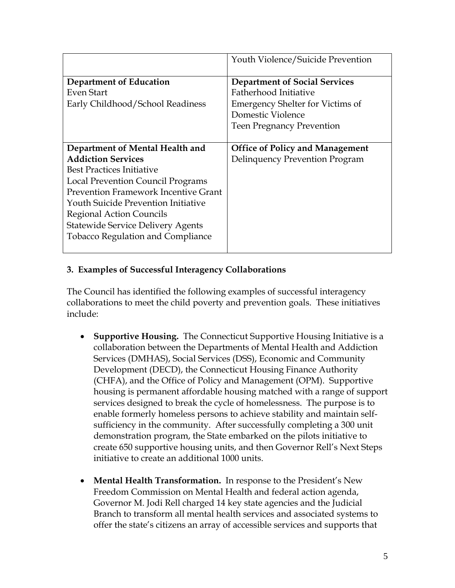|                                                                           | Youth Violence/Suicide Prevention                                                                                                                                 |
|---------------------------------------------------------------------------|-------------------------------------------------------------------------------------------------------------------------------------------------------------------|
| Department of Education<br>Even Start<br>Early Childhood/School Readiness | <b>Department of Social Services</b><br>Fatherhood Initiative<br><b>Emergency Shelter for Victims of</b><br>Domestic Violence<br><b>Teen Pregnancy Prevention</b> |
| Department of Mental Health and                                           | <b>Office of Policy and Management</b>                                                                                                                            |
| <b>Addiction Services</b>                                                 | Delinquency Prevention Program                                                                                                                                    |
| <b>Best Practices Initiative</b>                                          |                                                                                                                                                                   |
|                                                                           |                                                                                                                                                                   |
| Local Prevention Council Programs                                         |                                                                                                                                                                   |
| <b>Prevention Framework Incentive Grant</b>                               |                                                                                                                                                                   |
| <b>Youth Suicide Prevention Initiative</b>                                |                                                                                                                                                                   |
| Regional Action Councils                                                  |                                                                                                                                                                   |
| <b>Statewide Service Delivery Agents</b>                                  |                                                                                                                                                                   |
| <b>Tobacco Regulation and Compliance</b>                                  |                                                                                                                                                                   |

### **3. Examples of Successful Interagency Collaborations**

The Council has identified the following examples of successful interagency collaborations to meet the child poverty and prevention goals. These initiatives include:

- **Supportive Housing.** The Connecticut Supportive Housing Initiative is a collaboration between the Departments of Mental Health and Addiction Services (DMHAS), Social Services (DSS), Economic and Community Development (DECD), the Connecticut Housing Finance Authority (CHFA), and the Office of Policy and Management (OPM). Supportive housing is permanent affordable housing matched with a range of support services designed to break the cycle of homelessness. The purpose is to enable formerly homeless persons to achieve stability and maintain selfsufficiency in the community. After successfully completing a 300 unit demonstration program, the State embarked on the pilots initiative to create 650 supportive housing units, and then Governor Rell's Next Steps initiative to create an additional 1000 units.
- **Mental Health Transformation.** In response to the President's New Freedom Commission on Mental Health and federal action agenda, Governor M. Jodi Rell charged 14 key state agencies and the Judicial Branch to transform all mental health services and associated systems to offer the state's citizens an array of accessible services and supports that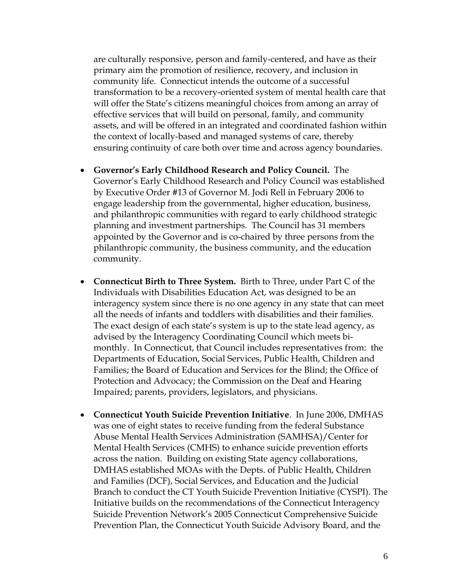are culturally responsive, person and family-centered, and have as their primary aim the promotion of resilience, recovery, and inclusion in community life. Connecticut intends the outcome of a successful transformation to be a recovery-oriented system of mental health care that will offer the State's citizens meaningful choices from among an array of effective services that will build on personal, family, and community assets, and will be offered in an integrated and coordinated fashion within the context of locally-based and managed systems of care, thereby ensuring continuity of care both over time and across agency boundaries.

- **Governor's Early Childhood Research and Policy Council.** The Governor's Early Childhood Research and Policy Council was established by Executive Order #13 of Governor M. Jodi Rell in February 2006 to engage leadership from the governmental, higher education, business, and philanthropic communities with regard to early childhood strategic planning and investment partnerships. The Council has 31 members appointed by the Governor and is co-chaired by three persons from the philanthropic community, the business community, and the education community.
- **Connecticut Birth to Three System.** Birth to Three, under Part C of the Individuals with Disabilities Education Act, was designed to be an interagency system since there is no one agency in any state that can meet all the needs of infants and toddlers with disabilities and their families. The exact design of each state's system is up to the state lead agency, as advised by the Interagency Coordinating Council which meets bimonthly. In Connecticut, that Council includes representatives from: the Departments of Education, Social Services, Public Health, Children and Families; the Board of Education and Services for the Blind; the Office of Protection and Advocacy; the Commission on the Deaf and Hearing Impaired; parents, providers, legislators, and physicians.
- **Connecticut Youth Suicide Prevention Initiative**. In June 2006, DMHAS was one of eight states to receive funding from the federal Substance Abuse Mental Health Services Administration (SAMHSA)/Center for Mental Health Services (CMHS) to enhance suicide prevention efforts across the nation. Building on existing State agency collaborations, DMHAS established MOAs with the Depts. of Public Health, Children and Families (DCF), Social Services, and Education and the Judicial Branch to conduct the CT Youth Suicide Prevention Initiative (CYSPI). The Initiative builds on the recommendations of the Connecticut Interagency Suicide Prevention Network's 2005 Connecticut Comprehensive Suicide Prevention Plan, the Connecticut Youth Suicide Advisory Board, and the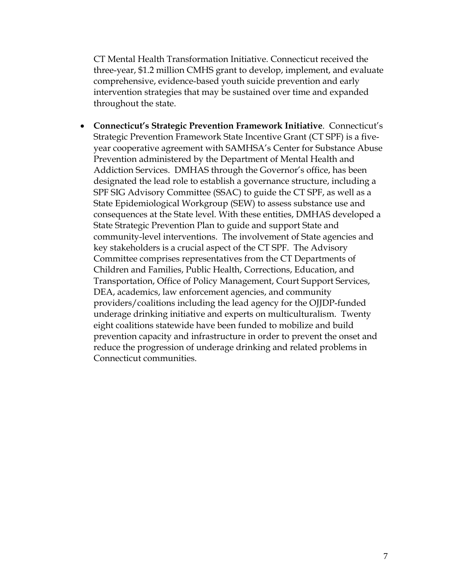CT Mental Health Transformation Initiative. Connecticut received the three-year, \$1.2 million CMHS grant to develop, implement, and evaluate comprehensive, evidence-based youth suicide prevention and early intervention strategies that may be sustained over time and expanded throughout the state.

• **Connecticut's Strategic Prevention Framework Initiative**. Connecticut's Strategic Prevention Framework State Incentive Grant (CT SPF) is a fiveyear cooperative agreement with SAMHSA's Center for Substance Abuse Prevention administered by the Department of Mental Health and Addiction Services. DMHAS through the Governor's office, has been designated the lead role to establish a governance structure, including a SPF SIG Advisory Committee (SSAC) to guide the CT SPF, as well as a State Epidemiological Workgroup (SEW) to assess substance use and consequences at the State level. With these entities, DMHAS developed a State Strategic Prevention Plan to guide and support State and community-level interventions. The involvement of State agencies and key stakeholders is a crucial aspect of the CT SPF. The Advisory Committee comprises representatives from the CT Departments of Children and Families, Public Health, Corrections, Education, and Transportation, Office of Policy Management, Court Support Services, DEA, academics, law enforcement agencies, and community providers/coalitions including the lead agency for the OJJDP-funded underage drinking initiative and experts on multiculturalism. Twenty eight coalitions statewide have been funded to mobilize and build prevention capacity and infrastructure in order to prevent the onset and reduce the progression of underage drinking and related problems in Connecticut communities.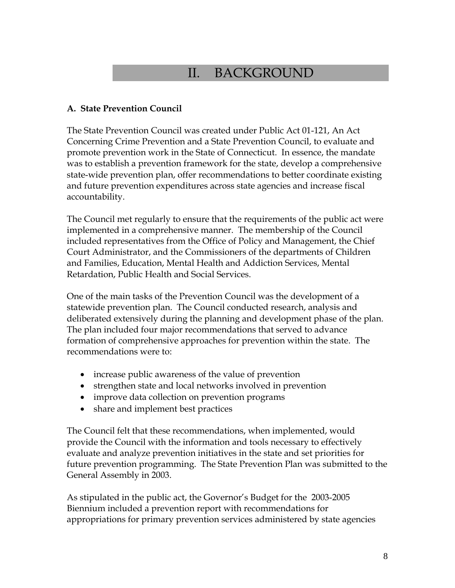# II. BACKGROUND

#### **A. State Prevention Council**

The State Prevention Council was created under Public Act 01-121, An Act Concerning Crime Prevention and a State Prevention Council, to evaluate and promote prevention work in the State of Connecticut. In essence, the mandate was to establish a prevention framework for the state, develop a comprehensive state-wide prevention plan, offer recommendations to better coordinate existing and future prevention expenditures across state agencies and increase fiscal accountability.

The Council met regularly to ensure that the requirements of the public act were implemented in a comprehensive manner. The membership of the Council included representatives from the Office of Policy and Management, the Chief Court Administrator, and the Commissioners of the departments of Children and Families, Education, Mental Health and Addiction Services, Mental Retardation, Public Health and Social Services.

One of the main tasks of the Prevention Council was the development of a statewide prevention plan. The Council conducted research, analysis and deliberated extensively during the planning and development phase of the plan. The plan included four major recommendations that served to advance formation of comprehensive approaches for prevention within the state. The recommendations were to:

- increase public awareness of the value of prevention
- strengthen state and local networks involved in prevention
- improve data collection on prevention programs
- share and implement best practices

The Council felt that these recommendations, when implemented, would provide the Council with the information and tools necessary to effectively evaluate and analyze prevention initiatives in the state and set priorities for future prevention programming. The State Prevention Plan was submitted to the General Assembly in 2003.

As stipulated in the public act, the Governor's Budget for the 2003-2005 Biennium included a prevention report with recommendations for appropriations for primary prevention services administered by state agencies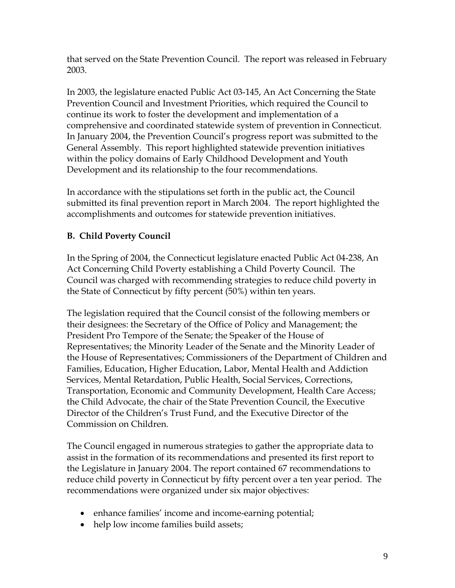that served on the State Prevention Council. The report was released in February 2003.

In 2003, the legislature enacted Public Act 03-145, An Act Concerning the State Prevention Council and Investment Priorities, which required the Council to continue its work to foster the development and implementation of a comprehensive and coordinated statewide system of prevention in Connecticut. In January 2004, the Prevention Council's progress report was submitted to the General Assembly. This report highlighted statewide prevention initiatives within the policy domains of Early Childhood Development and Youth Development and its relationship to the four recommendations.

In accordance with the stipulations set forth in the public act, the Council submitted its final prevention report in March 2004. The report highlighted the accomplishments and outcomes for statewide prevention initiatives.

## **B. Child Poverty Council**

In the Spring of 2004, the Connecticut legislature enacted Public Act 04-238, An Act Concerning Child Poverty establishing a Child Poverty Council. The Council was charged with recommending strategies to reduce child poverty in the State of Connecticut by fifty percent (50%) within ten years.

The legislation required that the Council consist of the following members or their designees: the Secretary of the Office of Policy and Management; the President Pro Tempore of the Senate; the Speaker of the House of Representatives; the Minority Leader of the Senate and the Minority Leader of the House of Representatives; Commissioners of the Department of Children and Families, Education, Higher Education, Labor, Mental Health and Addiction Services, Mental Retardation, Public Health, Social Services, Corrections, Transportation, Economic and Community Development, Health Care Access; the Child Advocate, the chair of the State Prevention Council, the Executive Director of the Children's Trust Fund, and the Executive Director of the Commission on Children.

The Council engaged in numerous strategies to gather the appropriate data to assist in the formation of its recommendations and presented its first report to the Legislature in January 2004. The report contained 67 recommendations to reduce child poverty in Connecticut by fifty percent over a ten year period. The recommendations were organized under six major objectives:

- enhance families' income and income-earning potential;
- help low income families build assets;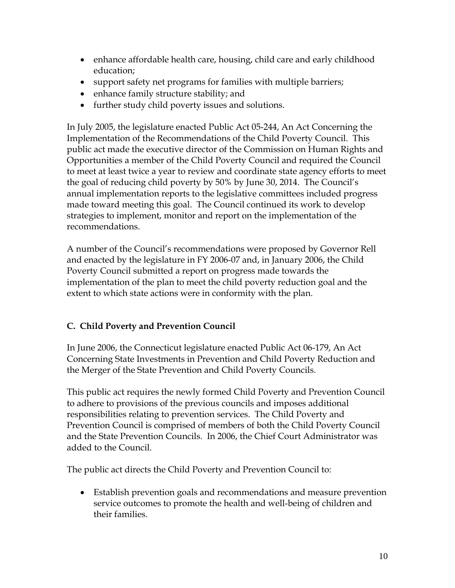- enhance affordable health care, housing, child care and early childhood education;
- support safety net programs for families with multiple barriers;
- enhance family structure stability; and
- further study child poverty issues and solutions.

In July 2005, the legislature enacted Public Act 05-244, An Act Concerning the Implementation of the Recommendations of the Child Poverty Council. This public act made the executive director of the Commission on Human Rights and Opportunities a member of the Child Poverty Council and required the Council to meet at least twice a year to review and coordinate state agency efforts to meet the goal of reducing child poverty by 50% by June 30, 2014. The Council's annual implementation reports to the legislative committees included progress made toward meeting this goal. The Council continued its work to develop strategies to implement, monitor and report on the implementation of the recommendations.

A number of the Council's recommendations were proposed by Governor Rell and enacted by the legislature in FY 2006-07 and, in January 2006, the Child Poverty Council submitted a report on progress made towards the implementation of the plan to meet the child poverty reduction goal and the extent to which state actions were in conformity with the plan.

### **C. Child Poverty and Prevention Council**

In June 2006, the Connecticut legislature enacted Public Act 06-179, An Act Concerning State Investments in Prevention and Child Poverty Reduction and the Merger of the State Prevention and Child Poverty Councils.

This public act requires the newly formed Child Poverty and Prevention Council to adhere to provisions of the previous councils and imposes additional responsibilities relating to prevention services. The Child Poverty and Prevention Council is comprised of members of both the Child Poverty Council and the State Prevention Councils. In 2006, the Chief Court Administrator was added to the Council.

The public act directs the Child Poverty and Prevention Council to:

• Establish prevention goals and recommendations and measure prevention service outcomes to promote the health and well-being of children and their families.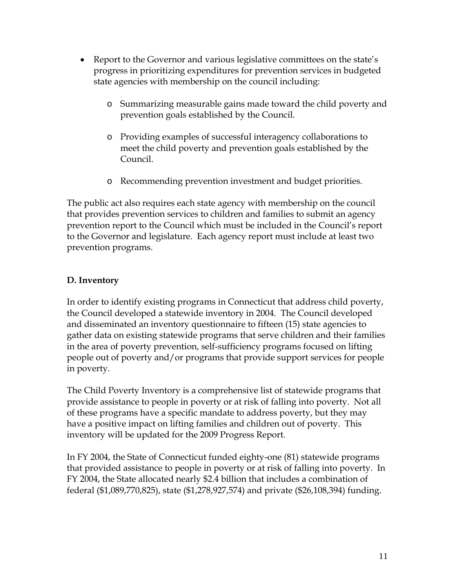- Report to the Governor and various legislative committees on the state's progress in prioritizing expenditures for prevention services in budgeted state agencies with membership on the council including:
	- o Summarizing measurable gains made toward the child poverty and prevention goals established by the Council.
	- o Providing examples of successful interagency collaborations to meet the child poverty and prevention goals established by the Council.
	- o Recommending prevention investment and budget priorities.

The public act also requires each state agency with membership on the council that provides prevention services to children and families to submit an agency prevention report to the Council which must be included in the Council's report to the Governor and legislature. Each agency report must include at least two prevention programs.

### **D. Inventory**

In order to identify existing programs in Connecticut that address child poverty, the Council developed a statewide inventory in 2004. The Council developed and disseminated an inventory questionnaire to fifteen (15) state agencies to gather data on existing statewide programs that serve children and their families in the area of poverty prevention, self-sufficiency programs focused on lifting people out of poverty and/or programs that provide support services for people in poverty.

The Child Poverty Inventory is a comprehensive list of statewide programs that provide assistance to people in poverty or at risk of falling into poverty. Not all of these programs have a specific mandate to address poverty, but they may have a positive impact on lifting families and children out of poverty. This inventory will be updated for the 2009 Progress Report.

In FY 2004, the State of Connecticut funded eighty-one (81) statewide programs that provided assistance to people in poverty or at risk of falling into poverty. In FY 2004, the State allocated nearly \$2.4 billion that includes a combination of federal (\$1,089,770,825), state (\$1,278,927,574) and private (\$26,108,394) funding.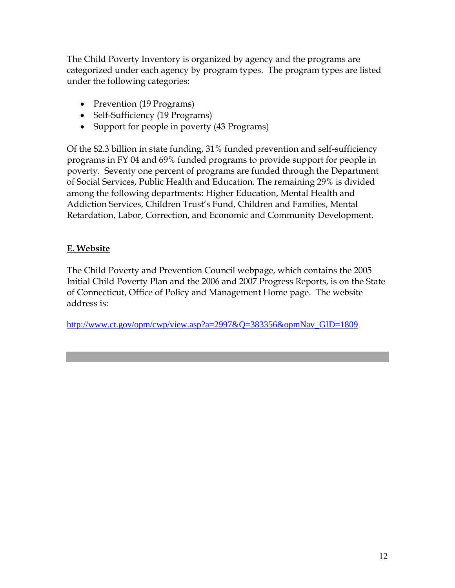The Child Poverty Inventory is organized by agency and the programs are categorized under each agency by program types. The program types are listed under the following categories:

- Prevention (19 Programs)
- Self-Sufficiency (19 Programs)
- Support for people in poverty (43 Programs)

Of the \$2.3 billion in state funding, 31% funded prevention and self-sufficiency programs in FY 04 and 69% funded programs to provide support for people in poverty. Seventy one percent of programs are funded through the Department of Social Services, Public Health and Education. The remaining 29% is divided among the following departments: Higher Education, Mental Health and Addiction Services, Children Trust's Fund, Children and Families, Mental Retardation, Labor, Correction, and Economic and Community Development.

### **E. Website**

The Child Poverty and Prevention Council webpage, which contains the 2005 Initial Child Poverty Plan and the 2006 and 2007 Progress Reports, is on the State of Connecticut, Office of Policy and Management Home page. The website address is:

[http://www.ct.gov/opm/cwp/view.asp?a=2997&Q=383356&opmNav\\_GID=1809](http://www.ct.gov/opm/cwp/view.asp?a=2997&Q=383356&opmNav_GID=1809)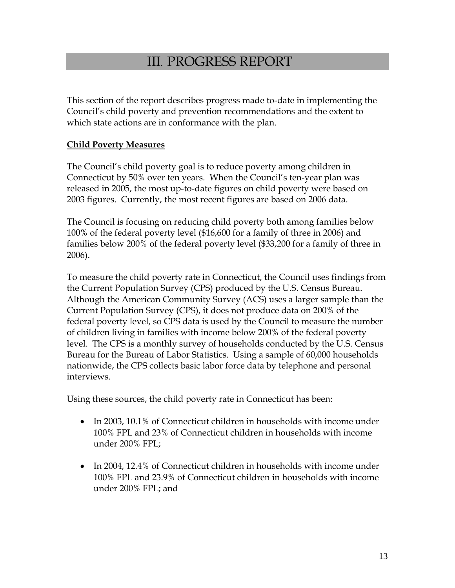# III. PROGRESS REPORT

This section of the report describes progress made to-date in implementing the Council's child poverty and prevention recommendations and the extent to which state actions are in conformance with the plan.

#### **Child Poverty Measures**

The Council's child poverty goal is to reduce poverty among children in Connecticut by 50% over ten years. When the Council's ten-year plan was released in 2005, the most up-to-date figures on child poverty were based on 2003 figures. Currently, the most recent figures are based on 2006 data.

The Council is focusing on reducing child poverty both among families below 100% of the federal poverty level (\$16,600 for a family of three in 2006) and families below 200% of the federal poverty level (\$33,200 for a family of three in 2006).

To measure the child poverty rate in Connecticut, the Council uses findings from the Current Population Survey (CPS) produced by the U.S. Census Bureau. Although the American Community Survey (ACS) uses a larger sample than the Current Population Survey (CPS), it does not produce data on 200% of the federal poverty level, so CPS data is used by the Council to measure the number of children living in families with income below 200% of the federal poverty level. The CPS is a monthly survey of households conducted by the U.S. Census Bureau for the Bureau of Labor Statistics. Using a sample of 60,000 households nationwide, the CPS collects basic labor force data by telephone and personal interviews.

Using these sources, the child poverty rate in Connecticut has been:

- In 2003, 10.1% of Connecticut children in households with income under 100% FPL and 23% of Connecticut children in households with income under 200% FPL;
- In 2004, 12.4% of Connecticut children in households with income under 100% FPL and 23.9% of Connecticut children in households with income under 200% FPL; and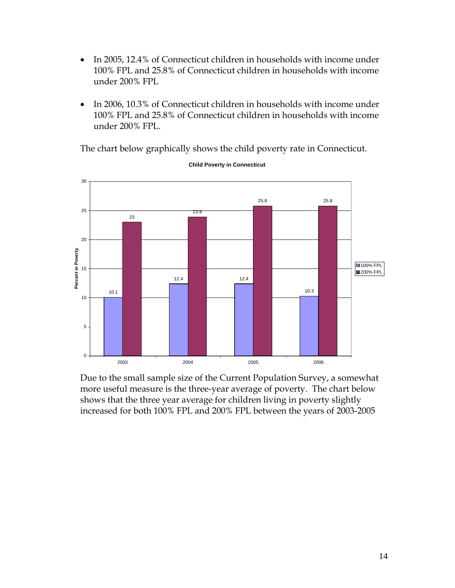- In 2005, 12.4% of Connecticut children in households with income under 100% FPL and 25.8% of Connecticut children in households with income under 200% FPL
- In 2006, 10.3% of Connecticut children in households with income under 100% FPL and 25.8% of Connecticut children in households with income under 200% FPL.

The chart below graphically shows the child poverty rate in Connecticut.



**Child Poverty in Connecticut**

Due to the small sample size of the Current Population Survey, a somewhat more useful measure is the three-year average of poverty. The chart below shows that the three year average for children living in poverty slightly increased for both 100% FPL and 200% FPL between the years of 2003-2005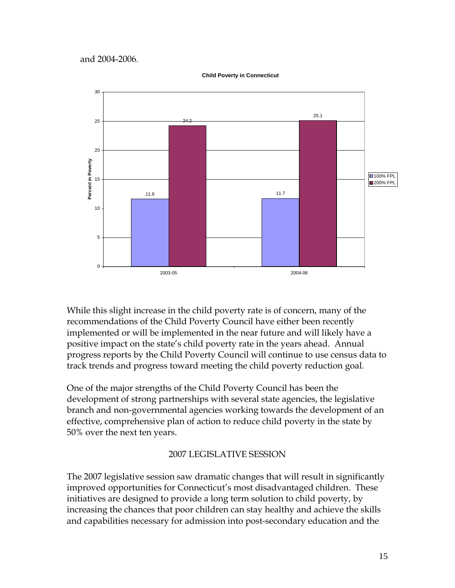and 2004-2006.



**Child Poverty in Connecticut**

While this slight increase in the child poverty rate is of concern, many of the recommendations of the Child Poverty Council have either been recently implemented or will be implemented in the near future and will likely have a positive impact on the state's child poverty rate in the years ahead. Annual progress reports by the Child Poverty Council will continue to use census data to track trends and progress toward meeting the child poverty reduction goal.

One of the major strengths of the Child Poverty Council has been the development of strong partnerships with several state agencies, the legislative branch and non-governmental agencies working towards the development of an effective, comprehensive plan of action to reduce child poverty in the state by 50% over the next ten years.

#### 2007 LEGISLATIVE SESSION

The 2007 legislative session saw dramatic changes that will result in significantly improved opportunities for Connecticut's most disadvantaged children. These initiatives are designed to provide a long term solution to child poverty, by increasing the chances that poor children can stay healthy and achieve the skills and capabilities necessary for admission into post-secondary education and the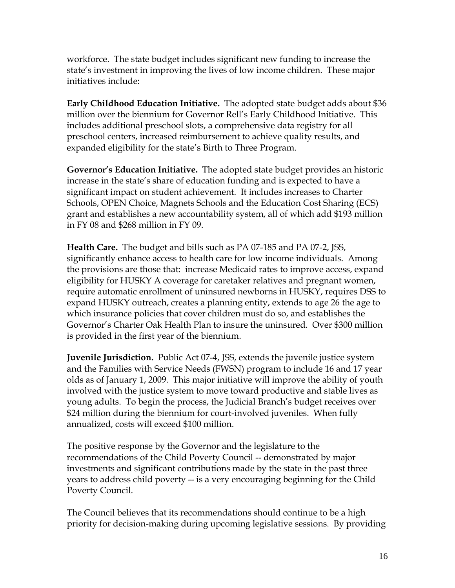workforce. The state budget includes significant new funding to increase the state's investment in improving the lives of low income children. These major initiatives include:

**Early Childhood Education Initiative.** The adopted state budget adds about \$36 million over the biennium for Governor Rell's Early Childhood Initiative. This includes additional preschool slots, a comprehensive data registry for all preschool centers, increased reimbursement to achieve quality results, and expanded eligibility for the state's Birth to Three Program.

**Governor's Education Initiative.** The adopted state budget provides an historic increase in the state's share of education funding and is expected to have a significant impact on student achievement. It includes increases to Charter Schools, OPEN Choice, Magnets Schools and the Education Cost Sharing (ECS) grant and establishes a new accountability system, all of which add \$193 million in FY 08 and \$268 million in FY 09.

**Health Care.** The budget and bills such as PA 07-185 and PA 07-2, JSS, significantly enhance access to health care for low income individuals. Among the provisions are those that: increase Medicaid rates to improve access, expand eligibility for HUSKY A coverage for caretaker relatives and pregnant women, require automatic enrollment of uninsured newborns in HUSKY, requires DSS to expand HUSKY outreach, creates a planning entity, extends to age 26 the age to which insurance policies that cover children must do so, and establishes the Governor's Charter Oak Health Plan to insure the uninsured. Over \$300 million is provided in the first year of the biennium.

**Juvenile Jurisdiction.** Public Act 07-4, JSS, extends the juvenile justice system and the Families with Service Needs (FWSN) program to include 16 and 17 year olds as of January 1, 2009. This major initiative will improve the ability of youth involved with the justice system to move toward productive and stable lives as young adults. To begin the process, the Judicial Branch's budget receives over \$24 million during the biennium for court-involved juveniles. When fully annualized, costs will exceed \$100 million.

The positive response by the Governor and the legislature to the recommendations of the Child Poverty Council -- demonstrated by major investments and significant contributions made by the state in the past three years to address child poverty -- is a very encouraging beginning for the Child Poverty Council.

The Council believes that its recommendations should continue to be a high priority for decision-making during upcoming legislative sessions. By providing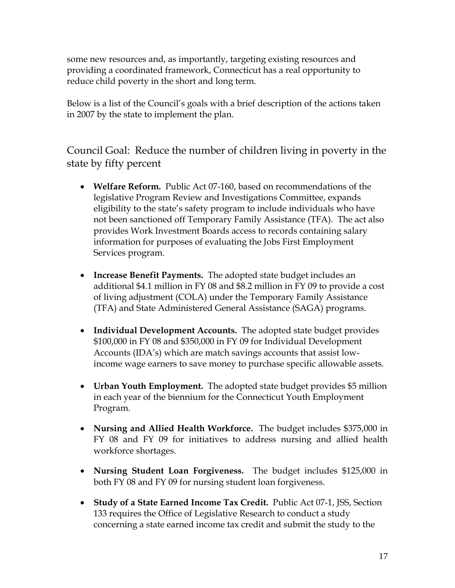some new resources and, as importantly, targeting existing resources and providing a coordinated framework, Connecticut has a real opportunity to reduce child poverty in the short and long term.

Below is a list of the Council's goals with a brief description of the actions taken in 2007 by the state to implement the plan.

Council Goal: Reduce the number of children living in poverty in the state by fifty percent

- **Welfare Reform.** Public Act 07-160, based on recommendations of the legislative Program Review and Investigations Committee, expands eligibility to the state's safety program to include individuals who have not been sanctioned off Temporary Family Assistance (TFA). The act also provides Work Investment Boards access to records containing salary information for purposes of evaluating the Jobs First Employment Services program.
- **Increase Benefit Payments.** The adopted state budget includes an additional \$4.1 million in FY 08 and \$8.2 million in FY 09 to provide a cost of living adjustment (COLA) under the Temporary Family Assistance (TFA) and State Administered General Assistance (SAGA) programs.
- **Individual Development Accounts.** The adopted state budget provides \$100,000 in FY 08 and \$350,000 in FY 09 for Individual Development Accounts (IDA's) which are match savings accounts that assist lowincome wage earners to save money to purchase specific allowable assets.
- **Urban Youth Employment.** The adopted state budget provides \$5 million in each year of the biennium for the Connecticut Youth Employment Program.
- **Nursing and Allied Health Workforce.** The budget includes \$375,000 in FY 08 and FY 09 for initiatives to address nursing and allied health workforce shortages.
- **Nursing Student Loan Forgiveness.** The budget includes \$125,000 in both FY 08 and FY 09 for nursing student loan forgiveness.
- **Study of a State Earned Income Tax Credit.** Public Act 07-1, JSS, Section 133 requires the Office of Legislative Research to conduct a study concerning a state earned income tax credit and submit the study to the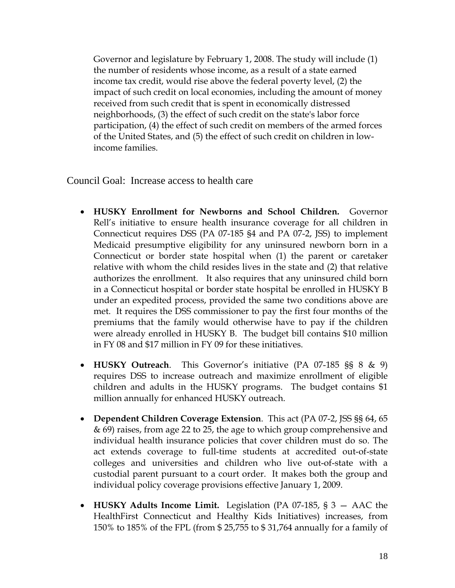Governor and legislature by February 1, 2008. The study will include (1) the number of residents whose income, as a result of a state earned income tax credit, would rise above the federal poverty level, (2) the impact of such credit on local economies, including the amount of money received from such credit that is spent in economically distressed neighborhoods, (3) the effect of such credit on the state's labor force participation, (4) the effect of such credit on members of the armed forces of the United States, and (5) the effect of such credit on children in lowincome families.

Council Goal: Increase access to health care

- **HUSKY Enrollment for Newborns and School Children.** Governor Rell's initiative to ensure health insurance coverage for all children in Connecticut requires DSS (PA 07-185 §4 and PA 07-2, JSS) to implement Medicaid presumptive eligibility for any uninsured newborn born in a Connecticut or border state hospital when (1) the parent or caretaker relative with whom the child resides lives in the state and (2) that relative authorizes the enrollment. It also requires that any uninsured child born in a Connecticut hospital or border state hospital be enrolled in HUSKY B under an expedited process, provided the same two conditions above are met. It requires the DSS commissioner to pay the first four months of the premiums that the family would otherwise have to pay if the children were already enrolled in HUSKY B. The budget bill contains \$10 million in FY 08 and \$17 million in FY 09 for these initiatives.
- **HUSKY Outreach**. This Governor's initiative (PA 07-185 §§ 8 & 9) requires DSS to increase outreach and maximize enrollment of eligible children and adults in the HUSKY programs. The budget contains \$1 million annually for enhanced HUSKY outreach.
- **Dependent Children Coverage Extension**. This act (PA 07-2, JSS §§ 64, 65 & 69) raises, from age 22 to 25, the age to which group comprehensive and individual health insurance policies that cover children must do so. The act extends coverage to full-time students at accredited out-of-state colleges and universities and children who live out-of-state with a custodial parent pursuant to a court order. It makes both the group and individual policy coverage provisions effective January 1, 2009.
- **HUSKY Adults Income Limit.** Legislation (PA 07-185, § 3 AAC the HealthFirst Connecticut and Healthy Kids Initiatives) increases, from 150% to 185% of the FPL (from \$ 25,755 to \$ 31,764 annually for a family of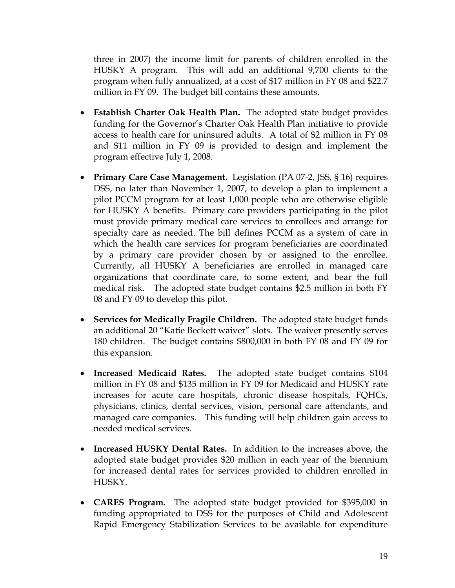three in 2007) the income limit for parents of children enrolled in the HUSKY A program. This will add an additional 9,700 clients to the program when fully annualized, at a cost of \$17 million in FY 08 and \$22.7 million in FY 09. The budget bill contains these amounts.

- **Establish Charter Oak Health Plan.** The adopted state budget provides funding for the Governor's Charter Oak Health Plan initiative to provide access to health care for uninsured adults. A total of \$2 million in FY 08 and \$11 million in FY 09 is provided to design and implement the program effective July 1, 2008.
- **Primary Care Case Management.** Legislation (PA 07-2, JSS, § 16) requires DSS, no later than November 1, 2007, to develop a plan to implement a pilot PCCM program for at least 1,000 people who are otherwise eligible for HUSKY A benefits. Primary care providers participating in the pilot must provide primary medical care services to enrollees and arrange for specialty care as needed. The bill defines PCCM as a system of care in which the health care services for program beneficiaries are coordinated by a primary care provider chosen by or assigned to the enrollee. Currently, all HUSKY A beneficiaries are enrolled in managed care organizations that coordinate care, to some extent, and bear the full medical risk. The adopted state budget contains \$2.5 million in both FY 08 and FY 09 to develop this pilot.
- **Services for Medically Fragile Children.** The adopted state budget funds an additional 20 "Katie Beckett waiver" slots. The waiver presently serves 180 children. The budget contains \$800,000 in both FY 08 and FY 09 for this expansion.
- **Increased Medicaid Rates.** The adopted state budget contains \$104 million in FY 08 and \$135 million in FY 09 for Medicaid and HUSKY rate increases for acute care hospitals, chronic disease hospitals, FQHCs, physicians, clinics, dental services, vision, personal care attendants, and managed care companies. This funding will help children gain access to needed medical services.
- **Increased HUSKY Dental Rates.** In addition to the increases above, the adopted state budget provides \$20 million in each year of the biennium for increased dental rates for services provided to children enrolled in HUSKY.
- **CARES Program.** The adopted state budget provided for \$395,000 in funding appropriated to DSS for the purposes of Child and Adolescent Rapid Emergency Stabilization Services to be available for expenditure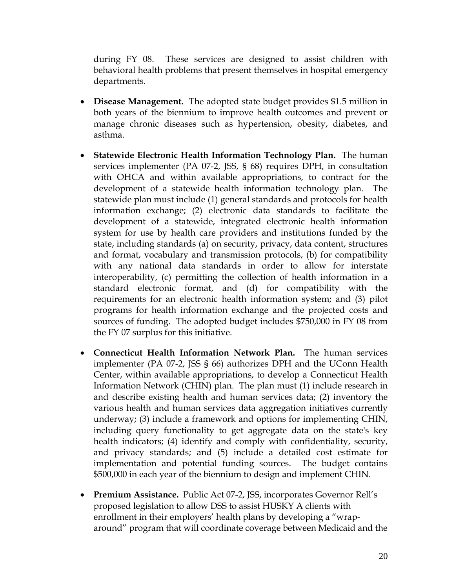during FY 08. These services are designed to assist children with behavioral health problems that present themselves in hospital emergency departments.

- **Disease Management.** The adopted state budget provides \$1.5 million in both years of the biennium to improve health outcomes and prevent or manage chronic diseases such as hypertension, obesity, diabetes, and asthma.
- **Statewide Electronic Health Information Technology Plan.** The human services implementer (PA 07-2, JSS, § 68) requires DPH, in consultation with OHCA and within available appropriations, to contract for the development of a statewide health information technology plan. The statewide plan must include (1) general standards and protocols for health information exchange; (2) electronic data standards to facilitate the development of a statewide, integrated electronic health information system for use by health care providers and institutions funded by the state, including standards (a) on security, privacy, data content, structures and format, vocabulary and transmission protocols, (b) for compatibility with any national data standards in order to allow for interstate interoperability, (c) permitting the collection of health information in a standard electronic format, and (d) for compatibility with the requirements for an electronic health information system; and (3) pilot programs for health information exchange and the projected costs and sources of funding. The adopted budget includes \$750,000 in FY 08 from the FY 07 surplus for this initiative.
- **Connecticut Health Information Network Plan.** The human services implementer (PA 07-2, JSS § 66) authorizes DPH and the UConn Health Center, within available appropriations, to develop a Connecticut Health Information Network (CHIN) plan. The plan must (1) include research in and describe existing health and human services data; (2) inventory the various health and human services data aggregation initiatives currently underway; (3) include a framework and options for implementing CHIN, including query functionality to get aggregate data on the state's key health indicators; (4) identify and comply with confidentiality, security, and privacy standards; and (5) include a detailed cost estimate for implementation and potential funding sources. The budget contains \$500,000 in each year of the biennium to design and implement CHIN.
- **Premium Assistance.** Public Act 07-2, JSS, incorporates Governor Rell's proposed legislation to allow DSS to assist HUSKY A clients with enrollment in their employers' health plans by developing a "wraparound" program that will coordinate coverage between Medicaid and the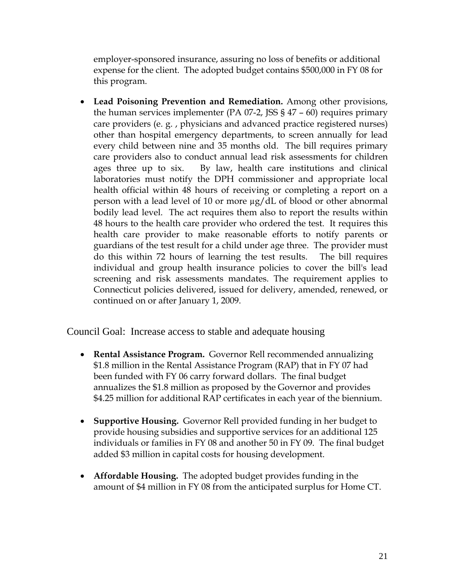employer-sponsored insurance, assuring no loss of benefits or additional expense for the client. The adopted budget contains \$500,000 in FY 08 for this program.

• **Lead Poisoning Prevention and Remediation.** Among other provisions, the human services implementer (PA  $07-2$ , JSS §  $47 - 60$ ) requires primary care providers (e. g. , physicians and advanced practice registered nurses) other than hospital emergency departments, to screen annually for lead every child between nine and 35 months old. The bill requires primary care providers also to conduct annual lead risk assessments for children ages three up to six. By law, health care institutions and clinical laboratories must notify the DPH commissioner and appropriate local health official within 48 hours of receiving or completing a report on a person with a lead level of 10 or more µg/dL of blood or other abnormal bodily lead level. The act requires them also to report the results within 48 hours to the health care provider who ordered the test. It requires this health care provider to make reasonable efforts to notify parents or guardians of the test result for a child under age three. The provider must do this within 72 hours of learning the test results. The bill requires individual and group health insurance policies to cover the bill's lead screening and risk assessments mandates. The requirement applies to Connecticut policies delivered, issued for delivery, amended, renewed, or continued on or after January 1, 2009.

Council Goal: Increase access to stable and adequate housing

- **Rental Assistance Program.** Governor Rell recommended annualizing \$1.8 million in the Rental Assistance Program (RAP) that in FY 07 had been funded with FY 06 carry forward dollars. The final budget annualizes the \$1.8 million as proposed by the Governor and provides \$4.25 million for additional RAP certificates in each year of the biennium.
- **Supportive Housing.** Governor Rell provided funding in her budget to provide housing subsidies and supportive services for an additional 125 individuals or families in FY 08 and another 50 in FY 09. The final budget added \$3 million in capital costs for housing development.
- **Affordable Housing.** The adopted budget provides funding in the amount of \$4 million in FY 08 from the anticipated surplus for Home CT.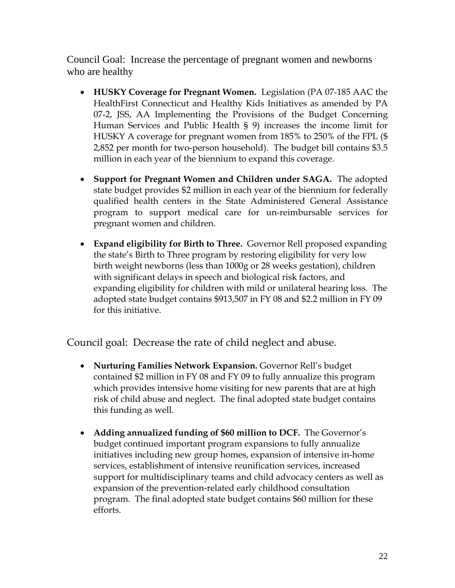Council Goal: Increase the percentage of pregnant women and newborns who are healthy

- **HUSKY Coverage for Pregnant Women.** Legislation (PA 07-185 AAC the HealthFirst Connecticut and Healthy Kids Initiatives as amended by PA 07-2, JSS, AA Implementing the Provisions of the Budget Concerning Human Services and Public Health § 9) increases the income limit for HUSKY A coverage for pregnant women from 185% to 250% of the FPL (\$ 2,852 per month for two-person household). The budget bill contains \$3.5 million in each year of the biennium to expand this coverage.
- **Support for Pregnant Women and Children under SAGA.** The adopted state budget provides \$2 million in each year of the biennium for federally qualified health centers in the State Administered General Assistance program to support medical care for un-reimbursable services for pregnant women and children.
- **Expand eligibility for Birth to Three.** Governor Rell proposed expanding the state's Birth to Three program by restoring eligibility for very low birth weight newborns (less than 1000g or 28 weeks gestation), children with significant delays in speech and biological risk factors, and expanding eligibility for children with mild or unilateral hearing loss. The adopted state budget contains \$913,507 in FY 08 and \$2.2 million in FY 09 for this initiative.

Council goal: Decrease the rate of child neglect and abuse.

- **Nurturing Families Network Expansion.** Governor Rell's budget contained \$2 million in FY 08 and FY 09 to fully annualize this program which provides intensive home visiting for new parents that are at high risk of child abuse and neglect. The final adopted state budget contains this funding as well.
- **Adding annualized funding of \$60 million to DCF.** The Governor's budget continued important program expansions to fully annualize initiatives including new group homes, expansion of intensive in-home services, establishment of intensive reunification services, increased support for multidisciplinary teams and child advocacy centers as well as expansion of the prevention-related early childhood consultation program. The final adopted state budget contains \$60 million for these efforts.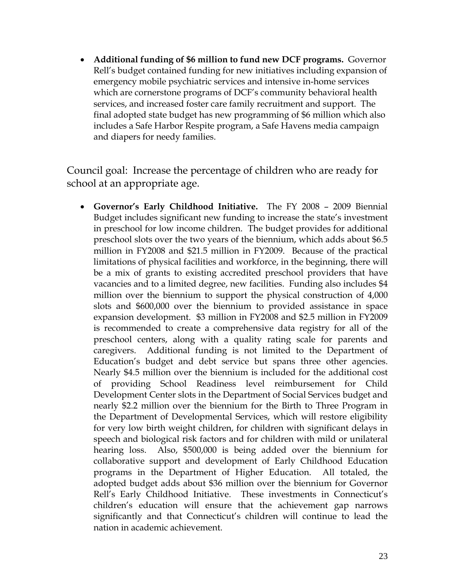• **Additional funding of \$6 million to fund new DCF programs.** Governor Rell's budget contained funding for new initiatives including expansion of emergency mobile psychiatric services and intensive in-home services which are cornerstone programs of DCF's community behavioral health services, and increased foster care family recruitment and support. The final adopted state budget has new programming of \$6 million which also includes a Safe Harbor Respite program, a Safe Havens media campaign and diapers for needy families.

Council goal: Increase the percentage of children who are ready for school at an appropriate age.

• **Governor's Early Childhood Initiative.** The FY 2008 – 2009 Biennial Budget includes significant new funding to increase the state's investment in preschool for low income children. The budget provides for additional preschool slots over the two years of the biennium, which adds about \$6.5 million in FY2008 and \$21.5 million in FY2009. Because of the practical limitations of physical facilities and workforce, in the beginning, there will be a mix of grants to existing accredited preschool providers that have vacancies and to a limited degree, new facilities. Funding also includes \$4 million over the biennium to support the physical construction of 4,000 slots and \$600,000 over the biennium to provided assistance in space expansion development. \$3 million in FY2008 and \$2.5 million in FY2009 is recommended to create a comprehensive data registry for all of the preschool centers, along with a quality rating scale for parents and caregivers. Additional funding is not limited to the Department of Education's budget and debt service but spans three other agencies. Nearly \$4.5 million over the biennium is included for the additional cost of providing School Readiness level reimbursement for Child Development Center slots in the Department of Social Services budget and nearly \$2.2 million over the biennium for the Birth to Three Program in the Department of Developmental Services, which will restore eligibility for very low birth weight children, for children with significant delays in speech and biological risk factors and for children with mild or unilateral hearing loss. Also, \$500,000 is being added over the biennium for collaborative support and development of Early Childhood Education programs in the Department of Higher Education. All totaled, the adopted budget adds about \$36 million over the biennium for Governor Rell's Early Childhood Initiative. These investments in Connecticut's children's education will ensure that the achievement gap narrows significantly and that Connecticut's children will continue to lead the nation in academic achievement.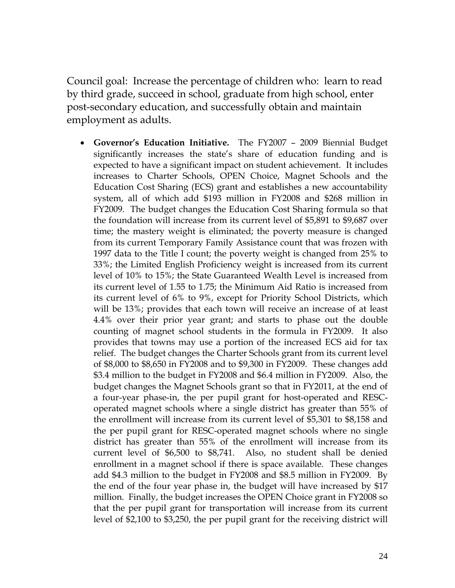Council goal: Increase the percentage of children who: learn to read by third grade, succeed in school, graduate from high school, enter post-secondary education, and successfully obtain and maintain employment as adults.

• **Governor's Education Initiative.** The FY2007 – 2009 Biennial Budget significantly increases the state's share of education funding and is expected to have a significant impact on student achievement. It includes increases to Charter Schools, OPEN Choice, Magnet Schools and the Education Cost Sharing (ECS) grant and establishes a new accountability system, all of which add \$193 million in FY2008 and \$268 million in FY2009. The budget changes the Education Cost Sharing formula so that the foundation will increase from its current level of \$5,891 to \$9,687 over time; the mastery weight is eliminated; the poverty measure is changed from its current Temporary Family Assistance count that was frozen with 1997 data to the Title I count; the poverty weight is changed from 25% to 33%; the Limited English Proficiency weight is increased from its current level of 10% to 15%; the State Guaranteed Wealth Level is increased from its current level of 1.55 to 1.75; the Minimum Aid Ratio is increased from its current level of 6% to 9%, except for Priority School Districts, which will be 13%; provides that each town will receive an increase of at least 4.4% over their prior year grant; and starts to phase out the double counting of magnet school students in the formula in FY2009. It also provides that towns may use a portion of the increased ECS aid for tax relief. The budget changes the Charter Schools grant from its current level of \$8,000 to \$8,650 in FY2008 and to \$9,300 in FY2009. These changes add \$3.4 million to the budget in FY2008 and \$6.4 million in FY2009. Also, the budget changes the Magnet Schools grant so that in FY2011, at the end of a four-year phase-in, the per pupil grant for host-operated and RESCoperated magnet schools where a single district has greater than 55% of the enrollment will increase from its current level of \$5,301 to \$8,158 and the per pupil grant for RESC-operated magnet schools where no single district has greater than 55% of the enrollment will increase from its current level of \$6,500 to \$8,741. Also, no student shall be denied enrollment in a magnet school if there is space available. These changes add \$4.3 million to the budget in FY2008 and \$8.5 million in FY2009. By the end of the four year phase in, the budget will have increased by \$17 million. Finally, the budget increases the OPEN Choice grant in FY2008 so that the per pupil grant for transportation will increase from its current level of \$2,100 to \$3,250, the per pupil grant for the receiving district will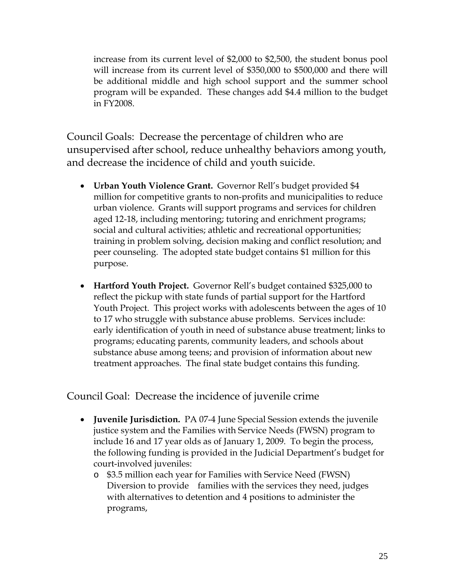increase from its current level of \$2,000 to \$2,500, the student bonus pool will increase from its current level of \$350,000 to \$500,000 and there will be additional middle and high school support and the summer school program will be expanded. These changes add \$4.4 million to the budget in FY2008.

Council Goals: Decrease the percentage of children who are unsupervised after school, reduce unhealthy behaviors among youth, and decrease the incidence of child and youth suicide.

- **Urban Youth Violence Grant.** Governor Rell's budget provided \$4 million for competitive grants to non-profits and municipalities to reduce urban violence. Grants will support programs and services for children aged 12-18, including mentoring; tutoring and enrichment programs; social and cultural activities; athletic and recreational opportunities; training in problem solving, decision making and conflict resolution; and peer counseling. The adopted state budget contains \$1 million for this purpose.
- **Hartford Youth Project.** Governor Rell's budget contained \$325,000 to reflect the pickup with state funds of partial support for the Hartford Youth Project. This project works with adolescents between the ages of 10 to 17 who struggle with substance abuse problems. Services include: early identification of youth in need of substance abuse treatment; links to programs; educating parents, community leaders, and schools about substance abuse among teens; and provision of information about new treatment approaches. The final state budget contains this funding.

Council Goal: Decrease the incidence of juvenile crime

- **Juvenile Jurisdiction.** PA 07-4 June Special Session extends the juvenile justice system and the Families with Service Needs (FWSN) program to include 16 and 17 year olds as of January 1, 2009. To begin the process, the following funding is provided in the Judicial Department's budget for court-involved juveniles:
	- o \$3.5 million each year for Families with Service Need (FWSN) Diversion to provide families with the services they need, judges with alternatives to detention and 4 positions to administer the programs,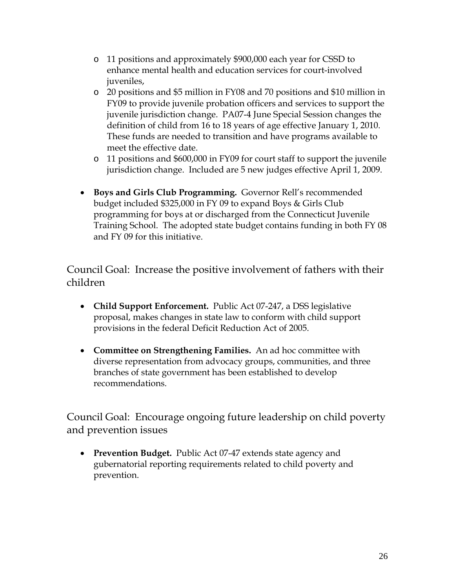- o 11 positions and approximately \$900,000 each year for CSSD to enhance mental health and education services for court-involved juveniles,
- o 20 positions and \$5 million in FY08 and 70 positions and \$10 million in FY09 to provide juvenile probation officers and services to support the juvenile jurisdiction change. PA07-4 June Special Session changes the definition of child from 16 to 18 years of age effective January 1, 2010. These funds are needed to transition and have programs available to meet the effective date.
- o 11 positions and \$600,000 in FY09 for court staff to support the juvenile jurisdiction change. Included are 5 new judges effective April 1, 2009.
- **Boys and Girls Club Programming.** Governor Rell's recommended budget included \$325,000 in FY 09 to expand Boys & Girls Club programming for boys at or discharged from the Connecticut Juvenile Training School. The adopted state budget contains funding in both FY 08 and FY 09 for this initiative.

Council Goal: Increase the positive involvement of fathers with their children

- **Child Support Enforcement.** Public Act 07-247, a DSS legislative proposal, makes changes in state law to conform with child support provisions in the federal Deficit Reduction Act of 2005.
- **Committee on Strengthening Families.** An ad hoc committee with diverse representation from advocacy groups, communities, and three branches of state government has been established to develop recommendations.

Council Goal: Encourage ongoing future leadership on child poverty and prevention issues

• **Prevention Budget.** Public Act 07-47 extends state agency and gubernatorial reporting requirements related to child poverty and prevention.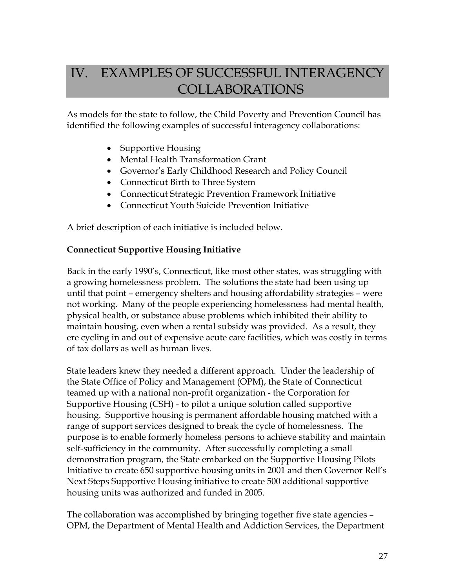# IV. EXAMPLES OF SUCCESSFUL INTERAGENCY COLLABORATIONS

As models for the state to follow, the Child Poverty and Prevention Council has identified the following examples of successful interagency collaborations:

- Supportive Housing
- Mental Health Transformation Grant
- Governor's Early Childhood Research and Policy Council
- Connecticut Birth to Three System
- Connecticut Strategic Prevention Framework Initiative
- Connecticut Youth Suicide Prevention Initiative

A brief description of each initiative is included below.

#### **Connecticut Supportive Housing Initiative**

Back in the early 1990's, Connecticut, like most other states, was struggling with a growing homelessness problem. The solutions the state had been using up until that point – emergency shelters and housing affordability strategies – were not working. Many of the people experiencing homelessness had mental health, physical health, or substance abuse problems which inhibited their ability to maintain housing, even when a rental subsidy was provided. As a result, they ere cycling in and out of expensive acute care facilities, which was costly in terms of tax dollars as well as human lives.

State leaders knew they needed a different approach. Under the leadership of the State Office of Policy and Management (OPM), the State of Connecticut teamed up with a national non-profit organization - the Corporation for Supportive Housing (CSH) - to pilot a unique solution called supportive housing. Supportive housing is permanent affordable housing matched with a range of support services designed to break the cycle of homelessness. The purpose is to enable formerly homeless persons to achieve stability and maintain self-sufficiency in the community. After successfully completing a small demonstration program, the State embarked on the Supportive Housing Pilots Initiative to create 650 supportive housing units in 2001 and then Governor Rell's Next Steps Supportive Housing initiative to create 500 additional supportive housing units was authorized and funded in 2005.

The collaboration was accomplished by bringing together five state agencies – OPM, the Department of Mental Health and Addiction Services, the Department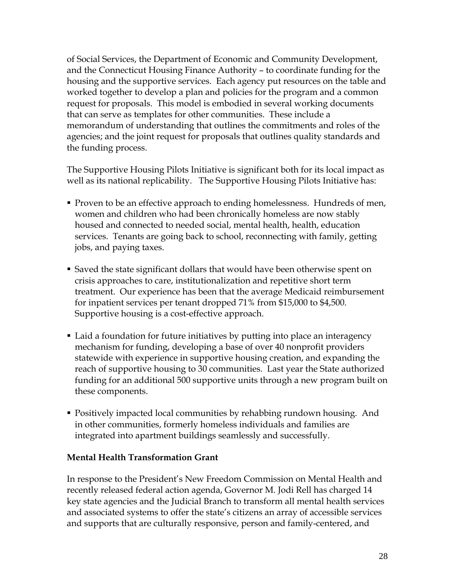of Social Services, the Department of Economic and Community Development, and the Connecticut Housing Finance Authority – to coordinate funding for the housing and the supportive services. Each agency put resources on the table and worked together to develop a plan and policies for the program and a common request for proposals. This model is embodied in several working documents that can serve as templates for other communities. These include a memorandum of understanding that outlines the commitments and roles of the agencies; and the joint request for proposals that outlines quality standards and the funding process.

The Supportive Housing Pilots Initiative is significant both for its local impact as well as its national replicability. The Supportive Housing Pilots Initiative has:

- **Proven to be an effective approach to ending homelessness. Hundreds of men,** women and children who had been chronically homeless are now stably housed and connected to needed social, mental health, health, education services. Tenants are going back to school, reconnecting with family, getting jobs, and paying taxes.
- Saved the state significant dollars that would have been otherwise spent on crisis approaches to care, institutionalization and repetitive short term treatment. Our experience has been that the average Medicaid reimbursement for inpatient services per tenant dropped 71% from \$15,000 to \$4,500. Supportive housing is a cost-effective approach.
- Laid a foundation for future initiatives by putting into place an interagency mechanism for funding, developing a base of over 40 nonprofit providers statewide with experience in supportive housing creation, and expanding the reach of supportive housing to 30 communities. Last year the State authorized funding for an additional 500 supportive units through a new program built on these components.
- Positively impacted local communities by rehabbing rundown housing. And in other communities, formerly homeless individuals and families are integrated into apartment buildings seamlessly and successfully.

#### **Mental Health Transformation Grant**

In response to the President's New Freedom Commission on Mental Health and recently released federal action agenda, Governor M. Jodi Rell has charged 14 key state agencies and the Judicial Branch to transform all mental health services and associated systems to offer the state's citizens an array of accessible services and supports that are culturally responsive, person and family-centered, and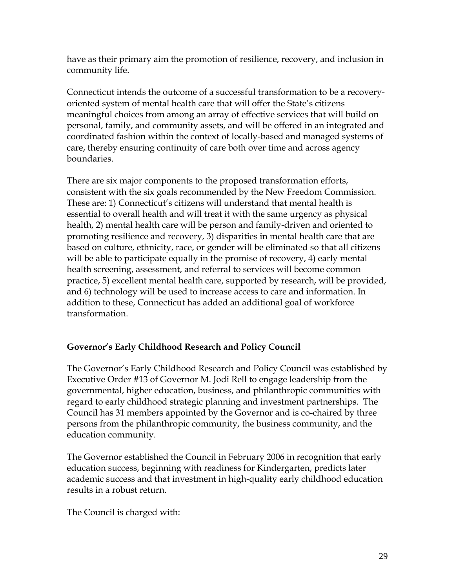have as their primary aim the promotion of resilience, recovery, and inclusion in community life.

Connecticut intends the outcome of a successful transformation to be a recoveryoriented system of mental health care that will offer the State's citizens meaningful choices from among an array of effective services that will build on personal, family, and community assets, and will be offered in an integrated and coordinated fashion within the context of locally-based and managed systems of care, thereby ensuring continuity of care both over time and across agency boundaries.

There are six major components to the proposed transformation efforts, consistent with the six goals recommended by the New Freedom Commission. These are: 1) Connecticut's citizens will understand that mental health is essential to overall health and will treat it with the same urgency as physical health, 2) mental health care will be person and family-driven and oriented to promoting resilience and recovery, 3) disparities in mental health care that are based on culture, ethnicity, race, or gender will be eliminated so that all citizens will be able to participate equally in the promise of recovery, 4) early mental health screening, assessment, and referral to services will become common practice, 5) excellent mental health care, supported by research, will be provided, and 6) technology will be used to increase access to care and information. In addition to these, Connecticut has added an additional goal of workforce transformation.

### **Governor's Early Childhood Research and Policy Council**

The Governor's Early Childhood Research and Policy Council was established by Executive Order #13 of Governor M. Jodi Rell to engage leadership from the governmental, higher education, business, and philanthropic communities with regard to early childhood strategic planning and investment partnerships. The Council has 31 members appointed by the Governor and is co-chaired by three persons from the philanthropic community, the business community, and the education community.

The Governor established the Council in February 2006 in recognition that early education success, beginning with readiness for Kindergarten, predicts later academic success and that investment in high-quality early childhood education results in a robust return.

The Council is charged with: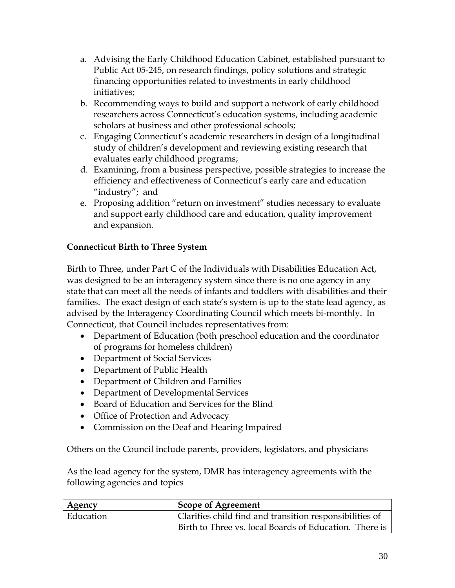- a. Advising the Early Childhood Education Cabinet, established pursuant to Public Act 05-245, on research findings, policy solutions and strategic financing opportunities related to investments in early childhood initiatives;
- b. Recommending ways to build and support a network of early childhood researchers across Connecticut's education systems, including academic scholars at business and other professional schools;
- c. Engaging Connecticut's academic researchers in design of a longitudinal study of children's development and reviewing existing research that evaluates early childhood programs;
- d. Examining, from a business perspective, possible strategies to increase the efficiency and effectiveness of Connecticut's early care and education "industry"; and
- e. Proposing addition "return on investment" studies necessary to evaluate and support early childhood care and education, quality improvement and expansion.

### **Connecticut Birth to Three System**

Birth to Three, under Part C of the Individuals with Disabilities Education Act, was designed to be an interagency system since there is no one agency in any state that can meet all the needs of infants and toddlers with disabilities and their families. The exact design of each state's system is up to the state lead agency, as advised by the Interagency Coordinating Council which meets bi-monthly. In Connecticut, that Council includes representatives from:

- Department of Education (both preschool education and the coordinator of programs for homeless children)
- Department of Social Services
- Department of Public Health
- Department of Children and Families
- Department of Developmental Services
- Board of Education and Services for the Blind
- Office of Protection and Advocacy
- Commission on the Deaf and Hearing Impaired

Others on the Council include parents, providers, legislators, and physicians

As the lead agency for the system, DMR has interagency agreements with the following agencies and topics

| Agency    | <b>Scope of Agreement</b>                               |
|-----------|---------------------------------------------------------|
| Education | Clarifies child find and transition responsibilities of |
|           | Birth to Three vs. local Boards of Education. There is  |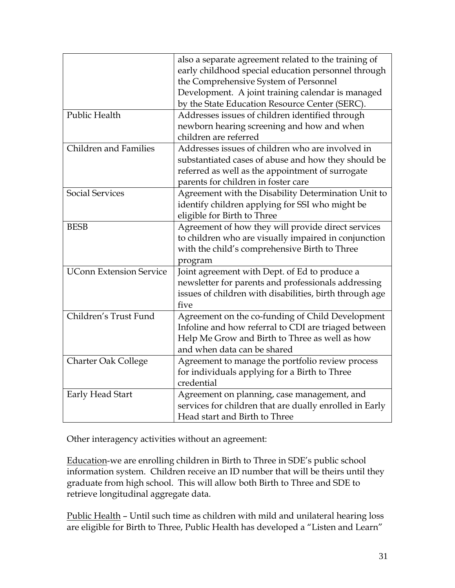|                                | also a separate agreement related to the training of    |
|--------------------------------|---------------------------------------------------------|
|                                | early childhood special education personnel through     |
|                                | the Comprehensive System of Personnel                   |
|                                | Development. A joint training calendar is managed       |
|                                | by the State Education Resource Center (SERC).          |
| Public Health                  | Addresses issues of children identified through         |
|                                | newborn hearing screening and how and when              |
|                                | children are referred                                   |
| <b>Children and Families</b>   | Addresses issues of children who are involved in        |
|                                | substantiated cases of abuse and how they should be     |
|                                | referred as well as the appointment of surrogate        |
|                                | parents for children in foster care                     |
| <b>Social Services</b>         | Agreement with the Disability Determination Unit to     |
|                                | identify children applying for SSI who might be         |
|                                | eligible for Birth to Three                             |
| <b>BESB</b>                    | Agreement of how they will provide direct services      |
|                                | to children who are visually impaired in conjunction    |
|                                | with the child's comprehensive Birth to Three           |
|                                | program                                                 |
| <b>UConn Extension Service</b> | Joint agreement with Dept. of Ed to produce a           |
|                                | newsletter for parents and professionals addressing     |
|                                | issues of children with disabilities, birth through age |
|                                | five                                                    |
| Children's Trust Fund          | Agreement on the co-funding of Child Development        |
|                                | Infoline and how referral to CDI are triaged between    |
|                                | Help Me Grow and Birth to Three as well as how          |
|                                | and when data can be shared                             |
| <b>Charter Oak College</b>     | Agreement to manage the portfolio review process        |
|                                | for individuals applying for a Birth to Three           |
|                                | credential                                              |
| Early Head Start               | Agreement on planning, case management, and             |
|                                | services for children that are dually enrolled in Early |
|                                | Head start and Birth to Three                           |

Other interagency activities without an agreement:

Education-we are enrolling children in Birth to Three in SDE's public school information system. Children receive an ID number that will be theirs until they graduate from high school. This will allow both Birth to Three and SDE to retrieve longitudinal aggregate data.

Public Health – Until such time as children with mild and unilateral hearing loss are eligible for Birth to Three, Public Health has developed a "Listen and Learn"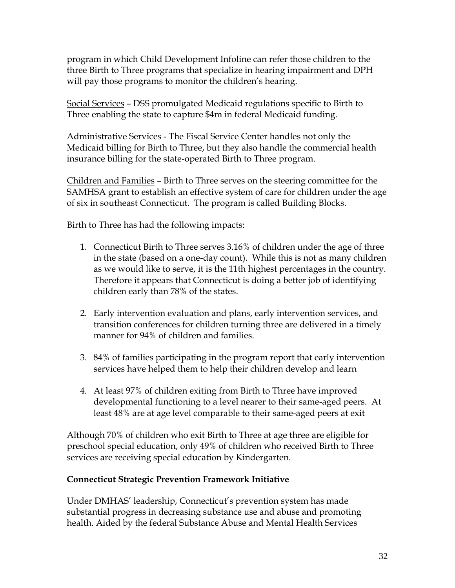program in which Child Development Infoline can refer those children to the three Birth to Three programs that specialize in hearing impairment and DPH will pay those programs to monitor the children's hearing.

Social Services – DSS promulgated Medicaid regulations specific to Birth to Three enabling the state to capture \$4m in federal Medicaid funding.

Administrative Services - The Fiscal Service Center handles not only the Medicaid billing for Birth to Three, but they also handle the commercial health insurance billing for the state-operated Birth to Three program.

Children and Families – Birth to Three serves on the steering committee for the SAMHSA grant to establish an effective system of care for children under the age of six in southeast Connecticut. The program is called Building Blocks.

Birth to Three has had the following impacts:

- 1. Connecticut Birth to Three serves 3.16% of children under the age of three in the state (based on a one-day count). While this is not as many children as we would like to serve, it is the 11th highest percentages in the country. Therefore it appears that Connecticut is doing a better job of identifying children early than 78% of the states.
- 2. Early intervention evaluation and plans, early intervention services, and transition conferences for children turning three are delivered in a timely manner for 94% of children and families.
- 3. 84% of families participating in the program report that early intervention services have helped them to help their children develop and learn
- 4. At least 97% of children exiting from Birth to Three have improved developmental functioning to a level nearer to their same-aged peers. At least 48% are at age level comparable to their same-aged peers at exit

Although 70% of children who exit Birth to Three at age three are eligible for preschool special education, only 49% of children who received Birth to Three services are receiving special education by Kindergarten.

#### **Connecticut Strategic Prevention Framework Initiative**

Under DMHAS' leadership, Connecticut's prevention system has made substantial progress in decreasing substance use and abuse and promoting health. Aided by the federal Substance Abuse and Mental Health Services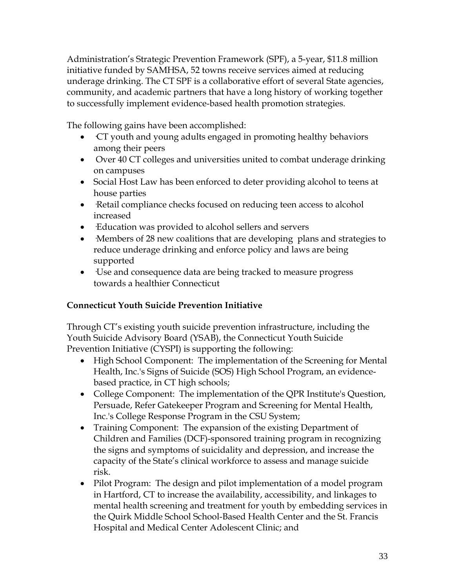Administration's Strategic Prevention Framework (SPF), a 5-year, \$11.8 million initiative funded by SAMHSA, 52 towns receive services aimed at reducing underage drinking. The CT SPF is a collaborative effort of several State agencies, community, and academic partners that have a long history of working together to successfully implement evidence-based health promotion strategies.

The following gains have been accomplished:

- CT youth and young adults engaged in promoting healthy behaviors among their peers
- Over 40 CT colleges and universities united to combat underage drinking on campuses
- Social Host Law has been enforced to deter providing alcohol to teens at house parties
- Retail compliance checks focused on reducing teen access to alcohol increased
- ·Education was provided to alcohol sellers and servers
- Members of 28 new coalitions that are developing plans and strategies to reduce underage drinking and enforce policy and laws are being supported
- ·Use and consequence data are being tracked to measure progress towards a healthier Connecticut

### **Connecticut Youth Suicide Prevention Initiative**

Through CT's existing youth suicide prevention infrastructure, including the Youth Suicide Advisory Board (YSAB), the Connecticut Youth Suicide Prevention Initiative (CYSPI) is supporting the following:

- [High School Component:](http://www.ct.gov/dmhas/cwp/view.asp?a=2912&q=335136) The implementation of the Screening for Mental Health, Inc.'s Signs of Suicide (SOS) High School Program, an evidencebased practice, in CT high schools;
- [College Component:](http://www.ct.gov/dmhas/cwp/view.asp?a=2912&q=335128) The implementation of the QPR Institute's Question, Persuade, Refer Gatekeeper Program and Screening for Mental Health, Inc.'s College Response Program in the CSU System;
- [Training Component:](http://www.ct.gov/dmhas/cwp/view.asp?a=2912&q=335134) The expansion of the existing Department of Children and Families (DCF)-sponsored training program in recognizing the signs and symptoms of suicidality and depression, and increase the capacity of the State's clinical workforce to assess and manage suicide risk.
- [Pilot Program:](http://www.ct.gov/dmhas/cwp/view.asp?a=2912&q=335126) The design and pilot implementation of a model program in Hartford, CT to increase the availability, accessibility, and linkages to mental health screening and treatment for youth by embedding services in the Quirk Middle School School-Based Health Center and the St. Francis Hospital and Medical Center Adolescent Clinic; and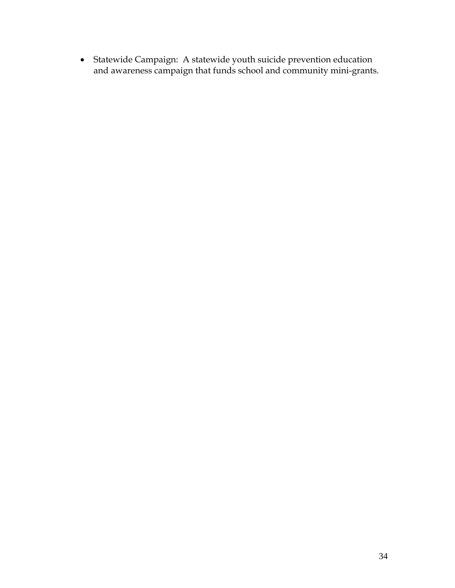• [Statewide Campaign:](http://www.ct.gov/dmhas/cwp/view.asp?a=2912&q=335140) A statewide youth suicide prevention education and awareness campaign that funds school and community mini-grants.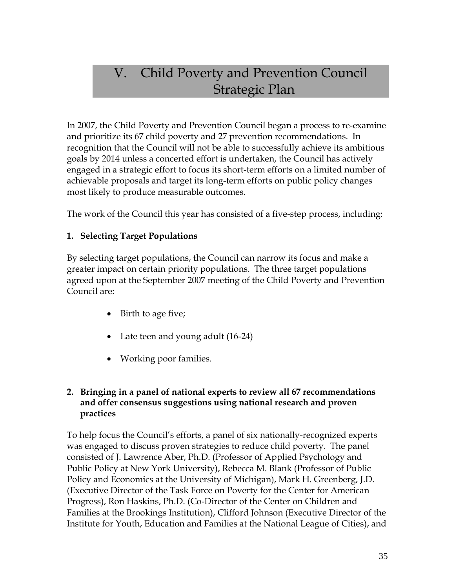# V. Child Poverty and Prevention Council Strategic Plan

In 2007, the Child Poverty and Prevention Council began a process to re-examine and prioritize its 67 child poverty and 27 prevention recommendations. In recognition that the Council will not be able to successfully achieve its ambitious goals by 2014 unless a concerted effort is undertaken, the Council has actively engaged in a strategic effort to focus its short-term efforts on a limited number of achievable proposals and target its long-term efforts on public policy changes most likely to produce measurable outcomes.

The work of the Council this year has consisted of a five-step process, including:

# **1. Selecting Target Populations**

By selecting target populations, the Council can narrow its focus and make a greater impact on certain priority populations. The three target populations agreed upon at the September 2007 meeting of the Child Poverty and Prevention Council are:

- Birth to age five;
- Late teen and young adult (16-24)
- Working poor families.

# **2. Bringing in a panel of national experts to review all 67 recommendations and offer consensus suggestions using national research and proven practices**

To help focus the Council's efforts, a panel of six nationally-recognized experts was engaged to discuss proven strategies to reduce child poverty. The panel consisted of J. Lawrence Aber, Ph.D. (Professor of Applied Psychology and Public Policy at New York University), Rebecca M. Blank (Professor of Public Policy and Economics at the University of Michigan), Mark H. Greenberg, J.D. (Executive Director of the Task Force on Poverty for the Center for American Progress), Ron Haskins, Ph.D. (Co-Director of the Center on Children and Families at the Brookings Institution), Clifford Johnson (Executive Director of the Institute for Youth, Education and Families at the National League of Cities), and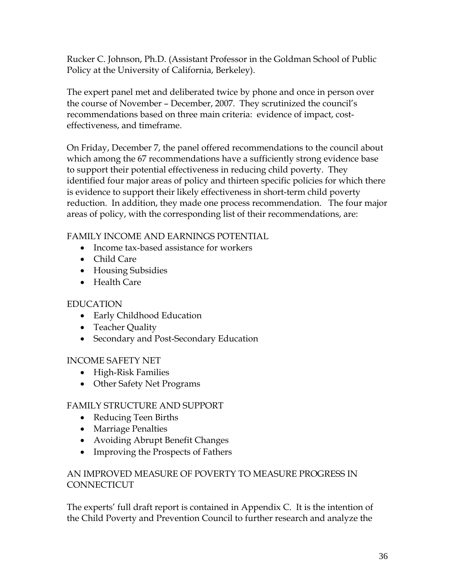Rucker C. Johnson, Ph.D. (Assistant Professor in the Goldman School of Public Policy at the University of California, Berkeley).

The expert panel met and deliberated twice by phone and once in person over the course of November – December, 2007. They scrutinized the council's recommendations based on three main criteria: evidence of impact, costeffectiveness, and timeframe.

On Friday, December 7, the panel offered recommendations to the council about which among the 67 recommendations have a sufficiently strong evidence base to support their potential effectiveness in reducing child poverty. They identified four major areas of policy and thirteen specific policies for which there is evidence to support their likely effectiveness in short-term child poverty reduction. In addition, they made one process recommendation. The four major areas of policy, with the corresponding list of their recommendations, are:

FAMILY INCOME AND EARNINGS POTENTIAL

- Income tax-based assistance for workers
- Child Care
- Housing Subsidies
- Health Care

# EDUCATION

- Early Childhood Education
- Teacher Quality
- Secondary and Post-Secondary Education

# INCOME SAFETY NET

- High-Risk Families
- Other Safety Net Programs

# FAMILY STRUCTURE AND SUPPORT

- Reducing Teen Births
- Marriage Penalties
- Avoiding Abrupt Benefit Changes
- Improving the Prospects of Fathers

# AN IMPROVED MEASURE OF POVERTY TO MEASURE PROGRESS IN **CONNECTICUT**

The experts' full draft report is contained in Appendix C. It is the intention of the Child Poverty and Prevention Council to further research and analyze the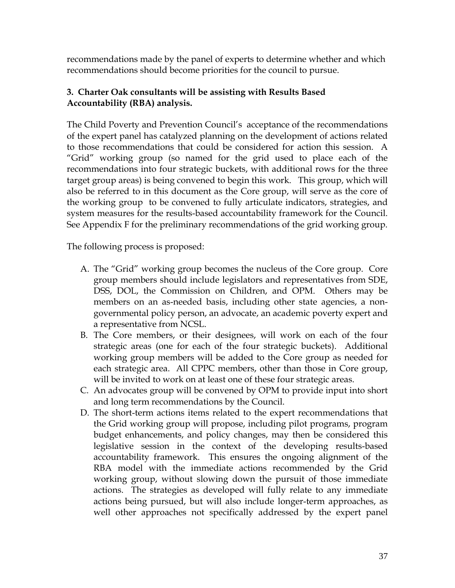recommendations made by the panel of experts to determine whether and which recommendations should become priorities for the council to pursue.

# **3. Charter Oak consultants will be assisting with Results Based Accountability (RBA) analysis.**

The Child Poverty and Prevention Council's acceptance of the recommendations of the expert panel has catalyzed planning on the development of actions related to those recommendations that could be considered for action this session. A "Grid" working group (so named for the grid used to place each of the recommendations into four strategic buckets, with additional rows for the three target group areas) is being convened to begin this work. This group, which will also be referred to in this document as the Core group, will serve as the core of the working group to be convened to fully articulate indicators, strategies, and system measures for the results-based accountability framework for the Council. See Appendix F for the preliminary recommendations of the grid working group.

The following process is proposed:

- A. The "Grid" working group becomes the nucleus of the Core group. Core group members should include legislators and representatives from SDE, DSS, DOL, the Commission on Children, and OPM. Others may be members on an as-needed basis, including other state agencies, a nongovernmental policy person, an advocate, an academic poverty expert and a representative from NCSL.
- B. The Core members, or their designees, will work on each of the four strategic areas (one for each of the four strategic buckets). Additional working group members will be added to the Core group as needed for each strategic area. All CPPC members, other than those in Core group, will be invited to work on at least one of these four strategic areas.
- C. An advocates group will be convened by OPM to provide input into short and long term recommendations by the Council.
- D. The short-term actions items related to the expert recommendations that the Grid working group will propose, including pilot programs, program budget enhancements, and policy changes, may then be considered this legislative session in the context of the developing results-based accountability framework. This ensures the ongoing alignment of the RBA model with the immediate actions recommended by the Grid working group, without slowing down the pursuit of those immediate actions. The strategies as developed will fully relate to any immediate actions being pursued, but will also include longer-term approaches, as well other approaches not specifically addressed by the expert panel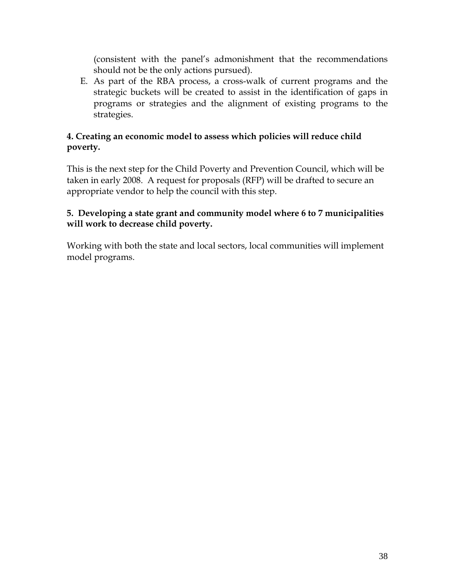(consistent with the panel's admonishment that the recommendations should not be the only actions pursued).

E. As part of the RBA process, a cross-walk of current programs and the strategic buckets will be created to assist in the identification of gaps in programs or strategies and the alignment of existing programs to the strategies.

# **4. Creating an economic model to assess which policies will reduce child poverty.**

This is the next step for the Child Poverty and Prevention Council, which will be taken in early 2008. A request for proposals (RFP) will be drafted to secure an appropriate vendor to help the council with this step.

# **5. Developing a state grant and community model where 6 to 7 municipalities will work to decrease child poverty.**

Working with both the state and local sectors, local communities will implement model programs.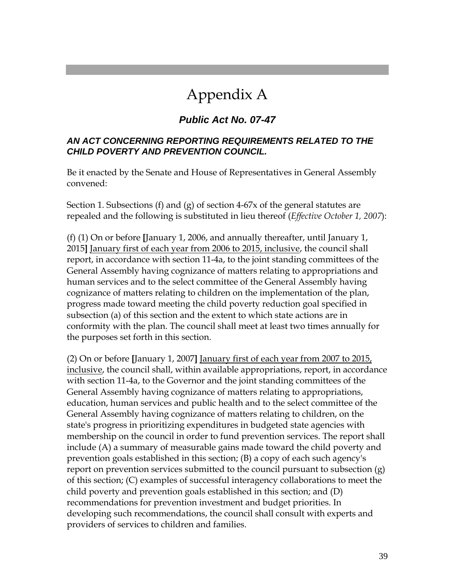# Appendix A

# *Public Act No. 07-47*

## *AN ACT CONCERNING REPORTING REQUIREMENTS RELATED TO THE CHILD POVERTY AND PREVENTION COUNCIL.*

Be it enacted by the Senate and House of Representatives in General Assembly convened:

Section 1. Subsections (f) and (g) of section 4-67x of the general statutes are repealed and the following is substituted in lieu thereof (*Effective October 1, 2007*):

(f) (1) On or before **[**January 1, 2006, and annually thereafter, until January 1, 2015**]** January first of each year from 2006 to 2015, inclusive, the council shall report, in accordance with section 11-4a, to the joint standing committees of the General Assembly having cognizance of matters relating to appropriations and human services and to the select committee of the General Assembly having cognizance of matters relating to children on the implementation of the plan, progress made toward meeting the child poverty reduction goal specified in subsection (a) of this section and the extent to which state actions are in conformity with the plan. The council shall meet at least two times annually for the purposes set forth in this section.

(2) On or before **[**January 1, 2007**]** January first of each year from 2007 to 2015, inclusive, the council shall, within available appropriations, report, in accordance with section 11-4a, to the Governor and the joint standing committees of the General Assembly having cognizance of matters relating to appropriations, education, human services and public health and to the select committee of the General Assembly having cognizance of matters relating to children, on the state's progress in prioritizing expenditures in budgeted state agencies with membership on the council in order to fund prevention services. The report shall include (A) a summary of measurable gains made toward the child poverty and prevention goals established in this section; (B) a copy of each such agency's report on prevention services submitted to the council pursuant to subsection (g) of this section; (C) examples of successful interagency collaborations to meet the child poverty and prevention goals established in this section; and (D) recommendations for prevention investment and budget priorities. In developing such recommendations, the council shall consult with experts and providers of services to children and families.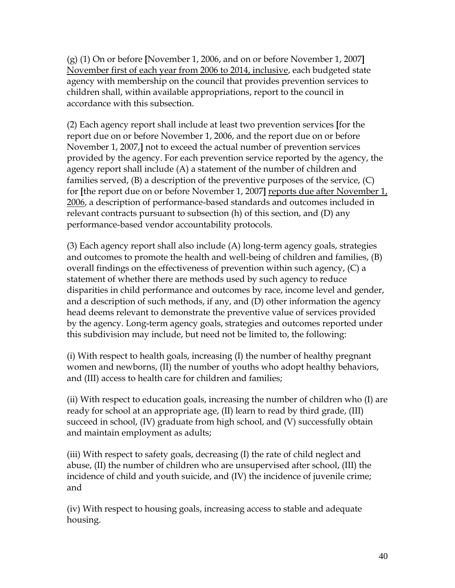(g) (1) On or before **[**November 1, 2006, and on or before November 1, 2007**]** November first of each year from 2006 to 2014, inclusive, each budgeted state agency with membership on the council that provides prevention services to children shall, within available appropriations, report to the council in accordance with this subsection.

(2) Each agency report shall include at least two prevention services **[**for the report due on or before November 1, 2006, and the report due on or before November 1, 2007,**]** not to exceed the actual number of prevention services provided by the agency. For each prevention service reported by the agency, the agency report shall include (A) a statement of the number of children and families served, (B) a description of the preventive purposes of the service, (C) for **[**the report due on or before November 1, 2007**]** reports due after November 1, 2006, a description of performance-based standards and outcomes included in relevant contracts pursuant to subsection (h) of this section, and (D) any performance-based vendor accountability protocols.

(3) Each agency report shall also include (A) long-term agency goals, strategies and outcomes to promote the health and well-being of children and families, (B) overall findings on the effectiveness of prevention within such agency, (C) a statement of whether there are methods used by such agency to reduce disparities in child performance and outcomes by race, income level and gender, and a description of such methods, if any, and (D) other information the agency head deems relevant to demonstrate the preventive value of services provided by the agency. Long-term agency goals, strategies and outcomes reported under this subdivision may include, but need not be limited to, the following:

(i) With respect to health goals, increasing (I) the number of healthy pregnant women and newborns, (II) the number of youths who adopt healthy behaviors, and (III) access to health care for children and families;

(ii) With respect to education goals, increasing the number of children who (I) are ready for school at an appropriate age, (II) learn to read by third grade, (III) succeed in school, (IV) graduate from high school, and (V) successfully obtain and maintain employment as adults;

(iii) With respect to safety goals, decreasing (I) the rate of child neglect and abuse, (II) the number of children who are unsupervised after school, (III) the incidence of child and youth suicide, and (IV) the incidence of juvenile crime; and

(iv) With respect to housing goals, increasing access to stable and adequate housing.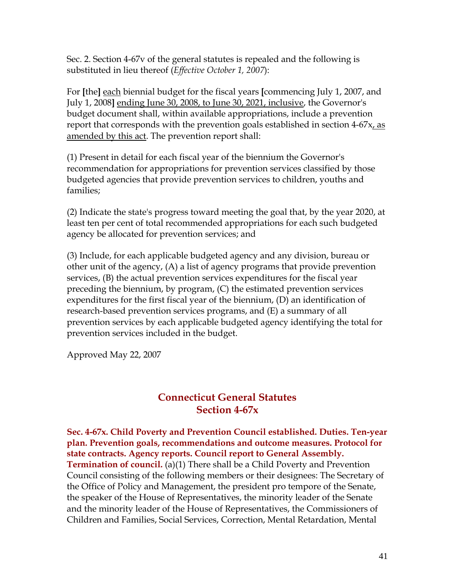Sec. 2. Section 4-67v of the general statutes is repealed and the following is substituted in lieu thereof (*Effective October 1, 2007*):

For **[**the**]** each biennial budget for the fiscal years **[**commencing July 1, 2007, and July 1, 2008**]** ending June 30, 2008, to June 30, 2021, inclusive, the Governor's budget document shall, within available appropriations, include a prevention report that corresponds with the prevention goals established in section 4-67x, as amended by this act. The prevention report shall:

(1) Present in detail for each fiscal year of the biennium the Governor's recommendation for appropriations for prevention services classified by those budgeted agencies that provide prevention services to children, youths and families;

(2) Indicate the state's progress toward meeting the goal that, by the year 2020, at least ten per cent of total recommended appropriations for each such budgeted agency be allocated for prevention services; and

(3) Include, for each applicable budgeted agency and any division, bureau or other unit of the agency, (A) a list of agency programs that provide prevention services, (B) the actual prevention services expenditures for the fiscal year preceding the biennium, by program, (C) the estimated prevention services expenditures for the first fiscal year of the biennium, (D) an identification of research-based prevention services programs, and (E) a summary of all prevention services by each applicable budgeted agency identifying the total for prevention services included in the budget.

Approved May 22, 2007

# **Connecticut General Statutes Section 4-67x**

**Sec. 4-67x. Child Poverty and Prevention Council established. Duties. Ten-year plan. Prevention goals, recommendations and outcome measures. Protocol for state contracts. Agency reports. Council report to General Assembly. Termination of council.** (a)(1) There shall be a Child Poverty and Prevention Council consisting of the following members or their designees: The Secretary of the Office of Policy and Management, the president pro tempore of the Senate, the speaker of the House of Representatives, the minority leader of the Senate and the minority leader of the House of Representatives, the Commissioners of Children and Families, Social Services, Correction, Mental Retardation, Mental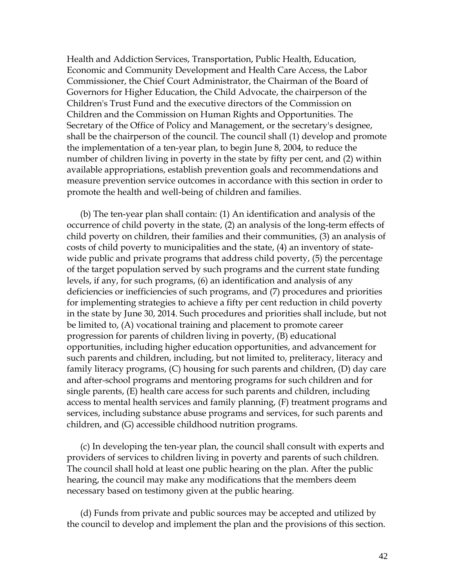Health and Addiction Services, Transportation, Public Health, Education, Economic and Community Development and Health Care Access, the Labor Commissioner, the Chief Court Administrator, the Chairman of the Board of Governors for Higher Education, the Child Advocate, the chairperson of the Children's Trust Fund and the executive directors of the Commission on Children and the Commission on Human Rights and Opportunities. The Secretary of the Office of Policy and Management, or the secretary's designee, shall be the chairperson of the council. The council shall (1) develop and promote the implementation of a ten-year plan, to begin June 8, 2004, to reduce the number of children living in poverty in the state by fifty per cent, and (2) within available appropriations, establish prevention goals and recommendations and measure prevention service outcomes in accordance with this section in order to promote the health and well-being of children and families.

 (b) The ten-year plan shall contain: (1) An identification and analysis of the occurrence of child poverty in the state, (2) an analysis of the long-term effects of child poverty on children, their families and their communities, (3) an analysis of costs of child poverty to municipalities and the state, (4) an inventory of statewide public and private programs that address child poverty, (5) the percentage of the target population served by such programs and the current state funding levels, if any, for such programs, (6) an identification and analysis of any deficiencies or inefficiencies of such programs, and (7) procedures and priorities for implementing strategies to achieve a fifty per cent reduction in child poverty in the state by June 30, 2014. Such procedures and priorities shall include, but not be limited to, (A) vocational training and placement to promote career progression for parents of children living in poverty, (B) educational opportunities, including higher education opportunities, and advancement for such parents and children, including, but not limited to, preliteracy, literacy and family literacy programs, (C) housing for such parents and children, (D) day care and after-school programs and mentoring programs for such children and for single parents, (E) health care access for such parents and children, including access to mental health services and family planning, (F) treatment programs and services, including substance abuse programs and services, for such parents and children, and (G) accessible childhood nutrition programs.

 (c) In developing the ten-year plan, the council shall consult with experts and providers of services to children living in poverty and parents of such children. The council shall hold at least one public hearing on the plan. After the public hearing, the council may make any modifications that the members deem necessary based on testimony given at the public hearing.

 (d) Funds from private and public sources may be accepted and utilized by the council to develop and implement the plan and the provisions of this section.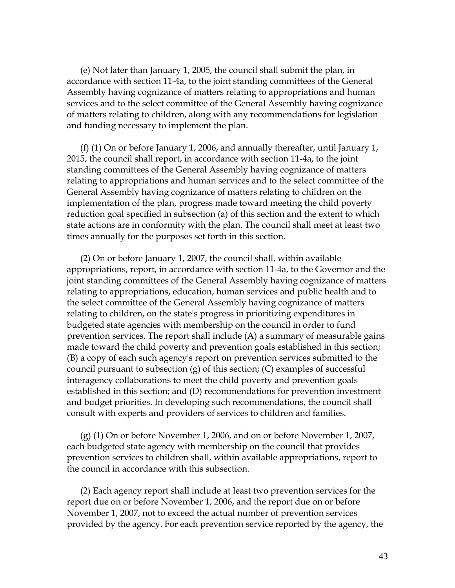(e) Not later than January 1, 2005, the council shall submit the plan, in accordance with section 11-4a, to the joint standing committees of the General Assembly having cognizance of matters relating to appropriations and human services and to the select committee of the General Assembly having cognizance of matters relating to children, along with any recommendations for legislation and funding necessary to implement the plan.

 (f) (1) On or before January 1, 2006, and annually thereafter, until January 1, 2015, the council shall report, in accordance with section 11-4a, to the joint standing committees of the General Assembly having cognizance of matters relating to appropriations and human services and to the select committee of the General Assembly having cognizance of matters relating to children on the implementation of the plan, progress made toward meeting the child poverty reduction goal specified in subsection (a) of this section and the extent to which state actions are in conformity with the plan. The council shall meet at least two times annually for the purposes set forth in this section.

 (2) On or before January 1, 2007, the council shall, within available appropriations, report, in accordance with section 11-4a, to the Governor and the joint standing committees of the General Assembly having cognizance of matters relating to appropriations, education, human services and public health and to the select committee of the General Assembly having cognizance of matters relating to children, on the state's progress in prioritizing expenditures in budgeted state agencies with membership on the council in order to fund prevention services. The report shall include (A) a summary of measurable gains made toward the child poverty and prevention goals established in this section; (B) a copy of each such agency's report on prevention services submitted to the council pursuant to subsection (g) of this section; (C) examples of successful interagency collaborations to meet the child poverty and prevention goals established in this section; and (D) recommendations for prevention investment and budget priorities. In developing such recommendations, the council shall consult with experts and providers of services to children and families.

 (g) (1) On or before November 1, 2006, and on or before November 1, 2007, each budgeted state agency with membership on the council that provides prevention services to children shall, within available appropriations, report to the council in accordance with this subsection.

 (2) Each agency report shall include at least two prevention services for the report due on or before November 1, 2006, and the report due on or before November 1, 2007, not to exceed the actual number of prevention services provided by the agency. For each prevention service reported by the agency, the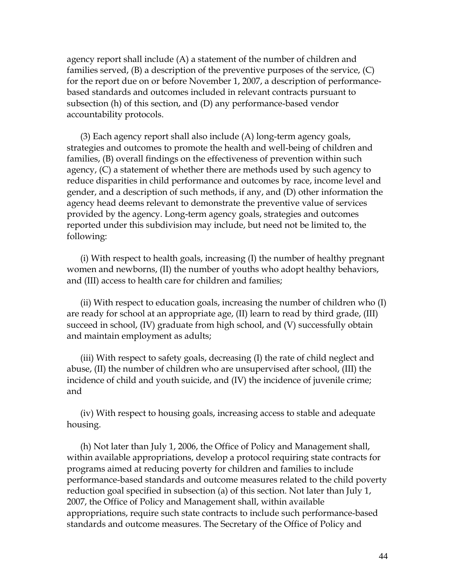agency report shall include (A) a statement of the number of children and families served, (B) a description of the preventive purposes of the service, (C) for the report due on or before November 1, 2007, a description of performancebased standards and outcomes included in relevant contracts pursuant to subsection (h) of this section, and (D) any performance-based vendor accountability protocols.

 (3) Each agency report shall also include (A) long-term agency goals, strategies and outcomes to promote the health and well-being of children and families, (B) overall findings on the effectiveness of prevention within such agency, (C) a statement of whether there are methods used by such agency to reduce disparities in child performance and outcomes by race, income level and gender, and a description of such methods, if any, and (D) other information the agency head deems relevant to demonstrate the preventive value of services provided by the agency. Long-term agency goals, strategies and outcomes reported under this subdivision may include, but need not be limited to, the following:

 (i) With respect to health goals, increasing (I) the number of healthy pregnant women and newborns, (II) the number of youths who adopt healthy behaviors, and (III) access to health care for children and families;

 (ii) With respect to education goals, increasing the number of children who (I) are ready for school at an appropriate age, (II) learn to read by third grade, (III) succeed in school, (IV) graduate from high school, and (V) successfully obtain and maintain employment as adults;

 (iii) With respect to safety goals, decreasing (I) the rate of child neglect and abuse, (II) the number of children who are unsupervised after school, (III) the incidence of child and youth suicide, and (IV) the incidence of juvenile crime; and

 (iv) With respect to housing goals, increasing access to stable and adequate housing.

 (h) Not later than July 1, 2006, the Office of Policy and Management shall, within available appropriations, develop a protocol requiring state contracts for programs aimed at reducing poverty for children and families to include performance-based standards and outcome measures related to the child poverty reduction goal specified in subsection (a) of this section. Not later than July 1, 2007, the Office of Policy and Management shall, within available appropriations, require such state contracts to include such performance-based standards and outcome measures. The Secretary of the Office of Policy and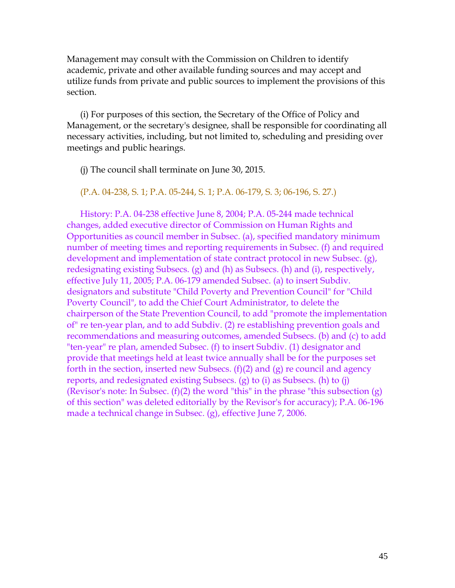Management may consult with the Commission on Children to identify academic, private and other available funding sources and may accept and utilize funds from private and public sources to implement the provisions of this section.

 (i) For purposes of this section, the Secretary of the Office of Policy and Management, or the secretary's designee, shall be responsible for coordinating all necessary activities, including, but not limited to, scheduling and presiding over meetings and public hearings.

(j) The council shall terminate on June 30, 2015.

(P.A. 04-238, S. 1; P.A. 05-244, S. 1; P.A. 06-179, S. 3; 06-196, S. 27.)

 History: P.A. 04-238 effective June 8, 2004; P.A. 05-244 made technical changes, added executive director of Commission on Human Rights and Opportunities as council member in Subsec. (a), specified mandatory minimum number of meeting times and reporting requirements in Subsec. (f) and required development and implementation of state contract protocol in new Subsec. (g), redesignating existing Subsecs. (g) and (h) as Subsecs. (h) and (i), respectively, effective July 11, 2005; P.A. 06-179 amended Subsec. (a) to insert Subdiv. designators and substitute "Child Poverty and Prevention Council" for "Child Poverty Council", to add the Chief Court Administrator, to delete the chairperson of the State Prevention Council, to add "promote the implementation of" re ten-year plan, and to add Subdiv. (2) re establishing prevention goals and recommendations and measuring outcomes, amended Subsecs. (b) and (c) to add "ten-year" re plan, amended Subsec. (f) to insert Subdiv. (1) designator and provide that meetings held at least twice annually shall be for the purposes set forth in the section, inserted new Subsecs.  $(f)(2)$  and  $(g)$  re council and agency reports, and redesignated existing Subsecs. (g) to (i) as Subsecs. (h) to (j) (Revisor's note: In Subsec.  $(f)(2)$  the word "this" in the phrase "this subsection  $(g)$ ) of this section" was deleted editorially by the Revisor's for accuracy); P.A. 06-196 made a technical change in Subsec. (g), effective June 7, 2006.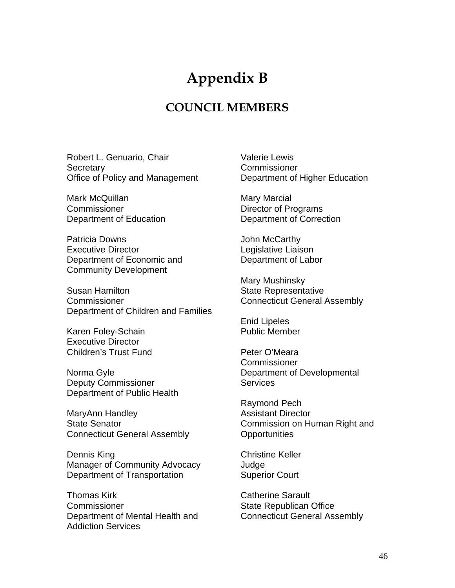# **Appendix B**

# **COUNCIL MEMBERS**

Robert L. Genuario, Chair **Secretary** Office of Policy and Management

Mark McQuillan **Commissioner** Department of Education

Patricia Downs Executive Director Department of Economic and Community Development

Susan Hamilton **Commissioner** Department of Children and Families

Karen Foley-Schain Executive Director Children's Trust Fund

Norma Gyle Deputy Commissioner Department of Public Health

MaryAnn Handley State Senator Connecticut General Assembly

Dennis King Manager of Community Advocacy Department of Transportation

Thomas Kirk **Commissioner** Department of Mental Health and Addiction Services

Valerie Lewis **Commissioner** Department of Higher Education

Mary Marcial Director of Programs Department of Correction

John McCarthy Legislative Liaison Department of Labor

Mary Mushinsky State Representative Connecticut General Assembly

Enid Lipeles Public Member

Peter O'Meara **Commissioner** Department of Developmental **Services** 

Raymond Pech Assistant Director Commission on Human Right and **Opportunities** 

Christine Keller Judge Superior Court

Catherine Sarault State Republican Office Connecticut General Assembly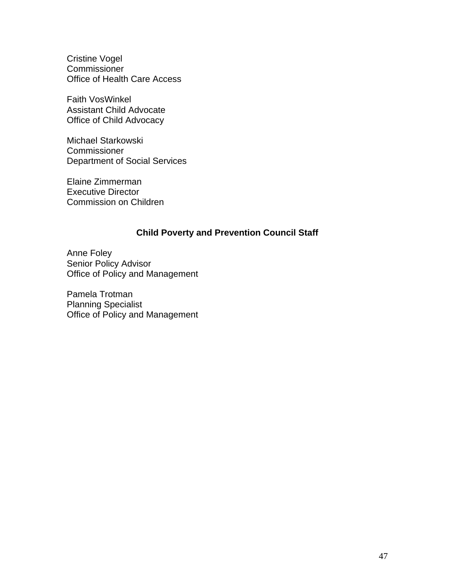Cristine Vogel **Commissioner** Office of Health Care Access

Faith VosWinkel Assistant Child Advocate Office of Child Advocacy

Michael Starkowski **Commissioner** Department of Social Services

Elaine Zimmerman Executive Director Commission on Children

## **Child Poverty and Prevention Council Staff**

Anne Foley Senior Policy Advisor Office of Policy and Management

Pamela Trotman Planning Specialist Office of Policy and Management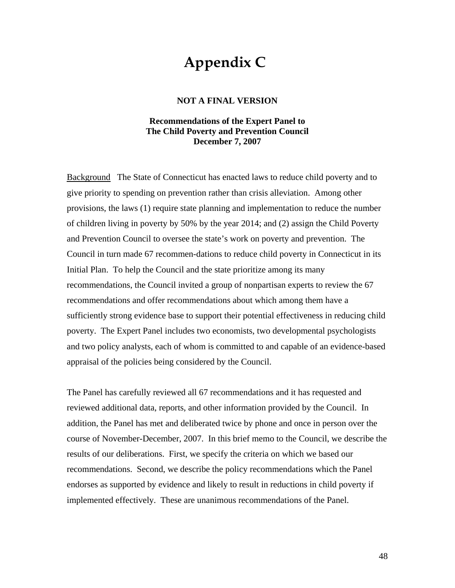# **Appendix C**

#### **NOT A FINAL VERSION**

#### **Recommendations of the Expert Panel to The Child Poverty and Prevention Council December 7, 2007**

Background The State of Connecticut has enacted laws to reduce child poverty and to give priority to spending on prevention rather than crisis alleviation. Among other provisions, the laws (1) require state planning and implementation to reduce the number of children living in poverty by 50% by the year 2014; and (2) assign the Child Poverty and Prevention Council to oversee the state's work on poverty and prevention. The Council in turn made 67 recommen-dations to reduce child poverty in Connecticut in its Initial Plan. To help the Council and the state prioritize among its many recommendations, the Council invited a group of nonpartisan experts to review the 67 recommendations and offer recommendations about which among them have a sufficiently strong evidence base to support their potential effectiveness in reducing child poverty. The Expert Panel includes two economists, two developmental psychologists and two policy analysts, each of whom is committed to and capable of an evidence-based appraisal of the policies being considered by the Council.

The Panel has carefully reviewed all 67 recommendations and it has requested and reviewed additional data, reports, and other information provided by the Council. In addition, the Panel has met and deliberated twice by phone and once in person over the course of November-December, 2007. In this brief memo to the Council, we describe the results of our deliberations. First, we specify the criteria on which we based our recommendations. Second, we describe the policy recommendations which the Panel endorses as supported by evidence and likely to result in reductions in child poverty if implemented effectively. These are unanimous recommendations of the Panel.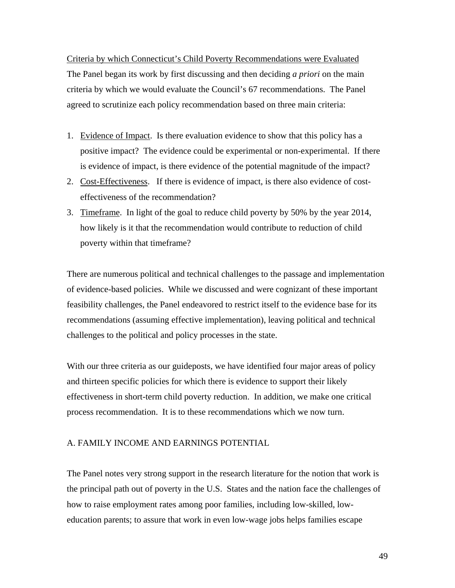Criteria by which Connecticut's Child Poverty Recommendations were Evaluated The Panel began its work by first discussing and then deciding *a priori* on the main criteria by which we would evaluate the Council's 67 recommendations. The Panel agreed to scrutinize each policy recommendation based on three main criteria:

- 1. Evidence of Impact. Is there evaluation evidence to show that this policy has a positive impact? The evidence could be experimental or non-experimental. If there is evidence of impact, is there evidence of the potential magnitude of the impact?
- 2. Cost-Effectiveness. If there is evidence of impact, is there also evidence of costeffectiveness of the recommendation?
- 3. Timeframe. In light of the goal to reduce child poverty by 50% by the year 2014, how likely is it that the recommendation would contribute to reduction of child poverty within that timeframe?

There are numerous political and technical challenges to the passage and implementation of evidence-based policies. While we discussed and were cognizant of these important feasibility challenges, the Panel endeavored to restrict itself to the evidence base for its recommendations (assuming effective implementation), leaving political and technical challenges to the political and policy processes in the state.

With our three criteria as our guideposts, we have identified four major areas of policy and thirteen specific policies for which there is evidence to support their likely effectiveness in short-term child poverty reduction. In addition, we make one critical process recommendation. It is to these recommendations which we now turn.

#### A. FAMILY INCOME AND EARNINGS POTENTIAL

The Panel notes very strong support in the research literature for the notion that work is the principal path out of poverty in the U.S. States and the nation face the challenges of how to raise employment rates among poor families, including low-skilled, loweducation parents; to assure that work in even low-wage jobs helps families escape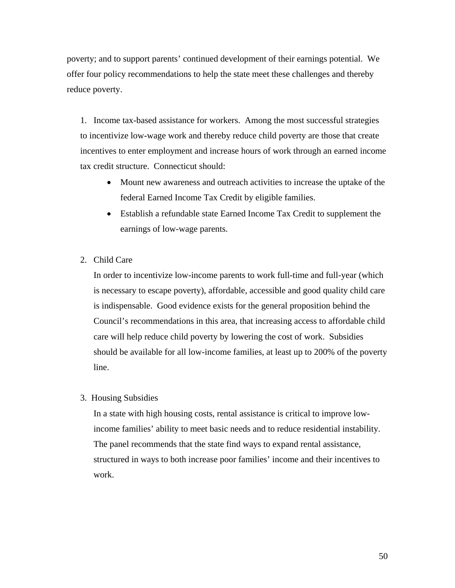poverty; and to support parents' continued development of their earnings potential. We offer four policy recommendations to help the state meet these challenges and thereby reduce poverty.

1. Income tax-based assistance for workers. Among the most successful strategies to incentivize low-wage work and thereby reduce child poverty are those that create incentives to enter employment and increase hours of work through an earned income tax credit structure. Connecticut should:

- Mount new awareness and outreach activities to increase the uptake of the federal Earned Income Tax Credit by eligible families.
- Establish a refundable state Earned Income Tax Credit to supplement the earnings of low-wage parents.
- 2. Child Care

In order to incentivize low-income parents to work full-time and full-year (which is necessary to escape poverty), affordable, accessible and good quality child care is indispensable. Good evidence exists for the general proposition behind the Council's recommendations in this area, that increasing access to affordable child care will help reduce child poverty by lowering the cost of work. Subsidies should be available for all low-income families, at least up to 200% of the poverty line.

3. Housing Subsidies

In a state with high housing costs, rental assistance is critical to improve lowincome families' ability to meet basic needs and to reduce residential instability. The panel recommends that the state find ways to expand rental assistance, structured in ways to both increase poor families' income and their incentives to work.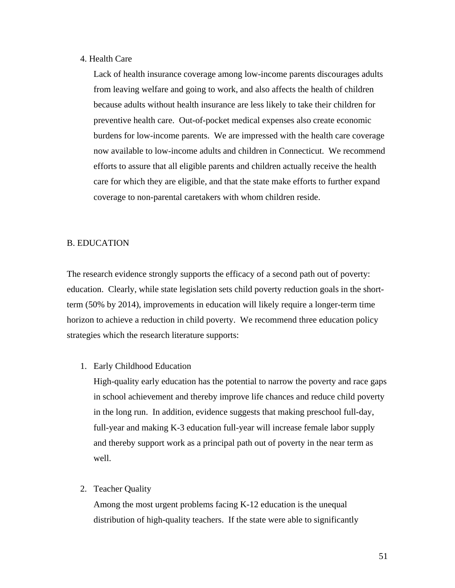#### 4. Health Care

Lack of health insurance coverage among low-income parents discourages adults from leaving welfare and going to work, and also affects the health of children because adults without health insurance are less likely to take their children for preventive health care. Out-of-pocket medical expenses also create economic burdens for low-income parents. We are impressed with the health care coverage now available to low-income adults and children in Connecticut. We recommend efforts to assure that all eligible parents and children actually receive the health care for which they are eligible, and that the state make efforts to further expand coverage to non-parental caretakers with whom children reside.

#### B. EDUCATION

The research evidence strongly supports the efficacy of a second path out of poverty: education. Clearly, while state legislation sets child poverty reduction goals in the shortterm (50% by 2014), improvements in education will likely require a longer-term time horizon to achieve a reduction in child poverty. We recommend three education policy strategies which the research literature supports:

#### 1. Early Childhood Education

High-quality early education has the potential to narrow the poverty and race gaps in school achievement and thereby improve life chances and reduce child poverty in the long run. In addition, evidence suggests that making preschool full-day, full-year and making K-3 education full-year will increase female labor supply and thereby support work as a principal path out of poverty in the near term as well.

#### 2. Teacher Quality

Among the most urgent problems facing K-12 education is the unequal distribution of high-quality teachers. If the state were able to significantly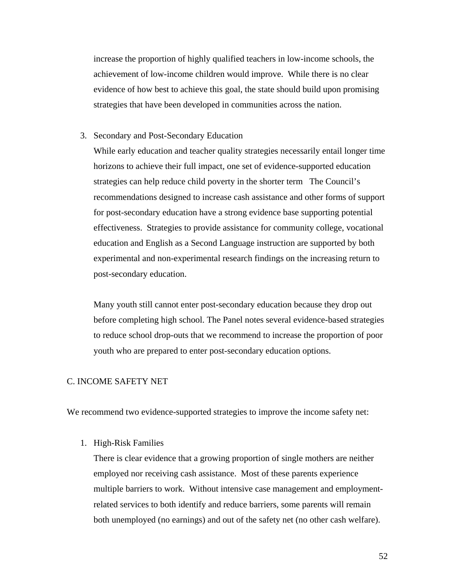increase the proportion of highly qualified teachers in low-income schools, the achievement of low-income children would improve. While there is no clear evidence of how best to achieve this goal, the state should build upon promising strategies that have been developed in communities across the nation.

#### 3. Secondary and Post-Secondary Education

While early education and teacher quality strategies necessarily entail longer time horizons to achieve their full impact, one set of evidence-supported education strategies can help reduce child poverty in the shorter term The Council's recommendations designed to increase cash assistance and other forms of support for post-secondary education have a strong evidence base supporting potential effectiveness. Strategies to provide assistance for community college, vocational education and English as a Second Language instruction are supported by both experimental and non-experimental research findings on the increasing return to post-secondary education.

Many youth still cannot enter post-secondary education because they drop out before completing high school. The Panel notes several evidence-based strategies to reduce school drop-outs that we recommend to increase the proportion of poor youth who are prepared to enter post-secondary education options.

#### C. INCOME SAFETY NET

We recommend two evidence-supported strategies to improve the income safety net:

#### 1. High-Risk Families

There is clear evidence that a growing proportion of single mothers are neither employed nor receiving cash assistance. Most of these parents experience multiple barriers to work. Without intensive case management and employmentrelated services to both identify and reduce barriers, some parents will remain both unemployed (no earnings) and out of the safety net (no other cash welfare).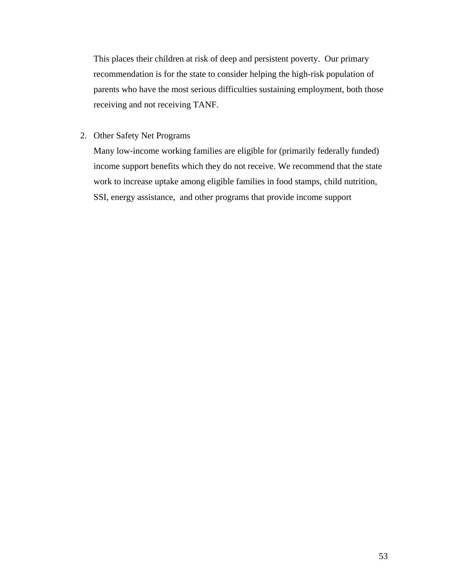This places their children at risk of deep and persistent poverty. Our primary recommendation is for the state to consider helping the high-risk population of parents who have the most serious difficulties sustaining employment, both those receiving and not receiving TANF.

2. Other Safety Net Programs

Many low-income working families are eligible for (primarily federally funded) income support benefits which they do not receive. We recommend that the state work to increase uptake among eligible families in food stamps, child nutrition, SSI, energy assistance, and other programs that provide income support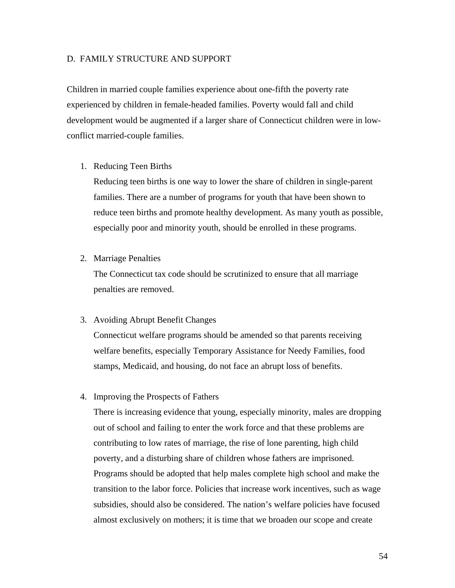#### D. FAMILY STRUCTURE AND SUPPORT

Children in married couple families experience about one-fifth the poverty rate experienced by children in female-headed families. Poverty would fall and child development would be augmented if a larger share of Connecticut children were in lowconflict married-couple families.

1. Reducing Teen Births

Reducing teen births is one way to lower the share of children in single-parent families. There are a number of programs for youth that have been shown to reduce teen births and promote healthy development. As many youth as possible, especially poor and minority youth, should be enrolled in these programs.

2. Marriage Penalties

The Connecticut tax code should be scrutinized to ensure that all marriage penalties are removed.

#### 3. Avoiding Abrupt Benefit Changes

Connecticut welfare programs should be amended so that parents receiving welfare benefits, especially Temporary Assistance for Needy Families, food stamps, Medicaid, and housing, do not face an abrupt loss of benefits.

4. Improving the Prospects of Fathers

There is increasing evidence that young, especially minority, males are dropping out of school and failing to enter the work force and that these problems are contributing to low rates of marriage, the rise of lone parenting, high child poverty, and a disturbing share of children whose fathers are imprisoned. Programs should be adopted that help males complete high school and make the transition to the labor force. Policies that increase work incentives, such as wage subsidies, should also be considered. The nation's welfare policies have focused almost exclusively on mothers; it is time that we broaden our scope and create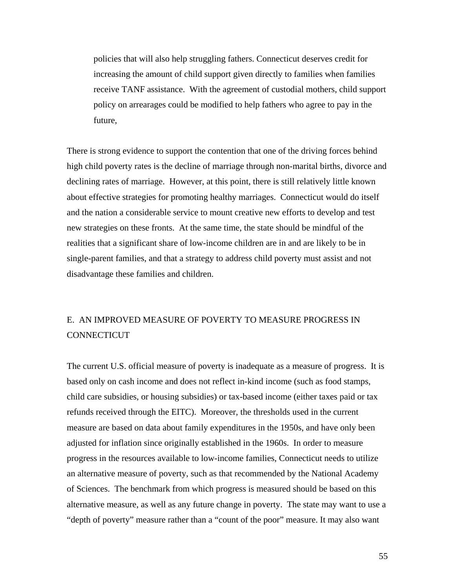policies that will also help struggling fathers. Connecticut deserves credit for increasing the amount of child support given directly to families when families receive TANF assistance. With the agreement of custodial mothers, child support policy on arrearages could be modified to help fathers who agree to pay in the future,

There is strong evidence to support the contention that one of the driving forces behind high child poverty rates is the decline of marriage through non-marital births, divorce and declining rates of marriage. However, at this point, there is still relatively little known about effective strategies for promoting healthy marriages. Connecticut would do itself and the nation a considerable service to mount creative new efforts to develop and test new strategies on these fronts. At the same time, the state should be mindful of the realities that a significant share of low-income children are in and are likely to be in single-parent families, and that a strategy to address child poverty must assist and not disadvantage these families and children.

# E. AN IMPROVED MEASURE OF POVERTY TO MEASURE PROGRESS IN **CONNECTICUT**

The current U.S. official measure of poverty is inadequate as a measure of progress. It is based only on cash income and does not reflect in-kind income (such as food stamps, child care subsidies, or housing subsidies) or tax-based income (either taxes paid or tax refunds received through the EITC). Moreover, the thresholds used in the current measure are based on data about family expenditures in the 1950s, and have only been adjusted for inflation since originally established in the 1960s. In order to measure progress in the resources available to low-income families, Connecticut needs to utilize an alternative measure of poverty, such as that recommended by the National Academy of Sciences. The benchmark from which progress is measured should be based on this alternative measure, as well as any future change in poverty. The state may want to use a "depth of poverty" measure rather than a "count of the poor" measure. It may also want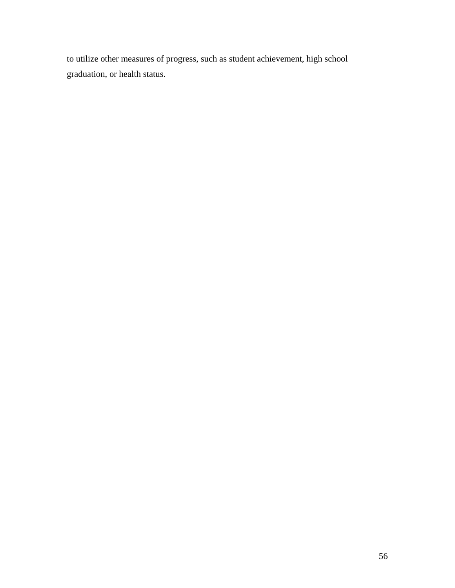to utilize other measures of progress, such as student achievement, high school graduation, or health status.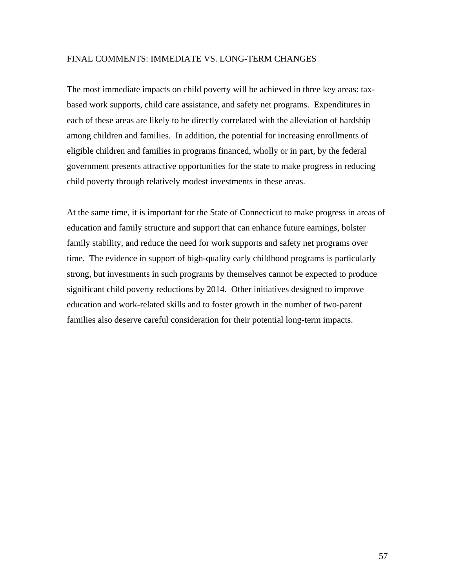#### FINAL COMMENTS: IMMEDIATE VS. LONG-TERM CHANGES

The most immediate impacts on child poverty will be achieved in three key areas: taxbased work supports, child care assistance, and safety net programs. Expenditures in each of these areas are likely to be directly correlated with the alleviation of hardship among children and families. In addition, the potential for increasing enrollments of eligible children and families in programs financed, wholly or in part, by the federal government presents attractive opportunities for the state to make progress in reducing child poverty through relatively modest investments in these areas.

At the same time, it is important for the State of Connecticut to make progress in areas of education and family structure and support that can enhance future earnings, bolster family stability, and reduce the need for work supports and safety net programs over time. The evidence in support of high-quality early childhood programs is particularly strong, but investments in such programs by themselves cannot be expected to produce significant child poverty reductions by 2014. Other initiatives designed to improve education and work-related skills and to foster growth in the number of two-parent families also deserve careful consideration for their potential long-term impacts.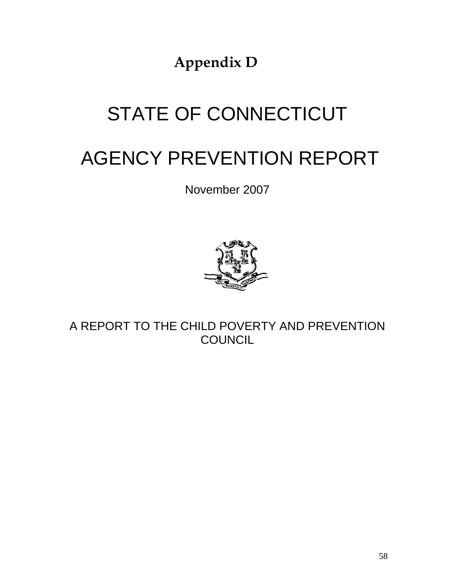**Appendix D** 

# STATE OF CONNECTICUT

# AGENCY PREVENTION REPORT

November 2007



A REPORT TO THE CHILD POVERTY AND PREVENTION **COUNCIL**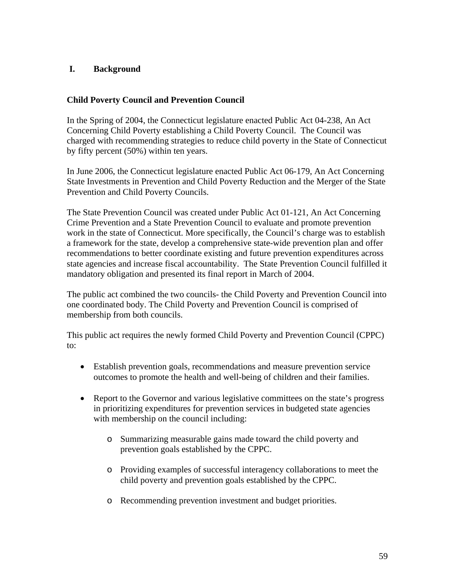## **I. Background**

#### **Child Poverty Council and Prevention Council**

In the Spring of 2004, the Connecticut legislature enacted Public Act 04-238, An Act Concerning Child Poverty establishing a Child Poverty Council. The Council was charged with recommending strategies to reduce child poverty in the State of Connecticut by fifty percent (50%) within ten years.

In June 2006, the Connecticut legislature enacted Public Act 06-179, An Act Concerning State Investments in Prevention and Child Poverty Reduction and the Merger of the State Prevention and Child Poverty Councils.

The State Prevention Council was created under Public Act 01-121, An Act Concerning Crime Prevention and a State Prevention Council to evaluate and promote prevention work in the state of Connecticut. More specifically, the Council's charge was to establish a framework for the state, develop a comprehensive state-wide prevention plan and offer recommendations to better coordinate existing and future prevention expenditures across state agencies and increase fiscal accountability. The State Prevention Council fulfilled it mandatory obligation and presented its final report in March of 2004.

The public act combined the two councils- the Child Poverty and Prevention Council into one coordinated body. The Child Poverty and Prevention Council is comprised of membership from both councils.

This public act requires the newly formed Child Poverty and Prevention Council (CPPC) to:

- Establish prevention goals, recommendations and measure prevention service outcomes to promote the health and well-being of children and their families.
- Report to the Governor and various legislative committees on the state's progress in prioritizing expenditures for prevention services in budgeted state agencies with membership on the council including:
	- o Summarizing measurable gains made toward the child poverty and prevention goals established by the CPPC.
	- o Providing examples of successful interagency collaborations to meet the child poverty and prevention goals established by the CPPC.
	- o Recommending prevention investment and budget priorities.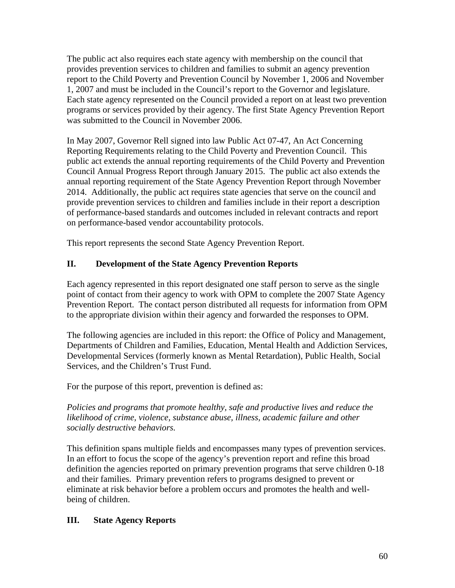The public act also requires each state agency with membership on the council that provides prevention services to children and families to submit an agency prevention report to the Child Poverty and Prevention Council by November 1, 2006 and November 1, 2007 and must be included in the Council's report to the Governor and legislature. Each state agency represented on the Council provided a report on at least two prevention programs or services provided by their agency. The first State Agency Prevention Report was submitted to the Council in November 2006.

In May 2007, Governor Rell signed into law Public Act 07-47, An Act Concerning Reporting Requirements relating to the Child Poverty and Prevention Council. This public act extends the annual reporting requirements of the Child Poverty and Prevention Council Annual Progress Report through January 2015. The public act also extends the annual reporting requirement of the State Agency Prevention Report through November 2014. Additionally, the public act requires state agencies that serve on the council and provide prevention services to children and families include in their report a description of performance-based standards and outcomes included in relevant contracts and report on performance-based vendor accountability protocols.

This report represents the second State Agency Prevention Report.

# **II. Development of the State Agency Prevention Reports**

Each agency represented in this report designated one staff person to serve as the single point of contact from their agency to work with OPM to complete the 2007 State Agency Prevention Report. The contact person distributed all requests for information from OPM to the appropriate division within their agency and forwarded the responses to OPM.

The following agencies are included in this report: the Office of Policy and Management, Departments of Children and Families, Education, Mental Health and Addiction Services, Developmental Services (formerly known as Mental Retardation), Public Health, Social Services, and the Children's Trust Fund.

For the purpose of this report, prevention is defined as:

*Policies and programs that promote healthy, safe and productive lives and reduce the likelihood of crime, violence, substance abuse, illness, academic failure and other socially destructive behaviors.* 

This definition spans multiple fields and encompasses many types of prevention services. In an effort to focus the scope of the agency's prevention report and refine this broad definition the agencies reported on primary prevention programs that serve children 0-18 and their families. Primary prevention refers to programs designed to prevent or eliminate at risk behavior before a problem occurs and promotes the health and wellbeing of children.

# **III. State Agency Reports**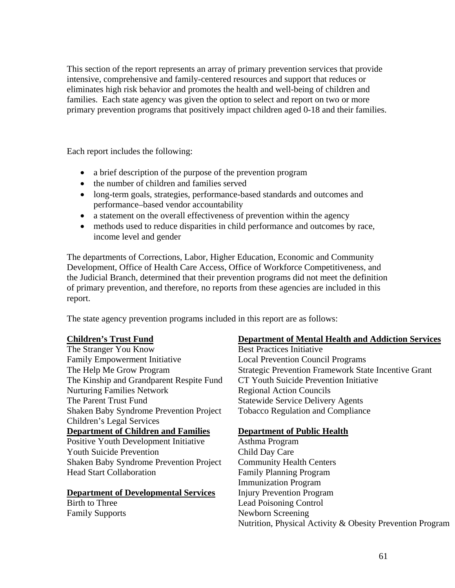This section of the report represents an array of primary prevention services that provide intensive, comprehensive and family-centered resources and support that reduces or eliminates high risk behavior and promotes the health and well-being of children and families. Each state agency was given the option to select and report on two or more primary prevention programs that positively impact children aged 0-18 and their families.

Each report includes the following:

- a brief description of the purpose of the prevention program
- the number of children and families served
- long-term goals, strategies, performance-based standards and outcomes and performance–based vendor accountability
- a statement on the overall effectiveness of prevention within the agency
- methods used to reduce disparities in child performance and outcomes by race, income level and gender

The departments of Corrections, Labor, Higher Education, Economic and Community Development, Office of Health Care Access, Office of Workforce Competitiveness, and the Judicial Branch, determined that their prevention programs did not meet the definition of primary prevention, and therefore, no reports from these agencies are included in this report.

The state agency prevention programs included in this report are as follows:

#### **Children's Trust Fund**

The Stranger You Know Family Empowerment Initiative The Help Me Grow Program The Kinship and Grandparent Respite Fund Nurturing Families Network The Parent Trust Fund Shaken Baby Syndrome Prevention Project Children's Legal Services **Department of Children and Families** Positive Youth Development Initiative Youth Suicide Prevention Shaken Baby Syndrome Prevention Project Head Start Collaboration

#### **Department of Developmental Services**

Birth to Three Family Supports

#### **Department of Mental Health and Addiction Services**

Best Practices Initiative Local Prevention Council Programs Strategic Prevention Framework State Incentive Grant CT Youth Suicide Prevention Initiative Regional Action Councils Statewide Service Delivery Agents Tobacco Regulation and Compliance

### **Department of Public Health**

Asthma Program Child Day Care Community Health Centers Family Planning Program Immunization Program Injury Prevention Program Lead Poisoning Control Newborn Screening Nutrition, Physical Activity & Obesity Prevention Program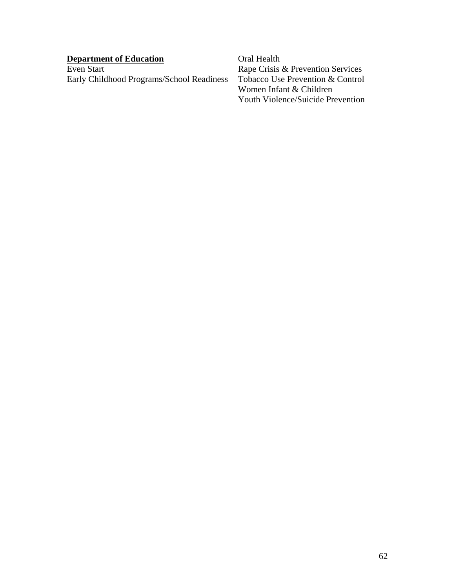| <b>Department of Education</b>            | Oral Health                       |
|-------------------------------------------|-----------------------------------|
| Even Start                                | Rape Crisis & Prevention Services |
| Early Childhood Programs/School Readiness | Tobacco Use Prevention & Control  |
|                                           | Women Infant & Children           |

Youth Violence/Suicide Prevention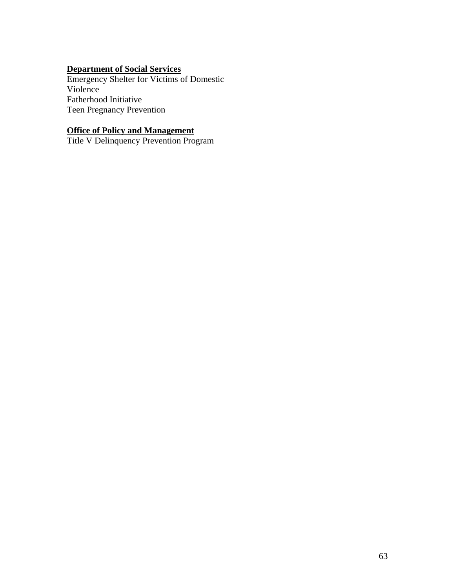## **Department of Social Services**

Emergency Shelter for Victims of Domestic Violence Fatherhood Initiative Teen Pregnancy Prevention

#### **Office of Policy and Management**

Title V Delinquency Prevention Program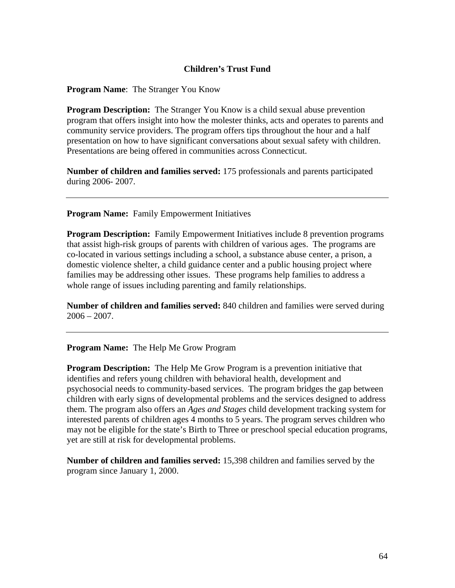#### **Children's Trust Fund**

**Program Name**: The Stranger You Know

**Program Description:** The Stranger You Know is a child sexual abuse prevention program that offers insight into how the molester thinks, acts and operates to parents and community service providers. The program offers tips throughout the hour and a half presentation on how to have significant conversations about sexual safety with children. Presentations are being offered in communities across Connecticut.

**Number of children and families served:** 175 professionals and parents participated during 2006- 2007.

**Program Name:** Family Empowerment Initiatives

**Program Description:** Family Empowerment Initiatives include 8 prevention programs that assist high-risk groups of parents with children of various ages. The programs are co-located in various settings including a school, a substance abuse center, a prison, a domestic violence shelter, a child guidance center and a public housing project where families may be addressing other issues. These programs help families to address a whole range of issues including parenting and family relationships.

**Number of children and families served:** 840 children and families were served during  $2006 - 2007$ .

**Program Name:** The Help Me Grow Program

**Program Description:** The Help Me Grow Program is a prevention initiative that identifies and refers young children with behavioral health, development and psychosocial needs to community-based services. The program bridges the gap between children with early signs of developmental problems and the services designed to address them. The program also offers an *Ages and Stages* child development tracking system for interested parents of children ages 4 months to 5 years. The program serves children who may not be eligible for the state's Birth to Three or preschool special education programs, yet are still at risk for developmental problems.

**Number of children and families served:** 15,398 children and families served by the program since January 1, 2000.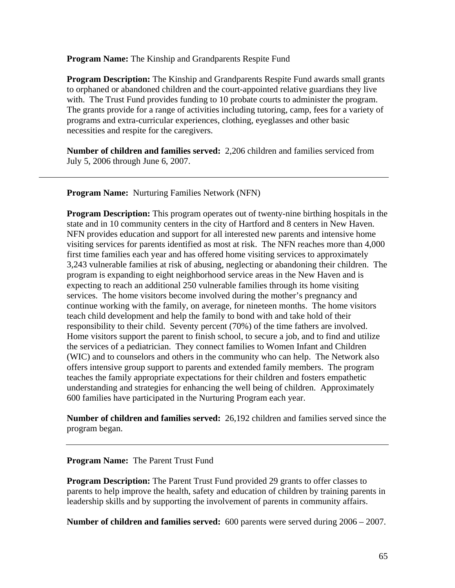**Program Name:** The Kinship and Grandparents Respite Fund

**Program Description:** The Kinship and Grandparents Respite Fund awards small grants to orphaned or abandoned children and the court-appointed relative guardians they live with. The Trust Fund provides funding to 10 probate courts to administer the program. The grants provide for a range of activities including tutoring, camp, fees for a variety of programs and extra-curricular experiences, clothing, eyeglasses and other basic necessities and respite for the caregivers.

**Number of children and families served:** 2,206 children and families serviced from July 5, 2006 through June 6, 2007.

**Program Name:** Nurturing Families Network (NFN)

**Program Description:** This program operates out of twenty-nine birthing hospitals in the state and in 10 community centers in the city of Hartford and 8 centers in New Haven. NFN provides education and support for all interested new parents and intensive home visiting services for parents identified as most at risk. The NFN reaches more than 4,000 first time families each year and has offered home visiting services to approximately 3,243 vulnerable families at risk of abusing, neglecting or abandoning their children. The program is expanding to eight neighborhood service areas in the New Haven and is expecting to reach an additional 250 vulnerable families through its home visiting services. The home visitors become involved during the mother's pregnancy and continue working with the family, on average, for nineteen months. The home visitors teach child development and help the family to bond with and take hold of their responsibility to their child. Seventy percent (70%) of the time fathers are involved. Home visitors support the parent to finish school, to secure a job, and to find and utilize the services of a pediatrician. They connect families to Women Infant and Children (WIC) and to counselors and others in the community who can help. The Network also offers intensive group support to parents and extended family members. The program teaches the family appropriate expectations for their children and fosters empathetic understanding and strategies for enhancing the well being of children. Approximately 600 families have participated in the Nurturing Program each year.

**Number of children and families served:** 26,192 children and families served since the program began.

**Program Name:** The Parent Trust Fund

**Program Description:** The Parent Trust Fund provided 29 grants to offer classes to parents to help improve the health, safety and education of children by training parents in leadership skills and by supporting the involvement of parents in community affairs.

**Number of children and families served:** 600 parents were served during 2006 – 2007.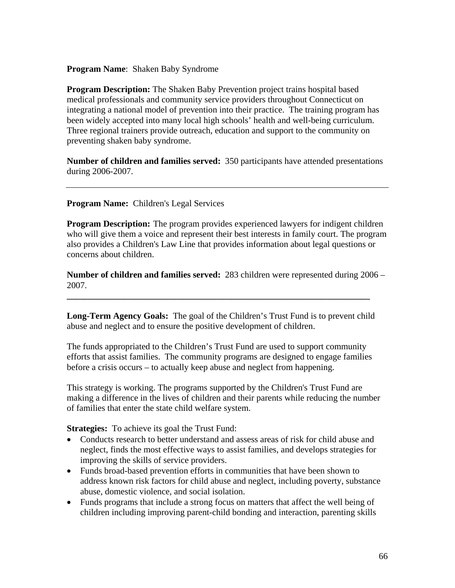#### **Program Name**: Shaken Baby Syndrome

**Program Description:** The Shaken Baby Prevention project trains hospital based medical professionals and community service providers throughout Connecticut on integrating a national model of prevention into their practice. The training program has been widely accepted into many local high schools' health and well-being curriculum. Three regional trainers provide outreach, education and support to the community on preventing shaken baby syndrome.

**Number of children and families served:** 350 participants have attended presentations during 2006-2007.

**Program Name:** Children's Legal Services

**Program Description:** The program provides experienced lawyers for indigent children who will give them a voice and represent their best interests in family court. The program also provides a Children's Law Line that provides information about legal questions or concerns about children.

**Number of children and families served:** 283 children were represented during 2006 – 2007.

**Long-Term Agency Goals:** The goal of the Children's Trust Fund is to prevent child abuse and neglect and to ensure the positive development of children.

**\_\_\_\_\_\_\_\_\_\_\_\_\_\_\_\_\_\_\_\_\_\_\_\_\_\_\_\_\_\_\_\_\_\_\_\_\_\_\_\_\_\_\_\_\_\_\_\_\_\_\_\_\_\_\_\_\_\_\_\_\_\_\_\_\_\_\_\_** 

The funds appropriated to the Children's Trust Fund are used to support community efforts that assist families. The community programs are designed to engage families before a crisis occurs – to actually keep abuse and neglect from happening.

This strategy is working. The programs supported by the Children's Trust Fund are making a difference in the lives of children and their parents while reducing the number of families that enter the state child welfare system.

**Strategies:** To achieve its goal the Trust Fund:

- Conducts research to better understand and assess areas of risk for child abuse and neglect, finds the most effective ways to assist families, and develops strategies for improving the skills of service providers.
- Funds broad-based prevention efforts in communities that have been shown to address known risk factors for child abuse and neglect, including poverty, substance abuse, domestic violence, and social isolation.
- Funds programs that include a strong focus on matters that affect the well being of children including improving parent-child bonding and interaction, parenting skills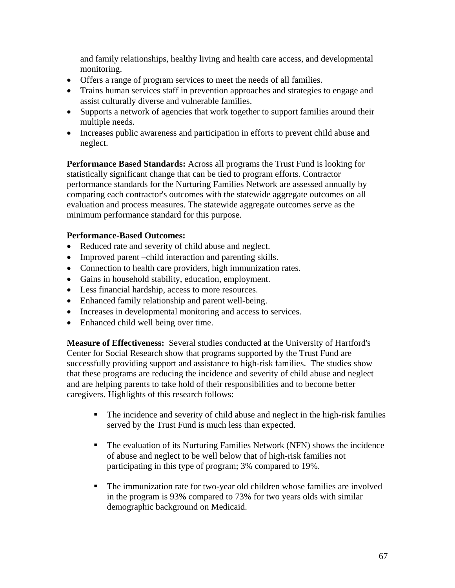and family relationships, healthy living and health care access, and developmental monitoring.

- Offers a range of program services to meet the needs of all families.
- Trains human services staff in prevention approaches and strategies to engage and assist culturally diverse and vulnerable families.
- Supports a network of agencies that work together to support families around their multiple needs.
- Increases public awareness and participation in efforts to prevent child abuse and neglect.

**Performance Based Standards:** Across all programs the Trust Fund is looking for statistically significant change that can be tied to program efforts. Contractor performance standards for the Nurturing Families Network are assessed annually by comparing each contractor's outcomes with the statewide aggregate outcomes on all evaluation and process measures. The statewide aggregate outcomes serve as the minimum performance standard for this purpose.

## **Performance-Based Outcomes:**

- Reduced rate and severity of child abuse and neglect.
- Improved parent –child interaction and parenting skills.
- Connection to health care providers, high immunization rates.
- Gains in household stability, education, employment.
- Less financial hardship, access to more resources.
- Enhanced family relationship and parent well-being.
- Increases in developmental monitoring and access to services.
- Enhanced child well being over time.

**Measure of Effectiveness:** Several studies conducted at the University of Hartford's Center for Social Research show that programs supported by the Trust Fund are successfully providing support and assistance to high-risk families. The studies show that these programs are reducing the incidence and severity of child abuse and neglect and are helping parents to take hold of their responsibilities and to become better caregivers. Highlights of this research follows:

- The incidence and severity of child abuse and neglect in the high-risk families served by the Trust Fund is much less than expected.
- The evaluation of its Nurturing Families Network (NFN) shows the incidence of abuse and neglect to be well below that of high-risk families not participating in this type of program; 3% compared to 19%.
- The immunization rate for two-year old children whose families are involved in the program is 93% compared to 73% for two years olds with similar demographic background on Medicaid.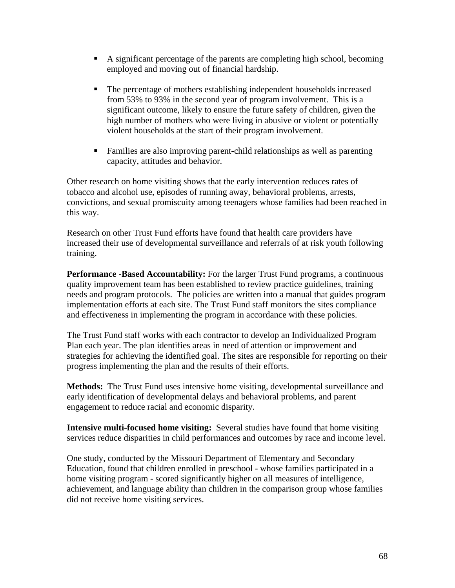- A significant percentage of the parents are completing high school, becoming employed and moving out of financial hardship.
- The percentage of mothers establishing independent households increased from 53% to 93% in the second year of program involvement. This is a significant outcome, likely to ensure the future safety of children, given the high number of mothers who were living in abusive or violent or potentially violent households at the start of their program involvement.
- Families are also improving parent-child relationships as well as parenting capacity, attitudes and behavior.

Other research on home visiting shows that the early intervention reduces rates of tobacco and alcohol use, episodes of running away, behavioral problems, arrests, convictions, and sexual promiscuity among teenagers whose families had been reached in this way.

Research on other Trust Fund efforts have found that health care providers have increased their use of developmental surveillance and referrals of at risk youth following training.

**Performance -Based Accountability:** For the larger Trust Fund programs, a continuous quality improvement team has been established to review practice guidelines, training needs and program protocols. The policies are written into a manual that guides program implementation efforts at each site. The Trust Fund staff monitors the sites compliance and effectiveness in implementing the program in accordance with these policies.

The Trust Fund staff works with each contractor to develop an Individualized Program Plan each year. The plan identifies areas in need of attention or improvement and strategies for achieving the identified goal. The sites are responsible for reporting on their progress implementing the plan and the results of their efforts.

**Methods:** The Trust Fund uses intensive home visiting, developmental surveillance and early identification of developmental delays and behavioral problems, and parent engagement to reduce racial and economic disparity.

**Intensive multi-focused home visiting:** Several studies have found that home visiting services reduce disparities in child performances and outcomes by race and income level.

One study, conducted by the Missouri Department of Elementary and Secondary Education, found that children enrolled in preschool - whose families participated in a home visiting program - scored significantly higher on all measures of intelligence, achievement, and language ability than children in the comparison group whose families did not receive home visiting services.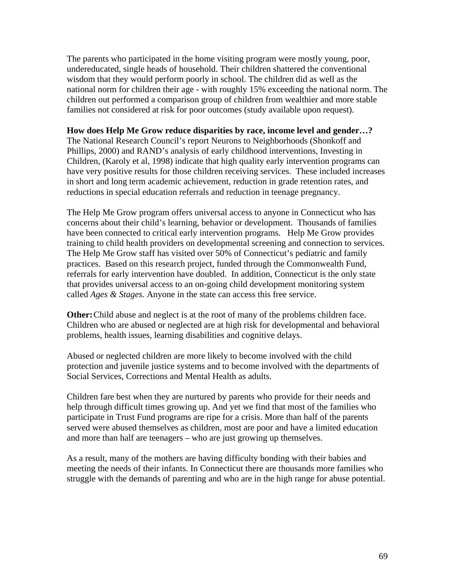The parents who participated in the home visiting program were mostly young, poor, undereducated, single heads of household. Their children shattered the conventional wisdom that they would perform poorly in school. The children did as well as the national norm for children their age - with roughly 15% exceeding the national norm. The children out performed a comparison group of children from wealthier and more stable families not considered at risk for poor outcomes (study available upon request).

#### **How does Help Me Grow reduce disparities by race, income level and gender…?**

The National Research Council's report Neurons to Neighborhoods (Shonkoff and Phillips, 2000) and RAND's analysis of early childhood interventions, Investing in Children, (Karoly et al, 1998) indicate that high quality early intervention programs can have very positive results for those children receiving services. These included increases in short and long term academic achievement, reduction in grade retention rates, and reductions in special education referrals and reduction in teenage pregnancy.

The Help Me Grow program offers universal access to anyone in Connecticut who has concerns about their child's learning, behavior or development. Thousands of families have been connected to critical early intervention programs. Help Me Grow provides training to child health providers on developmental screening and connection to services. The Help Me Grow staff has visited over 50% of Connecticut's pediatric and family practices. Based on this research project, funded through the Commonwealth Fund, referrals for early intervention have doubled. In addition, Connecticut is the only state that provides universal access to an on-going child development monitoring system called *Ages & Stages.* Anyone in the state can access this free service.

**Other:** Child abuse and neglect is at the root of many of the problems children face. Children who are abused or neglected are at high risk for developmental and behavioral problems, health issues, learning disabilities and cognitive delays.

Abused or neglected children are more likely to become involved with the child protection and juvenile justice systems and to become involved with the departments of Social Services, Corrections and Mental Health as adults.

Children fare best when they are nurtured by parents who provide for their needs and help through difficult times growing up. And yet we find that most of the families who participate in Trust Fund programs are ripe for a crisis. More than half of the parents served were abused themselves as children, most are poor and have a limited education and more than half are teenagers – who are just growing up themselves.

As a result, many of the mothers are having difficulty bonding with their babies and meeting the needs of their infants. In Connecticut there are thousands more families who struggle with the demands of parenting and who are in the high range for abuse potential.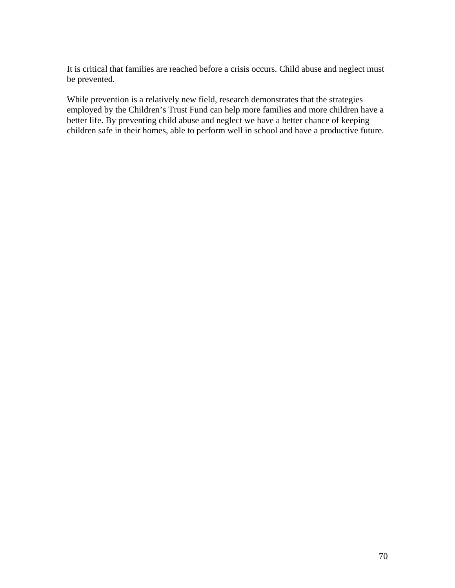It is critical that families are reached before a crisis occurs. Child abuse and neglect must be prevented.

While prevention is a relatively new field, research demonstrates that the strategies employed by the Children's Trust Fund can help more families and more children have a better life. By preventing child abuse and neglect we have a better chance of keeping children safe in their homes, able to perform well in school and have a productive future.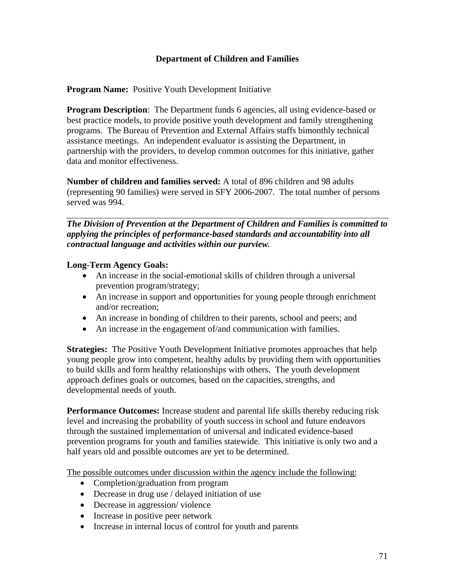# **Department of Children and Families**

**Program Name:** Positive Youth Development Initiative

**Program Description**: The Department funds 6 agencies, all using evidence-based or best practice models, to provide positive youth development and family strengthening programs. The Bureau of Prevention and External Affairs staffs bimonthly technical assistance meetings. An independent evaluator is assisting the Department, in partnership with the providers, to develop common outcomes for this initiative, gather data and monitor effectiveness.

**Number of children and families served:** A total of 896 children and 98 adults (representing 90 families) were served in SFY 2006-2007. The total number of persons served was 994.

*The Division of Prevention at the Department of Children and Families is committed to applying the principles of performance-based standards and accountability into all contractual language and activities within our purview.* 

# **Long-Term Agency Goals:**

- An increase in the social-emotional skills of children through a universal prevention program/strategy;
- An increase in support and opportunities for young people through enrichment and/or recreation;
- An increase in bonding of children to their parents, school and peers; and
- An increase in the engagement of/and communication with families.

**Strategies:** The Positive Youth Development Initiative promotes approaches that help young people grow into competent, healthy adults by providing them with opportunities to build skills and form healthy relationships with others. The youth development approach defines goals or outcomes, based on the capacities, strengths, and developmental needs of youth.

**Performance Outcomes:** Increase student and parental life skills thereby reducing risk level and increasing the probability of youth success in school and future endeavors through the sustained implementation of universal and indicated evidence-based prevention programs for youth and families statewide. This initiative is only two and a half years old and possible outcomes are yet to be determined.

The possible outcomes under discussion within the agency include the following:

- Completion/graduation from program
- Decrease in drug use / delayed initiation of use
- Decrease in aggression/violence
- Increase in positive peer network
- Increase in internal locus of control for youth and parents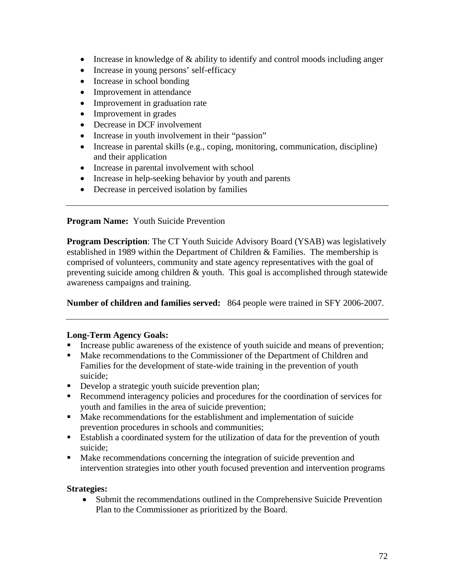- Increase in knowledge of  $&$  ability to identify and control moods including anger
- Increase in young persons' self-efficacy
- Increase in school bonding
- Improvement in attendance
- Improvement in graduation rate
- Improvement in grades
- Decrease in DCF involvement
- Increase in youth involvement in their "passion"
- Increase in parental skills (e.g., coping, monitoring, communication, discipline) and their application
- Increase in parental involvement with school
- Increase in help-seeking behavior by youth and parents
- Decrease in perceived isolation by families

**Program Name:** Youth Suicide Prevention

**Program Description**: The CT Youth Suicide Advisory Board (YSAB) was legislatively established in 1989 within the Department of Children & Families. The membership is comprised of volunteers, community and state agency representatives with the goal of preventing suicide among children & youth. This goal is accomplished through statewide awareness campaigns and training.

# **Number of children and families served:** 864 people were trained in SFY 2006-2007.

# **Long-Term Agency Goals:**

- Increase public awareness of the existence of youth suicide and means of prevention;
- Make recommendations to the Commissioner of the Department of Children and Families for the development of state-wide training in the prevention of youth suicide;
- Develop a strategic youth suicide prevention plan;
- Recommend interagency policies and procedures for the coordination of services for youth and families in the area of suicide prevention;
- Make recommendations for the establishment and implementation of suicide prevention procedures in schools and communities;
- Establish a coordinated system for the utilization of data for the prevention of youth suicide;
- Make recommendations concerning the integration of suicide prevention and intervention strategies into other youth focused prevention and intervention programs

### **Strategies:**

• Submit the recommendations outlined in the Comprehensive Suicide Prevention Plan to the Commissioner as prioritized by the Board.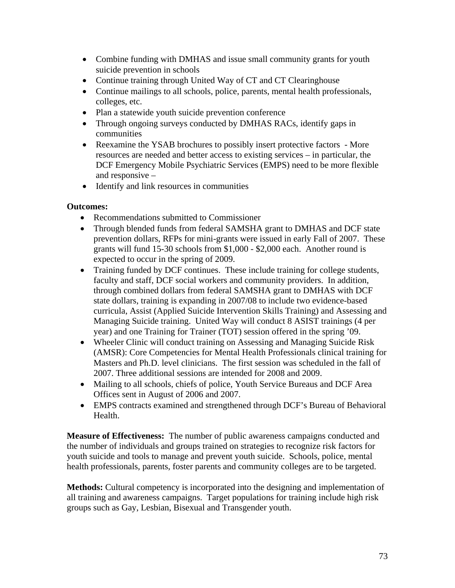- Combine funding with DMHAS and issue small community grants for youth suicide prevention in schools
- Continue training through United Way of CT and CT Clearinghouse
- Continue mailings to all schools, police, parents, mental health professionals, colleges, etc.
- Plan a statewide youth suicide prevention conference
- Through ongoing surveys conducted by DMHAS RACs, identify gaps in communities
- Reexamine the YSAB brochures to possibly insert protective factors More resources are needed and better access to existing services – in particular, the DCF Emergency Mobile Psychiatric Services (EMPS) need to be more flexible and responsive –
- Identify and link resources in communities

# **Outcomes:**

- Recommendations submitted to Commissioner
- Through blended funds from federal SAMSHA grant to DMHAS and DCF state prevention dollars, RFPs for mini-grants were issued in early Fall of 2007. These grants will fund 15-30 schools from \$1,000 - \$2,000 each. Another round is expected to occur in the spring of 2009.
- Training funded by DCF continues. These include training for college students, faculty and staff, DCF social workers and community providers. In addition, through combined dollars from federal SAMSHA grant to DMHAS with DCF state dollars, training is expanding in 2007/08 to include two evidence-based curricula, Assist (Applied Suicide Intervention Skills Training) and Assessing and Managing Suicide training. United Way will conduct 8 ASIST trainings (4 per year) and one Training for Trainer (TOT) session offered in the spring '09.
- Wheeler Clinic will conduct training on Assessing and Managing Suicide Risk (AMSR): Core Competencies for Mental Health Professionals clinical training for Masters and Ph.D. level clinicians. The first session was scheduled in the fall of 2007. Three additional sessions are intended for 2008 and 2009.
- Mailing to all schools, chiefs of police, Youth Service Bureaus and DCF Area Offices sent in August of 2006 and 2007.
- EMPS contracts examined and strengthened through DCF's Bureau of Behavioral Health.

**Measure of Effectiveness:** The number of public awareness campaigns conducted and the number of individuals and groups trained on strategies to recognize risk factors for youth suicide and tools to manage and prevent youth suicide. Schools, police, mental health professionals, parents, foster parents and community colleges are to be targeted.

**Methods:** Cultural competency is incorporated into the designing and implementation of all training and awareness campaigns. Target populations for training include high risk groups such as Gay, Lesbian, Bisexual and Transgender youth.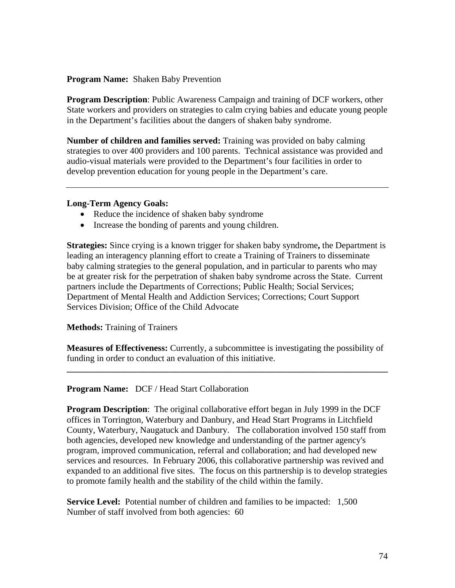### **Program Name:** Shaken Baby Prevention

**Program Description**: Public Awareness Campaign and training of DCF workers, other State workers and providers on strategies to calm crying babies and educate young people in the Department's facilities about the dangers of shaken baby syndrome.

**Number of children and families served:** Training was provided on baby calming strategies to over 400 providers and 100 parents. Technical assistance was provided and audio-visual materials were provided to the Department's four facilities in order to develop prevention education for young people in the Department's care.

### **Long-Term Agency Goals:**

- Reduce the incidence of shaken baby syndrome
- Increase the bonding of parents and young children.

**Strategies:** Since crying is a known trigger for shaken baby syndrome**,** the Department is leading an interagency planning effort to create a Training of Trainers to disseminate baby calming strategies to the general population, and in particular to parents who may be at greater risk for the perpetration of shaken baby syndrome across the State. Current partners include the Departments of Corrections; Public Health; Social Services; Department of Mental Health and Addiction Services; Corrections; Court Support Services Division; Office of the Child Advocate

**Methods:** Training of Trainers

**Measures of Effectiveness:** Currently, a subcommittee is investigating the possibility of funding in order to conduct an evaluation of this initiative.

**\_\_\_\_\_\_\_\_\_\_\_\_\_\_\_\_\_\_\_\_\_\_\_\_\_\_\_\_\_\_\_\_\_\_\_\_\_\_\_\_\_\_\_\_\_\_\_\_\_\_\_\_\_\_\_\_\_\_\_\_\_\_\_\_\_\_\_\_\_\_\_\_** 

# **Program Name:** DCF / Head Start Collaboration

**Program Description**: The original collaborative effort began in July 1999 in the DCF offices in Torrington, Waterbury and Danbury, and Head Start Programs in Litchfield County, Waterbury, Naugatuck and Danbury. The collaboration involved 150 staff from both agencies, developed new knowledge and understanding of the partner agency's program, improved communication, referral and collaboration; and had developed new services and resources. In February 2006, this collaborative partnership was revived and expanded to an additional five sites. The focus on this partnership is to develop strategies to promote family health and the stability of the child within the family.

**Service Level:** Potential number of children and families to be impacted: 1,500 Number of staff involved from both agencies: 60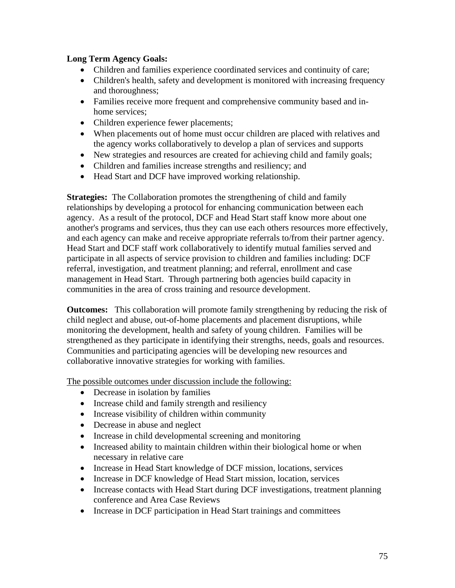# **Long Term Agency Goals:**

- Children and families experience coordinated services and continuity of care;
- Children's health, safety and development is monitored with increasing frequency and thoroughness;
- Families receive more frequent and comprehensive community based and inhome services;
- Children experience fewer placements;
- When placements out of home must occur children are placed with relatives and the agency works collaboratively to develop a plan of services and supports
- New strategies and resources are created for achieving child and family goals;
- Children and families increase strengths and resiliency; and
- Head Start and DCF have improved working relationship.

**Strategies:** The Collaboration promotes the strengthening of child and family relationships by developing a protocol for enhancing communication between each agency. As a result of the protocol, DCF and Head Start staff know more about one another's programs and services, thus they can use each others resources more effectively, and each agency can make and receive appropriate referrals to/from their partner agency. Head Start and DCF staff work collaboratively to identify mutual families served and participate in all aspects of service provision to children and families including: DCF referral, investigation, and treatment planning; and referral, enrollment and case management in Head Start. Through partnering both agencies build capacity in communities in the area of cross training and resource development.

**Outcomes:** This collaboration will promote family strengthening by reducing the risk of child neglect and abuse, out-of-home placements and placement disruptions, while monitoring the development, health and safety of young children. Families will be strengthened as they participate in identifying their strengths, needs, goals and resources. Communities and participating agencies will be developing new resources and collaborative innovative strategies for working with families.

The possible outcomes under discussion include the following:

- Decrease in isolation by families
- Increase child and family strength and resiliency
- Increase visibility of children within community
- Decrease in abuse and neglect
- Increase in child developmental screening and monitoring
- Increased ability to maintain children within their biological home or when necessary in relative care
- Increase in Head Start knowledge of DCF mission, locations, services
- Increase in DCF knowledge of Head Start mission, location, services
- Increase contacts with Head Start during DCF investigations, treatment planning conference and Area Case Reviews
- Increase in DCF participation in Head Start trainings and committees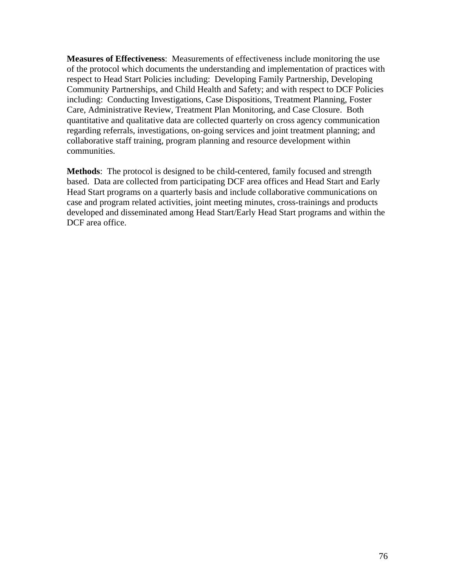**Measures of Effectiveness**: Measurements of effectiveness include monitoring the use of the protocol which documents the understanding and implementation of practices with respect to Head Start Policies including: Developing Family Partnership, Developing Community Partnerships, and Child Health and Safety; and with respect to DCF Policies including: Conducting Investigations, Case Dispositions, Treatment Planning, Foster Care, Administrative Review, Treatment Plan Monitoring, and Case Closure. Both quantitative and qualitative data are collected quarterly on cross agency communication regarding referrals, investigations, on-going services and joint treatment planning; and collaborative staff training, program planning and resource development within communities.

**Methods**: The protocol is designed to be child-centered, family focused and strength based. Data are collected from participating DCF area offices and Head Start and Early Head Start programs on a quarterly basis and include collaborative communications on case and program related activities, joint meeting minutes, cross-trainings and products developed and disseminated among Head Start/Early Head Start programs and within the DCF area office.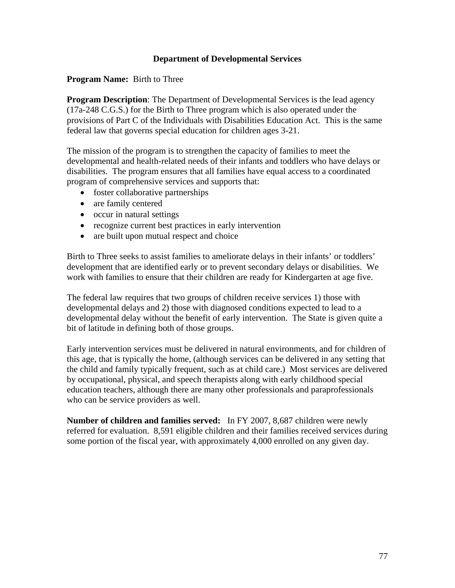## **Department of Developmental Services**

### **Program Name:** Birth to Three

**Program Description**: The Department of Developmental Services is the lead agency (17a-248 C.G.S.) for the Birth to Three program which is also operated under the provisions of Part C of the Individuals with Disabilities Education Act. This is the same federal law that governs special education for children ages 3-21.

The mission of the program is to strengthen the capacity of families to meet the developmental and health-related needs of their infants and toddlers who have delays or disabilities. The program ensures that all families have equal access to a coordinated program of comprehensive services and supports that:

- foster collaborative partnerships
- are family centered
- occur in natural settings
- recognize current best practices in early intervention
- are built upon mutual respect and choice

Birth to Three seeks to assist families to ameliorate delays in their infants' or toddlers' development that are identified early or to prevent secondary delays or disabilities. We work with families to ensure that their children are ready for Kindergarten at age five.

The federal law requires that two groups of children receive services 1) those with developmental delays and 2) those with diagnosed conditions expected to lead to a developmental delay without the benefit of early intervention. The State is given quite a bit of latitude in defining both of those groups.

Early intervention services must be delivered in natural environments, and for children of this age, that is typically the home, (although services can be delivered in any setting that the child and family typically frequent, such as at child care.) Most services are delivered by occupational, physical, and speech therapists along with early childhood special education teachers, although there are many other professionals and paraprofessionals who can be service providers as well.

**Number of children and families served:** In FY 2007, 8,687 children were newly referred for evaluation. 8,591 eligible children and their families received services during some portion of the fiscal year, with approximately 4,000 enrolled on any given day.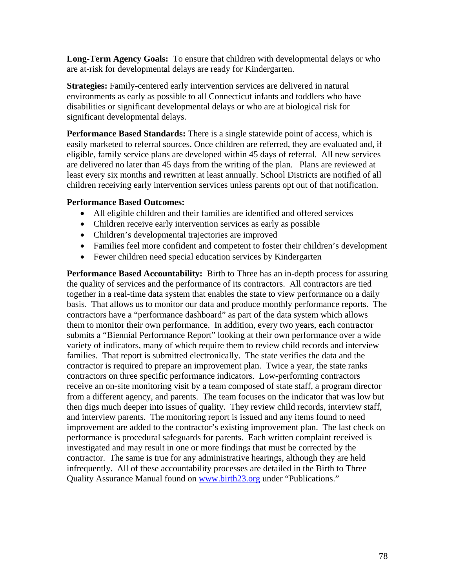**Long-Term Agency Goals:** To ensure that children with developmental delays or who are at-risk for developmental delays are ready for Kindergarten.

**Strategies:** Family-centered early intervention services are delivered in natural environments as early as possible to all Connecticut infants and toddlers who have disabilities or significant developmental delays or who are at biological risk for significant developmental delays.

**Performance Based Standards:** There is a single statewide point of access, which is easily marketed to referral sources. Once children are referred, they are evaluated and, if eligible, family service plans are developed within 45 days of referral. All new services are delivered no later than 45 days from the writing of the plan. Plans are reviewed at least every six months and rewritten at least annually. School Districts are notified of all children receiving early intervention services unless parents opt out of that notification.

### **Performance Based Outcomes:**

- All eligible children and their families are identified and offered services
- Children receive early intervention services as early as possible
- Children's developmental trajectories are improved
- Families feel more confident and competent to foster their children's development
- Fewer children need special education services by Kindergarten

**Performance Based Accountability:** Birth to Three has an in-depth process for assuring the quality of services and the performance of its contractors. All contractors are tied together in a real-time data system that enables the state to view performance on a daily basis. That allows us to monitor our data and produce monthly performance reports. The contractors have a "performance dashboard" as part of the data system which allows them to monitor their own performance. In addition, every two years, each contractor submits a "Biennial Performance Report" looking at their own performance over a wide variety of indicators, many of which require them to review child records and interview families. That report is submitted electronically. The state verifies the data and the contractor is required to prepare an improvement plan. Twice a year, the state ranks contractors on three specific performance indicators. Low-performing contractors receive an on-site monitoring visit by a team composed of state staff, a program director from a different agency, and parents. The team focuses on the indicator that was low but then digs much deeper into issues of quality. They review child records, interview staff, and interview parents. The monitoring report is issued and any items found to need improvement are added to the contractor's existing improvement plan. The last check on performance is procedural safeguards for parents. Each written complaint received is investigated and may result in one or more findings that must be corrected by the contractor. The same is true for any administrative hearings, although they are held infrequently. All of these accountability processes are detailed in the Birth to Three Quality Assurance Manual found on [www.birth23.org](http://www.birth23.org/) under "Publications."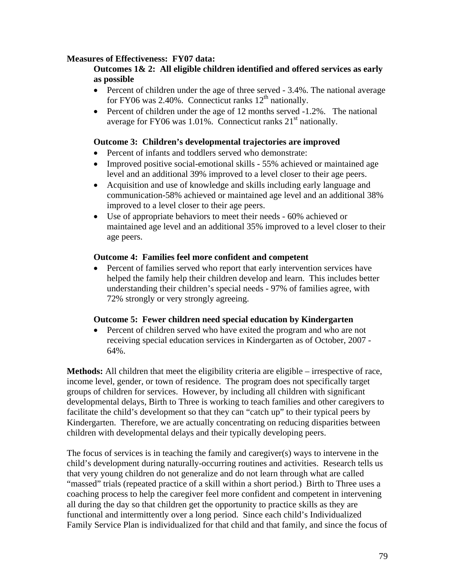## **Measures of Effectiveness: FY07 data:**

### **Outcomes 1& 2: All eligible children identified and offered services as early as possible**

- Percent of children under the age of three served 3.4%. The national average for FY06 was  $2.40\%$ . Connecticut ranks  $12<sup>th</sup>$  nationally.
- Percent of children under the age of 12 months served -1.2%. The national average for FY06 was  $1.01\%$ . Connecticut ranks  $21<sup>st</sup>$  nationally.

#### **Outcome 3: Children's developmental trajectories are improved**

- Percent of infants and toddlers served who demonstrate:
- Improved positive social-emotional skills 55% achieved or maintained age level and an additional 39% improved to a level closer to their age peers.
- Acquisition and use of knowledge and skills including early language and communication-58% achieved or maintained age level and an additional 38% improved to a level closer to their age peers.
- Use of appropriate behaviors to meet their needs 60% achieved or maintained age level and an additional 35% improved to a level closer to their age peers.

#### **Outcome 4: Families feel more confident and competent**

• Percent of families served who report that early intervention services have helped the family help their children develop and learn. This includes better understanding their children's special needs - 97% of families agree, with 72% strongly or very strongly agreeing.

### **Outcome 5: Fewer children need special education by Kindergarten**

• Percent of children served who have exited the program and who are not receiving special education services in Kindergarten as of October, 2007 - 64%.

**Methods:** All children that meet the eligibility criteria are eligible – irrespective of race, income level, gender, or town of residence. The program does not specifically target groups of children for services. However, by including all children with significant developmental delays, Birth to Three is working to teach families and other caregivers to facilitate the child's development so that they can "catch up" to their typical peers by Kindergarten. Therefore, we are actually concentrating on reducing disparities between children with developmental delays and their typically developing peers.

The focus of services is in teaching the family and caregiver(s) ways to intervene in the child's development during naturally-occurring routines and activities. Research tells us that very young children do not generalize and do not learn through what are called "massed" trials (repeated practice of a skill within a short period.) Birth to Three uses a coaching process to help the caregiver feel more confident and competent in intervening all during the day so that children get the opportunity to practice skills as they are functional and intermittently over a long period. Since each child's Individualized Family Service Plan is individualized for that child and that family, and since the focus of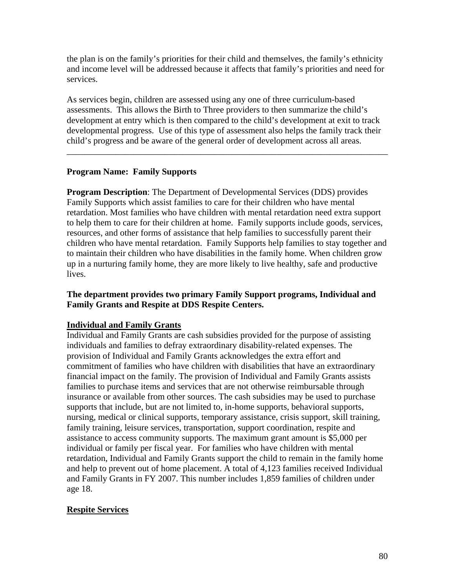the plan is on the family's priorities for their child and themselves, the family's ethnicity and income level will be addressed because it affects that family's priorities and need for services.

As services begin, children are assessed using any one of three curriculum-based assessments. This allows the Birth to Three providers to then summarize the child's development at entry which is then compared to the child's development at exit to track developmental progress. Use of this type of assessment also helps the family track their child's progress and be aware of the general order of development across all areas.

\_\_\_\_\_\_\_\_\_\_\_\_\_\_\_\_\_\_\_\_\_\_\_\_\_\_\_\_\_\_\_\_\_\_\_\_\_\_\_\_\_\_\_\_\_\_\_\_\_\_\_\_\_\_\_\_\_\_\_\_\_\_\_\_\_\_\_\_\_\_\_\_

# **Program Name: Family Supports**

**Program Description**: The Department of Developmental Services (DDS) provides Family Supports which assist families to care for their children who have mental retardation. Most families who have children with mental retardation need extra support to help them to care for their children at home. Family supports include goods, services, resources, and other forms of assistance that help families to successfully parent their children who have mental retardation. Family Supports help families to stay together and to maintain their children who have disabilities in the family home. When children grow up in a nurturing family home, they are more likely to live healthy, safe and productive lives.

### **The department provides two primary Family Support programs, Individual and Family Grants and Respite at DDS Respite Centers.**

# **Individual and Family Grants**

Individual and Family Grants are cash subsidies provided for the purpose of assisting individuals and families to defray extraordinary disability-related expenses. The provision of Individual and Family Grants acknowledges the extra effort and commitment of families who have children with disabilities that have an extraordinary financial impact on the family. The provision of Individual and Family Grants assists families to purchase items and services that are not otherwise reimbursable through insurance or available from other sources. The cash subsidies may be used to purchase supports that include, but are not limited to, in-home supports, behavioral supports, nursing, medical or clinical supports, temporary assistance, crisis support, skill training, family training, leisure services, transportation, support coordination, respite and assistance to access community supports. The maximum grant amount is \$5,000 per individual or family per fiscal year. For families who have children with mental retardation, Individual and Family Grants support the child to remain in the family home and help to prevent out of home placement. A total of 4,123 families received Individual and Family Grants in FY 2007. This number includes 1,859 families of children under age 18.

# **Respite Services**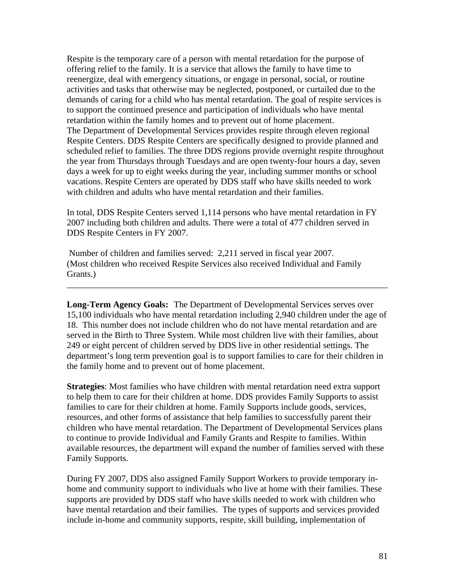Respite is the temporary care of a person with mental retardation for the purpose of offering relief to the family. It is a service that allows the family to have time to reenergize, deal with emergency situations, or engage in personal, social, or routine activities and tasks that otherwise may be neglected, postponed, or curtailed due to the demands of caring for a child who has mental retardation. The goal of respite services is to support the continued presence and participation of individuals who have mental retardation within the family homes and to prevent out of home placement. The Department of Developmental Services provides respite through eleven regional Respite Centers. DDS Respite Centers are specifically designed to provide planned and scheduled relief to families. The three DDS regions provide overnight respite throughout the year from Thursdays through Tuesdays and are open twenty-four hours a day, seven days a week for up to eight weeks during the year, including summer months or school vacations. Respite Centers are operated by DDS staff who have skills needed to work with children and adults who have mental retardation and their families.

In total, DDS Respite Centers served 1,114 persons who have mental retardation in FY 2007 including both children and adults. There were a total of 477 children served in DDS Respite Centers in FY 2007.

 Number of children and families served: 2,211 served in fiscal year 2007. (Most children who received Respite Services also received Individual and Family Grants.)

**Long-Term Agency Goals:** The Department of Developmental Services serves over 15,100 individuals who have mental retardation including 2,940 children under the age of 18. This number does not include children who do not have mental retardation and are served in the Birth to Three System. While most children live with their families, about 249 or eight percent of children served by DDS live in other residential settings. The department's long term prevention goal is to support families to care for their children in the family home and to prevent out of home placement.

\_\_\_\_\_\_\_\_\_\_\_\_\_\_\_\_\_\_\_\_\_\_\_\_\_\_\_\_\_\_\_\_\_\_\_\_\_\_\_\_\_\_\_\_\_\_\_\_\_\_\_\_\_\_\_\_\_\_\_\_\_\_\_\_\_\_\_\_\_\_\_\_

**Strategies**: Most families who have children with mental retardation need extra support to help them to care for their children at home. DDS provides Family Supports to assist families to care for their children at home. Family Supports include goods, services, resources, and other forms of assistance that help families to successfully parent their children who have mental retardation. The Department of Developmental Services plans to continue to provide Individual and Family Grants and Respite to families. Within available resources, the department will expand the number of families served with these Family Supports.

During FY 2007, DDS also assigned Family Support Workers to provide temporary inhome and community support to individuals who live at home with their families. These supports are provided by DDS staff who have skills needed to work with children who have mental retardation and their families. The types of supports and services provided include in-home and community supports, respite, skill building, implementation of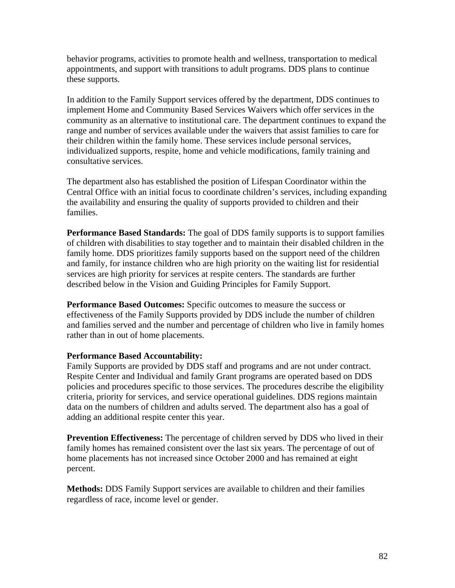behavior programs, activities to promote health and wellness, transportation to medical appointments, and support with transitions to adult programs. DDS plans to continue these supports.

In addition to the Family Support services offered by the department, DDS continues to implement Home and Community Based Services Waivers which offer services in the community as an alternative to institutional care. The department continues to expand the range and number of services available under the waivers that assist families to care for their children within the family home. These services include personal services, individualized supports, respite, home and vehicle modifications, family training and consultative services.

The department also has established the position of Lifespan Coordinator within the Central Office with an initial focus to coordinate children's services, including expanding the availability and ensuring the quality of supports provided to children and their families.

**Performance Based Standards:** The goal of DDS family supports is to support families of children with disabilities to stay together and to maintain their disabled children in the family home. DDS prioritizes family supports based on the support need of the children and family, for instance children who are high priority on the waiting list for residential services are high priority for services at respite centers. The standards are further described below in the Vision and Guiding Principles for Family Support.

**Performance Based Outcomes:** Specific outcomes to measure the success or effectiveness of the Family Supports provided by DDS include the number of children and families served and the number and percentage of children who live in family homes rather than in out of home placements.

# **Performance Based Accountability:**

Family Supports are provided by DDS staff and programs and are not under contract. Respite Center and Individual and family Grant programs are operated based on DDS policies and procedures specific to those services. The procedures describe the eligibility criteria, priority for services, and service operational guidelines. DDS regions maintain data on the numbers of children and adults served. The department also has a goal of adding an additional respite center this year.

**Prevention Effectiveness:** The percentage of children served by DDS who lived in their family homes has remained consistent over the last six years. The percentage of out of home placements has not increased since October 2000 and has remained at eight percent.

**Methods:** DDS Family Support services are available to children and their families regardless of race, income level or gender.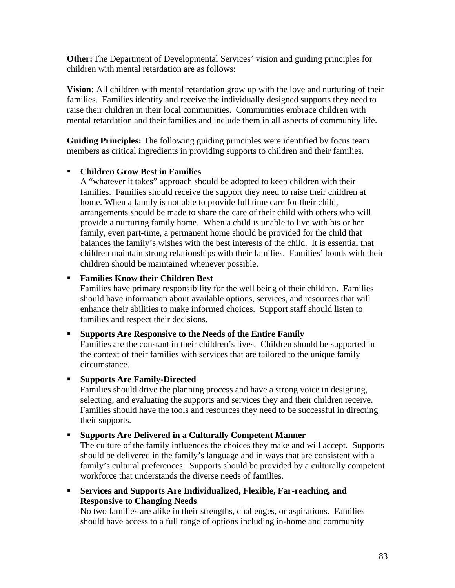**Other:** The Department of Developmental Services' vision and guiding principles for children with mental retardation are as follows:

**Vision:** All children with mental retardation grow up with the love and nurturing of their families. Families identify and receive the individually designed supports they need to raise their children in their local communities. Communities embrace children with mental retardation and their families and include them in all aspects of community life.

**Guiding Principles:** The following guiding principles were identified by focus team members as critical ingredients in providing supports to children and their families.

### **Children Grow Best in Families**

A "whatever it takes" approach should be adopted to keep children with their families. Families should receive the support they need to raise their children at home. When a family is not able to provide full time care for their child, arrangements should be made to share the care of their child with others who will provide a nurturing family home. When a child is unable to live with his or her family, even part-time, a permanent home should be provided for the child that balances the family's wishes with the best interests of the child. It is essential that children maintain strong relationships with their families. Families' bonds with their children should be maintained whenever possible.

### **Families Know their Children Best**

Families have primary responsibility for the well being of their children. Families should have information about available options, services, and resources that will enhance their abilities to make informed choices. Support staff should listen to families and respect their decisions.

### **Supports Are Responsive to the Needs of the Entire Family**

Families are the constant in their children's lives. Children should be supported in the context of their families with services that are tailored to the unique family circumstance.

### **Supports Are Family-Directed**

Families should drive the planning process and have a strong voice in designing, selecting, and evaluating the supports and services they and their children receive. Families should have the tools and resources they need to be successful in directing their supports.

### **Supports Are Delivered in a Culturally Competent Manner**

The culture of the family influences the choices they make and will accept. Supports should be delivered in the family's language and in ways that are consistent with a family's cultural preferences. Supports should be provided by a culturally competent workforce that understands the diverse needs of families.

 **Services and Supports Are Individualized, Flexible, Far-reaching, and Responsive to Changing Needs** 

No two families are alike in their strengths, challenges, or aspirations. Families should have access to a full range of options including in-home and community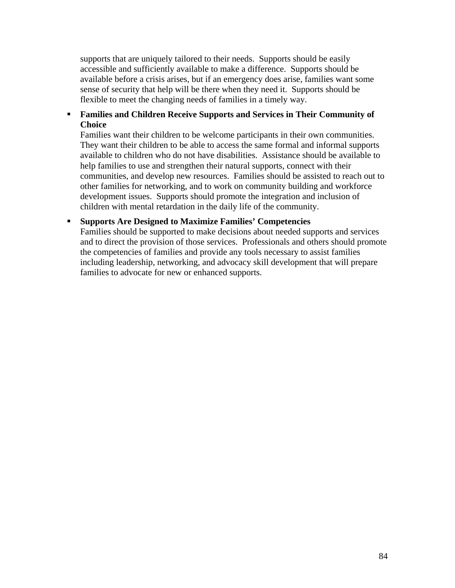supports that are uniquely tailored to their needs. Supports should be easily accessible and sufficiently available to make a difference. Supports should be available before a crisis arises, but if an emergency does arise, families want some sense of security that help will be there when they need it. Supports should be flexible to meet the changing needs of families in a timely way.

### **Families and Children Receive Supports and Services in Their Community of Choice**

Families want their children to be welcome participants in their own communities. They want their children to be able to access the same formal and informal supports available to children who do not have disabilities. Assistance should be available to help families to use and strengthen their natural supports, connect with their communities, and develop new resources. Families should be assisted to reach out to other families for networking, and to work on community building and workforce development issues. Supports should promote the integration and inclusion of children with mental retardation in the daily life of the community.

### **Supports Are Designed to Maximize Families' Competencies**

Families should be supported to make decisions about needed supports and services and to direct the provision of those services. Professionals and others should promote the competencies of families and provide any tools necessary to assist families including leadership, networking, and advocacy skill development that will prepare families to advocate for new or enhanced supports.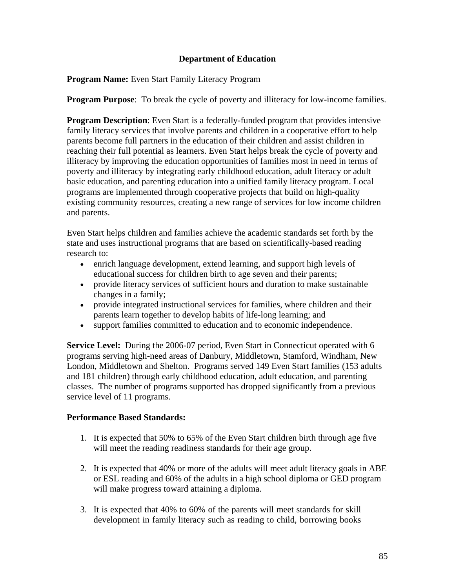# **Department of Education**

**Program Name:** Even Start Family Literacy Program

**Program Purpose**: To break the cycle of poverty and illiteracy for low-income families.

**Program Description**: Even Start is a federally-funded program that provides intensive family literacy services that involve parents and children in a cooperative effort to help parents become full partners in the education of their children and assist children in reaching their full potential as learners. Even Start helps break the cycle of poverty and illiteracy by improving the education opportunities of families most in need in terms of poverty and illiteracy by integrating early childhood education, adult literacy or adult basic education, and parenting education into a unified family literacy program. Local programs are implemented through cooperative projects that build on high-quality existing community resources, creating a new range of services for low income children and parents.

Even Start helps children and families achieve the academic standards set forth by the state and uses instructional programs that are based on scientifically-based reading research to:

- enrich language development, extend learning, and support high levels of educational success for children birth to age seven and their parents;
- provide literacy services of sufficient hours and duration to make sustainable changes in a family;
- provide integrated instructional services for families, where children and their parents learn together to develop habits of life-long learning; and
- support families committed to education and to economic independence.

**Service Level:** During the 2006-07 period, Even Start in Connecticut operated with 6 programs serving high-need areas of Danbury, Middletown, Stamford, Windham, New London, Middletown and Shelton. Programs served 149 Even Start families (153 adults and 181 children) through early childhood education, adult education, and parenting classes. The number of programs supported has dropped significantly from a previous service level of 11 programs.

### **Performance Based Standards:**

- 1. It is expected that 50% to 65% of the Even Start children birth through age five will meet the reading readiness standards for their age group.
- 2. It is expected that 40% or more of the adults will meet adult literacy goals in ABE or ESL reading and 60% of the adults in a high school diploma or GED program will make progress toward attaining a diploma.
- 3. It is expected that 40% to 60% of the parents will meet standards for skill development in family literacy such as reading to child, borrowing books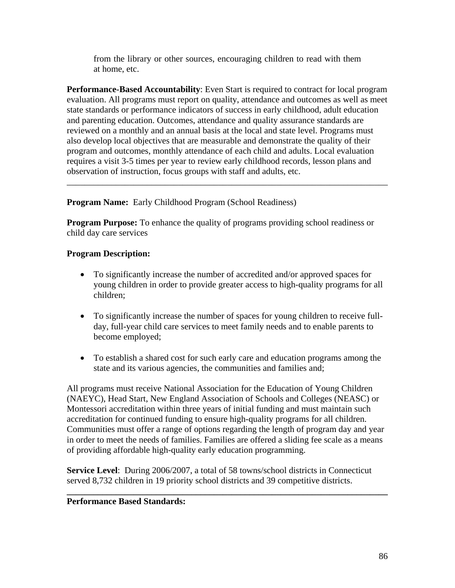from the library or other sources, encouraging children to read with them at home, etc.

**Performance-Based Accountability**: Even Start is required to contract for local program evaluation. All programs must report on quality, attendance and outcomes as well as meet state standards or performance indicators of success in early childhood, adult education and parenting education. Outcomes, attendance and quality assurance standards are reviewed on a monthly and an annual basis at the local and state level. Programs must also develop local objectives that are measurable and demonstrate the quality of their program and outcomes, monthly attendance of each child and adults. Local evaluation requires a visit 3-5 times per year to review early childhood records, lesson plans and observation of instruction, focus groups with staff and adults, etc.

\_\_\_\_\_\_\_\_\_\_\_\_\_\_\_\_\_\_\_\_\_\_\_\_\_\_\_\_\_\_\_\_\_\_\_\_\_\_\_\_\_\_\_\_\_\_\_\_\_\_\_\_\_\_\_\_\_\_\_\_\_\_\_\_\_\_\_\_\_\_\_\_

**Program Name:** Early Childhood Program (School Readiness)

**Program Purpose:** To enhance the quality of programs providing school readiness or child day care services

# **Program Description:**

- To significantly increase the number of accredited and/or approved spaces for young children in order to provide greater access to high-quality programs for all children;
- To significantly increase the number of spaces for young children to receive fullday, full-year child care services to meet family needs and to enable parents to become employed;
- To establish a shared cost for such early care and education programs among the state and its various agencies, the communities and families and;

All programs must receive National Association for the Education of Young Children (NAEYC), Head Start, New England Association of Schools and Colleges (NEASC) or Montessori accreditation within three years of initial funding and must maintain such accreditation for continued funding to ensure high-quality programs for all children. Communities must offer a range of options regarding the length of program day and year in order to meet the needs of families. Families are offered a sliding fee scale as a means of providing affordable high-quality early education programming.

**Service Level**: During 2006/2007, a total of 58 towns/school districts in Connecticut served 8,732 children in 19 priority school districts and 39 competitive districts.

**\_\_\_\_\_\_\_\_\_\_\_\_\_\_\_\_\_\_\_\_\_\_\_\_\_\_\_\_\_\_\_\_\_\_\_\_\_\_\_\_\_\_\_\_\_\_\_\_\_\_\_\_\_\_\_\_\_\_\_\_\_\_\_\_\_\_\_\_\_\_\_\_** 

# **Performance Based Standards:**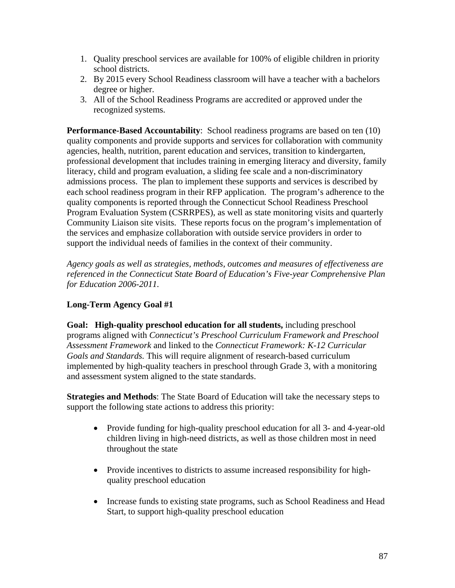- 1. Quality preschool services are available for 100% of eligible children in priority school districts.
- 2. By 2015 every School Readiness classroom will have a teacher with a bachelors degree or higher.
- 3. All of the School Readiness Programs are accredited or approved under the recognized systems.

**Performance-Based Accountability**: School readiness programs are based on ten (10) quality components and provide supports and services for collaboration with community agencies, health, nutrition, parent education and services, transition to kindergarten, professional development that includes training in emerging literacy and diversity, family literacy, child and program evaluation, a sliding fee scale and a non-discriminatory admissions process. The plan to implement these supports and services is described by each school readiness program in their RFP application. The program's adherence to the quality components is reported through the Connecticut School Readiness Preschool Program Evaluation System (CSRRPES), as well as state monitoring visits and quarterly Community Liaison site visits. These reports focus on the program's implementation of the services and emphasize collaboration with outside service providers in order to support the individual needs of families in the context of their community.

*Agency goals as well as strategies, methods, outcomes and measures of effectiveness are referenced in the Connecticut State Board of Education's Five-year Comprehensive Plan for Education 2006-2011.* 

# **Long-Term Agency Goal #1**

**Goal: High-quality preschool education for all students,** including preschool programs aligned with *Connecticut's Preschool Curriculum Framework and Preschool Assessment Framework* and linked to the *Connecticut Framework: K-12 Curricular Goals and Standards.* This will require alignment of research-based curriculum implemented by high-quality teachers in preschool through Grade 3, with a monitoring and assessment system aligned to the state standards.

**Strategies and Methods**: The State Board of Education will take the necessary steps to support the following state actions to address this priority:

- Provide funding for high-quality preschool education for all 3- and 4-year-old children living in high-need districts, as well as those children most in need throughout the state
- Provide incentives to districts to assume increased responsibility for highquality preschool education
- Increase funds to existing state programs, such as School Readiness and Head Start, to support high-quality preschool education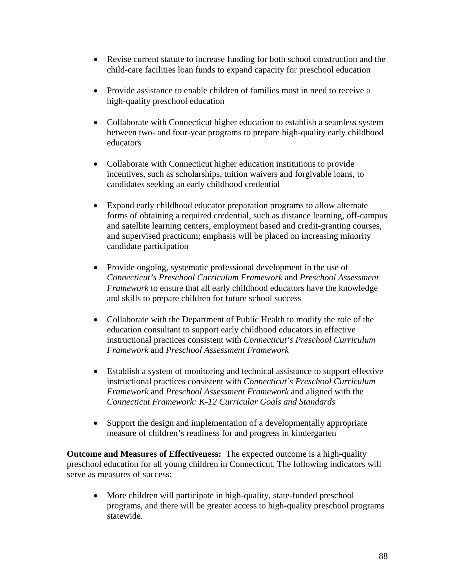- Revise current statute to increase funding for both school construction and the child-care facilities loan funds to expand capacity for preschool education
- Provide assistance to enable children of families most in need to receive a high-quality preschool education
- Collaborate with Connecticut higher education to establish a seamless system between two- and four-year programs to prepare high-quality early childhood educators
- Collaborate with Connecticut higher education institutions to provide incentives, such as scholarships, tuition waivers and forgivable loans, to candidates seeking an early childhood credential
- Expand early childhood educator preparation programs to allow alternate forms of obtaining a required credential, such as distance learning, off-campus and satellite learning centers, employment based and credit-granting courses, and supervised practicum; emphasis will be placed on increasing minority candidate participation
- Provide ongoing, systematic professional development in the use of *Connecticut's Preschool Curriculum Framework* and *Preschool Assessment Framework* to ensure that all early childhood educators have the knowledge and skills to prepare children for future school success
- Collaborate with the Department of Public Health to modify the role of the education consultant to support early childhood educators in effective instructional practices consistent with *Connecticut's Preschool Curriculum Framework* and *Preschool Assessment Framework*
- Establish a system of monitoring and technical assistance to support effective instructional practices consistent with *Connecticut's Preschool Curriculum Framework* and *Preschool Assessment Framework* and aligned with the *Connecticut Framework: K-12 Curricular Goals and Standards*
- Support the design and implementation of a developmentally appropriate measure of children's readiness for and progress in kindergarten

**Outcome and Measures of Effectiveness:** The expected outcome is a high-quality preschool education for all young children in Connecticut. The following indicators will serve as measures of success:

• More children will participate in high-quality, state-funded preschool programs, and there will be greater access to high-quality preschool programs statewide.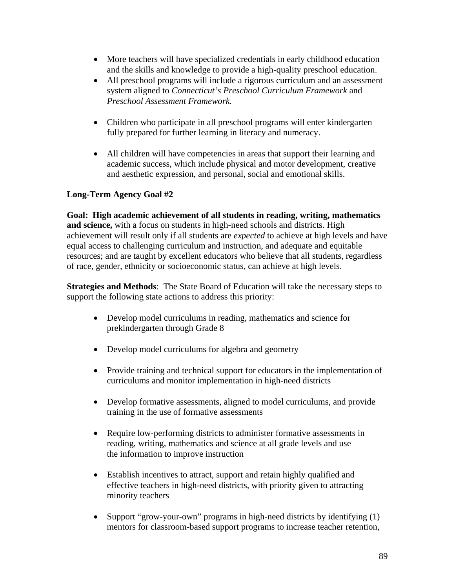- More teachers will have specialized credentials in early childhood education and the skills and knowledge to provide a high-quality preschool education.
- All preschool programs will include a rigorous curriculum and an assessment system aligned to *Connecticut's Preschool Curriculum Framework* and *Preschool Assessment Framework.*
- Children who participate in all preschool programs will enter kindergarten fully prepared for further learning in literacy and numeracy.
- All children will have competencies in areas that support their learning and academic success, which include physical and motor development, creative and aesthetic expression, and personal, social and emotional skills.

# **Long-Term Agency Goal #2**

**Goal: High academic achievement of all students in reading, writing, mathematics and science,** with a focus on students in high-need schools and districts. High achievement will result only if all students are *expected* to achieve at high levels and have equal access to challenging curriculum and instruction, and adequate and equitable resources; and are taught by excellent educators who believe that all students, regardless of race, gender, ethnicity or socioeconomic status, can achieve at high levels.

**Strategies and Methods**: The State Board of Education will take the necessary steps to support the following state actions to address this priority:

- Develop model curriculums in reading, mathematics and science for prekindergarten through Grade 8
- Develop model curriculums for algebra and geometry
- Provide training and technical support for educators in the implementation of curriculums and monitor implementation in high-need districts
- Develop formative assessments, aligned to model curriculums, and provide training in the use of formative assessments
- Require low-performing districts to administer formative assessments in reading, writing, mathematics and science at all grade levels and use the information to improve instruction
- Establish incentives to attract, support and retain highly qualified and effective teachers in high-need districts, with priority given to attracting minority teachers
- Support "grow-your-own" programs in high-need districts by identifying (1) mentors for classroom-based support programs to increase teacher retention,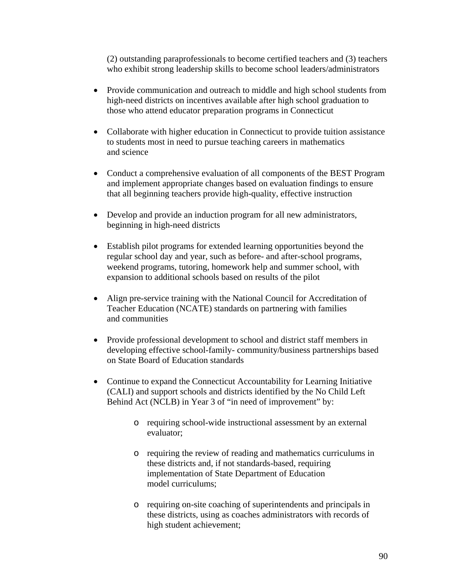(2) outstanding paraprofessionals to become certified teachers and (3) teachers who exhibit strong leadership skills to become school leaders/administrators

- Provide communication and outreach to middle and high school students from high-need districts on incentives available after high school graduation to those who attend educator preparation programs in Connecticut
- Collaborate with higher education in Connecticut to provide tuition assistance to students most in need to pursue teaching careers in mathematics and science
- Conduct a comprehensive evaluation of all components of the BEST Program and implement appropriate changes based on evaluation findings to ensure that all beginning teachers provide high-quality, effective instruction
- Develop and provide an induction program for all new administrators, beginning in high-need districts
- Establish pilot programs for extended learning opportunities beyond the regular school day and year, such as before- and after-school programs, weekend programs, tutoring, homework help and summer school, with expansion to additional schools based on results of the pilot
- Align pre-service training with the National Council for Accreditation of Teacher Education (NCATE) standards on partnering with families and communities
- Provide professional development to school and district staff members in developing effective school-family- community/business partnerships based on State Board of Education standards
- Continue to expand the Connecticut Accountability for Learning Initiative (CALI) and support schools and districts identified by the No Child Left Behind Act (NCLB) in Year 3 of "in need of improvement" by:
	- o requiring school-wide instructional assessment by an external evaluator;
	- o requiring the review of reading and mathematics curriculums in these districts and, if not standards-based, requiring implementation of State Department of Education model curriculums;
	- o requiring on-site coaching of superintendents and principals in these districts, using as coaches administrators with records of high student achievement;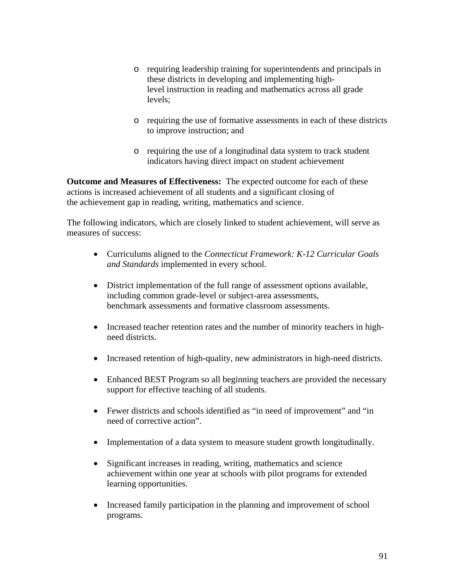- o requiring leadership training for superintendents and principals in these districts in developing and implementing highlevel instruction in reading and mathematics across all grade levels;
- o requiring the use of formative assessments in each of these districts to improve instruction; and
- o requiring the use of a longitudinal data system to track student indicators having direct impact on student achievement

**Outcome and Measures of Effectiveness:** The expected outcome for each of these actions is increased achievement of all students and a significant closing of the achievement gap in reading, writing, mathematics and science.

The following indicators, which are closely linked to student achievement, will serve as measures of success:

- Curriculums aligned to the *Connecticut Framework: K-12 Curricular Goals and Standards* implemented in every school.
- District implementation of the full range of assessment options available, including common grade-level or subject-area assessments, benchmark assessments and formative classroom assessments.
- Increased teacher retention rates and the number of minority teachers in highneed districts.
- Increased retention of high-quality, new administrators in high-need districts.
- Enhanced BEST Program so all beginning teachers are provided the necessary support for effective teaching of all students.
- Fewer districts and schools identified as "in need of improvement" and "in need of corrective action".
- Implementation of a data system to measure student growth longitudinally.
- Significant increases in reading, writing, mathematics and science achievement within one year at schools with pilot programs for extended learning opportunities.
- Increased family participation in the planning and improvement of school programs.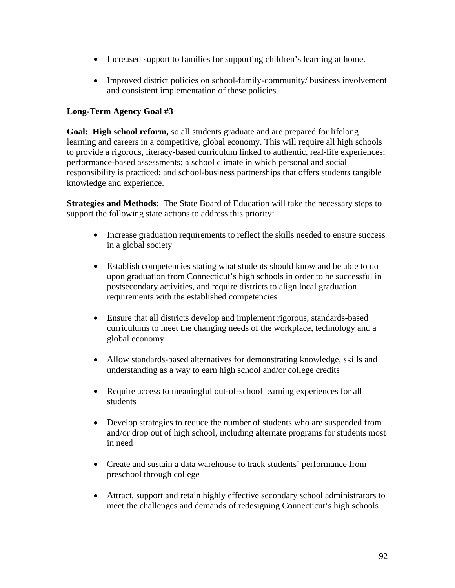- Increased support to families for supporting children's learning at home.
- Improved district policies on school-family-community/ business involvement and consistent implementation of these policies.

# **Long-Term Agency Goal #3**

**Goal: High school reform,** so all students graduate and are prepared for lifelong learning and careers in a competitive, global economy. This will require all high schools to provide a rigorous, literacy-based curriculum linked to authentic, real-life experiences; performance-based assessments; a school climate in which personal and social responsibility is practiced; and school-business partnerships that offers students tangible knowledge and experience.

**Strategies and Methods**: The State Board of Education will take the necessary steps to support the following state actions to address this priority:

- Increase graduation requirements to reflect the skills needed to ensure success in a global society
- Establish competencies stating what students should know and be able to do upon graduation from Connecticut's high schools in order to be successful in postsecondary activities, and require districts to align local graduation requirements with the established competencies
- Ensure that all districts develop and implement rigorous, standards-based curriculums to meet the changing needs of the workplace, technology and a global economy
- Allow standards-based alternatives for demonstrating knowledge, skills and understanding as a way to earn high school and/or college credits
- Require access to meaningful out-of-school learning experiences for all students
- Develop strategies to reduce the number of students who are suspended from and/or drop out of high school, including alternate programs for students most in need
- Create and sustain a data warehouse to track students' performance from preschool through college
- Attract, support and retain highly effective secondary school administrators to meet the challenges and demands of redesigning Connecticut's high schools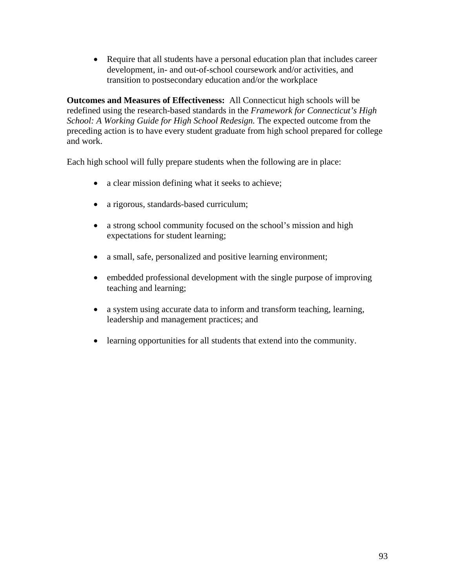• Require that all students have a personal education plan that includes career development, in- and out-of-school coursework and/or activities, and transition to postsecondary education and/or the workplace

**Outcomes and Measures of Effectiveness:** All Connecticut high schools will be redefined using the research-based standards in the *Framework for Connecticut's High School: A Working Guide for High School Redesign.* The expected outcome from the preceding action is to have every student graduate from high school prepared for college and work.

Each high school will fully prepare students when the following are in place:

- a clear mission defining what it seeks to achieve;
- a rigorous, standards-based curriculum;
- a strong school community focused on the school's mission and high expectations for student learning;
- a small, safe, personalized and positive learning environment;
- embedded professional development with the single purpose of improving teaching and learning;
- a system using accurate data to inform and transform teaching, learning, leadership and management practices; and
- learning opportunities for all students that extend into the community.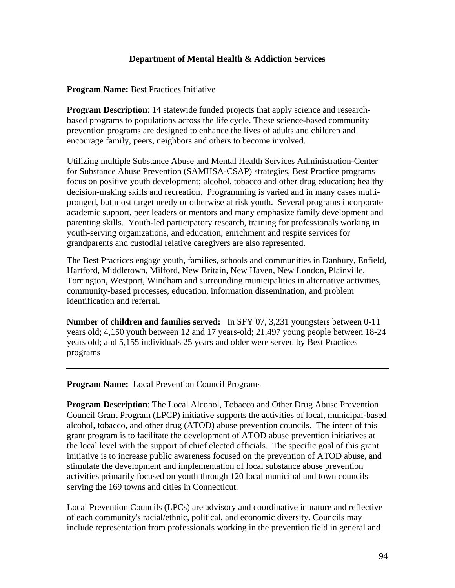### **Department of Mental Health & Addiction Services**

**Program Name:** Best Practices Initiative

**Program Description**: 14 statewide funded projects that apply science and researchbased programs to populations across the life cycle. These science-based community prevention programs are designed to enhance the lives of adults and children and encourage family, peers, neighbors and others to become involved.

Utilizing multiple Substance Abuse and Mental Health Services Administration-Center for Substance Abuse Prevention (SAMHSA-CSAP) strategies, Best Practice programs focus on positive youth development; alcohol, tobacco and other drug education; healthy decision-making skills and recreation. Programming is varied and in many cases multipronged, but most target needy or otherwise at risk youth. Several programs incorporate academic support, peer leaders or mentors and many emphasize family development and parenting skills. Youth-led participatory research, training for professionals working in youth-serving organizations, and education, enrichment and respite services for grandparents and custodial relative caregivers are also represented.

The Best Practices engage youth, families, schools and communities in Danbury, Enfield, Hartford, Middletown, Milford, New Britain, New Haven, New London, Plainville, Torrington, Westport, Windham and surrounding municipalities in alternative activities, community-based processes, education, information dissemination, and problem identification and referral.

**Number of children and families served:** In SFY 07, 3,231 youngsters between 0-11 years old; 4,150 youth between 12 and 17 years-old; 21,497 young people between 18-24 years old; and 5,155 individuals 25 years and older were served by Best Practices programs

**Program Name:** Local Prevention Council Programs

**Program Description**: The Local Alcohol, Tobacco and Other Drug Abuse Prevention Council Grant Program (LPCP) initiative supports the activities of local, municipal-based alcohol, tobacco, and other drug (ATOD) abuse prevention councils. The intent of this grant program is to facilitate the development of ATOD abuse prevention initiatives at the local level with the support of chief elected officials. The specific goal of this grant initiative is to increase public awareness focused on the prevention of ATOD abuse, and stimulate the development and implementation of local substance abuse prevention activities primarily focused on youth through 120 local municipal and town councils serving the 169 towns and cities in Connecticut.

Local Prevention Councils (LPCs) are advisory and coordinative in nature and reflective of each community's racial/ethnic, political, and economic diversity. Councils may include representation from professionals working in the prevention field in general and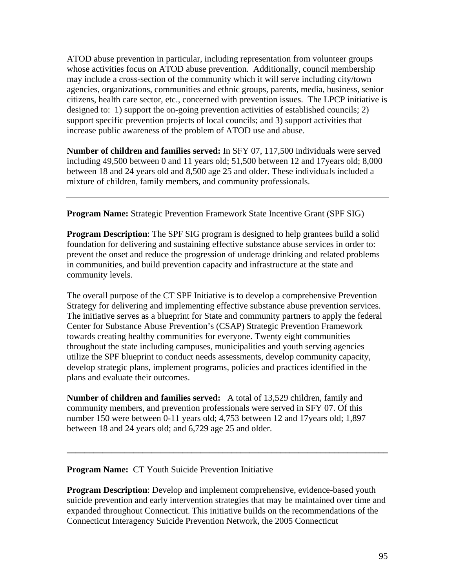ATOD abuse prevention in particular, including representation from volunteer groups whose activities focus on ATOD abuse prevention. Additionally, council membership may include a cross-section of the community which it will serve including city/town agencies, organizations, communities and ethnic groups, parents, media, business, senior citizens, health care sector, etc., concerned with prevention issues. The LPCP initiative is designed to: 1) support the on-going prevention activities of established councils; 2) support specific prevention projects of local councils; and 3) support activities that increase public awareness of the problem of ATOD use and abuse.

**Number of children and families served:** In SFY 07, 117,500 individuals were served including 49,500 between 0 and 11 years old; 51,500 between 12 and 17years old; 8,000 between 18 and 24 years old and 8,500 age 25 and older. These individuals included a mixture of children, family members, and community professionals.

**Program Name:** Strategic Prevention Framework State Incentive Grant (SPF SIG)

**Program Description**: The SPF SIG program is designed to help grantees build a solid foundation for delivering and sustaining effective substance abuse services in order to: prevent the onset and reduce the progression of underage drinking and related problems in communities, and build prevention capacity and infrastructure at the state and community levels.

The overall purpose of the CT SPF Initiative is to develop a comprehensive Prevention Strategy for delivering and implementing effective substance abuse prevention services. The initiative serves as a blueprint for State and community partners to apply the federal Center for Substance Abuse Prevention's (CSAP) Strategic Prevention Framework towards creating healthy communities for everyone. Twenty eight communities throughout the state including campuses, municipalities and youth serving agencies utilize the SPF blueprint to conduct needs assessments, develop community capacity, develop strategic plans, implement programs, policies and practices identified in the plans and evaluate their outcomes.

**Number of children and families served:** A total of 13,529 children, family and community members, and prevention professionals were served in SFY 07. Of this number 150 were between 0-11 years old; 4,753 between 12 and 17years old; 1,897 between 18 and 24 years old; and 6,729 age 25 and older.

# **Program Name:** CT Youth Suicide Prevention Initiative

**Program Description**: Develop and implement comprehensive, evidence-based youth suicide prevention and early intervention strategies that may be maintained over time and expanded throughout Connecticut. This initiative builds on the recommendations of the Connecticut Interagency Suicide Prevention Network, the 2005 Connecticut

**\_\_\_\_\_\_\_\_\_\_\_\_\_\_\_\_\_\_\_\_\_\_\_\_\_\_\_\_\_\_\_\_\_\_\_\_\_\_\_\_\_\_\_\_\_\_\_\_\_\_\_\_\_\_\_\_\_\_\_\_\_\_\_\_\_\_\_\_\_\_\_\_**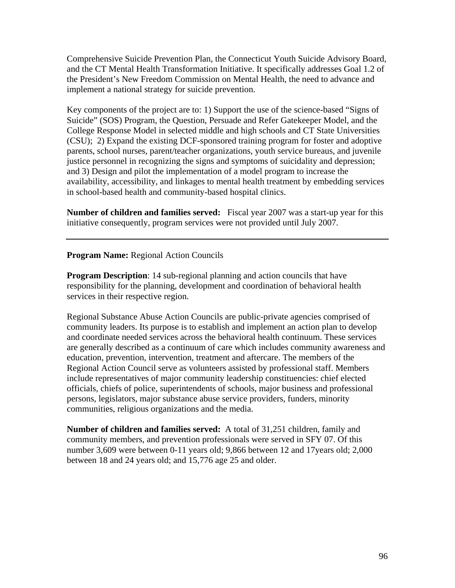Comprehensive Suicide Prevention Plan, the Connecticut Youth Suicide Advisory Board, and the CT Mental Health Transformation Initiative. It specifically addresses Goal 1.2 of the President's New Freedom Commission on Mental Health, the need to advance and implement a national strategy for suicide prevention.

Key components of the project are to: 1) Support the use of the science-based "Signs of Suicide" (SOS) Program, the Question, Persuade and Refer Gatekeeper Model, and the College Response Model in selected middle and high schools and CT State Universities (CSU); 2) Expand the existing DCF-sponsored training program for foster and adoptive parents, school nurses, parent/teacher organizations, youth service bureaus, and juvenile justice personnel in recognizing the signs and symptoms of suicidality and depression; and 3) Design and pilot the implementation of a model program to increase the availability, accessibility, and linkages to mental health treatment by embedding services in school-based health and community-based hospital clinics.

**Number of children and families served:** Fiscal year 2007 was a start-up year for this initiative consequently, program services were not provided until July 2007.

**Program Name:** Regional Action Councils

**Program Description**: 14 sub-regional planning and action councils that have responsibility for the planning, development and coordination of behavioral health services in their respective region.

Regional Substance Abuse Action Councils are public-private agencies comprised of community leaders. Its purpose is to establish and implement an action plan to develop and coordinate needed services across the behavioral health continuum. These services are generally described as a continuum of care which includes community awareness and education, prevention, intervention, treatment and aftercare. The members of the Regional Action Council serve as volunteers assisted by professional staff. Members include representatives of major community leadership constituencies: chief elected officials, chiefs of police, superintendents of schools, major business and professional persons, legislators, major substance abuse service providers, funders, minority communities, religious organizations and the media.

**Number of children and families served:** A total of 31,251 children, family and community members, and prevention professionals were served in SFY 07. Of this number 3,609 were between 0-11 years old; 9,866 between 12 and 17years old; 2,000 between 18 and 24 years old; and 15,776 age 25 and older.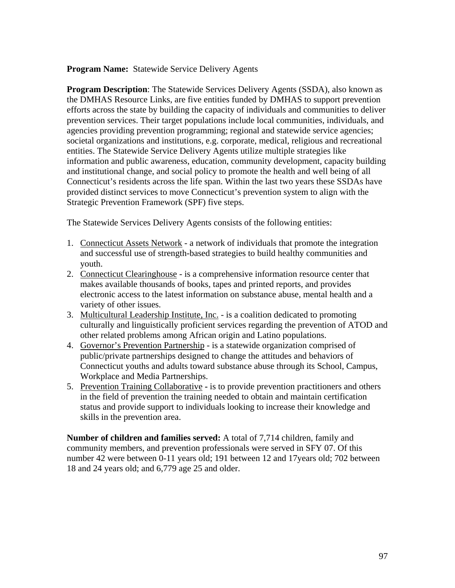**Program Name:** Statewide Service Delivery Agents

**Program Description:** The Statewide Services Delivery Agents (SSDA), also known as the DMHAS Resource Links, are five entities funded by DMHAS to support prevention efforts across the state by building the capacity of individuals and communities to deliver prevention services. Their target populations include local communities, individuals, and agencies providing prevention programming; regional and statewide service agencies; societal organizations and institutions, e.g. corporate, medical, religious and recreational entities. The Statewide Service Delivery Agents utilize multiple strategies like information and public awareness, education, community development, capacity building and institutional change, and social policy to promote the health and well being of all Connecticut's residents across the life span. Within the last two years these SSDAs have provided distinct services to move Connecticut's prevention system to align with the Strategic Prevention Framework (SPF) five steps.

The Statewide Services Delivery Agents consists of the following entities:

- 1. Connecticut Assets Network a network of individuals that promote the integration and successful use of strength-based strategies to build healthy communities and youth.
- 2. Connecticut Clearinghouse is a comprehensive information resource center that makes available thousands of books, tapes and printed reports, and provides electronic access to the latest information on substance abuse, mental health and a variety of other issues.
- 3. Multicultural Leadership Institute, Inc. is a coalition dedicated to promoting culturally and linguistically proficient services regarding the prevention of ATOD and other related problems among African origin and Latino populations.
- 4. Governor's Prevention Partnership is a statewide organization comprised of public/private partnerships designed to change the attitudes and behaviors of Connecticut youths and adults toward substance abuse through its School, Campus, Workplace and Media Partnerships.
- 5. Prevention Training Collaborativeis to provide prevention practitioners and others in the field of prevention the training needed to obtain and maintain certification status and provide support to individuals looking to increase their knowledge and skills in the prevention area.

**Number of children and families served:** A total of 7,714 children, family and community members, and prevention professionals were served in SFY 07. Of this number 42 were between 0-11 years old; 191 between 12 and 17years old; 702 between 18 and 24 years old; and 6,779 age 25 and older.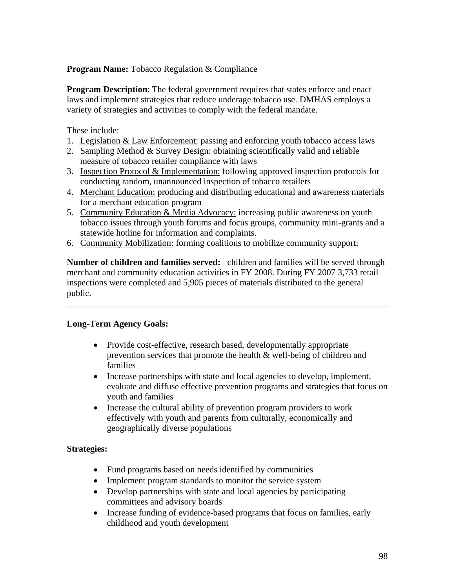# **Program Name:** Tobacco Regulation & Compliance

**Program Description**: The federal government requires that states enforce and enact laws and implement strategies that reduce underage tobacco use. DMHAS employs a variety of strategies and activities to comply with the federal mandate.

These include:

- 1. Legislation & Law Enforcement: passing and enforcing youth tobacco access laws
- 2. Sampling Method & Survey Design: obtaining scientifically valid and reliable measure of tobacco retailer compliance with laws
- 3. Inspection Protocol & Implementation: following approved inspection protocols for conducting random, unannounced inspection of tobacco retailers
- 4. Merchant Education: producing and distributing educational and awareness materials for a merchant education program
- 5. Community Education & Media Advocacy: increasing public awareness on youth tobacco issues through youth forums and focus groups, community mini-grants and a statewide hotline for information and complaints.
- 6. Community Mobilization: forming coalitions to mobilize community support;

**Number of children and families served:** children and families will be served through merchant and community education activities in FY 2008. During FY 2007 3,733 retail inspections were completed and 5,905 pieces of materials distributed to the general public.

\_\_\_\_\_\_\_\_\_\_\_\_\_\_\_\_\_\_\_\_\_\_\_\_\_\_\_\_\_\_\_\_\_\_\_\_\_\_\_\_\_\_\_\_\_\_\_\_\_\_\_\_\_\_\_\_\_\_\_\_\_\_\_\_\_\_\_\_\_\_\_\_

### **Long-Term Agency Goals:**

- Provide cost-effective, research based, developmentally appropriate prevention services that promote the health & well-being of children and families
- Increase partnerships with state and local agencies to develop, implement, evaluate and diffuse effective prevention programs and strategies that focus on youth and families
- Increase the cultural ability of prevention program providers to work effectively with youth and parents from culturally, economically and geographically diverse populations

# **Strategies:**

- Fund programs based on needs identified by communities
- Implement program standards to monitor the service system
- Develop partnerships with state and local agencies by participating committees and advisory boards
- Increase funding of evidence-based programs that focus on families, early childhood and youth development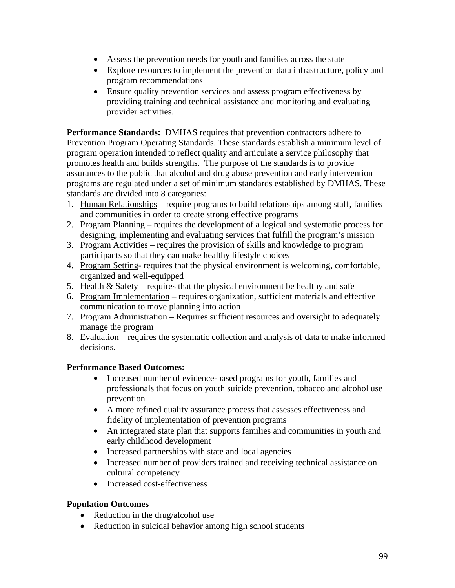- Assess the prevention needs for youth and families across the state
- Explore resources to implement the prevention data infrastructure, policy and program recommendations
- Ensure quality prevention services and assess program effectiveness by providing training and technical assistance and monitoring and evaluating provider activities.

**Performance Standards:** DMHAS requires that prevention contractors adhere to Prevention Program Operating Standards. These standards establish a minimum level of program operation intended to reflect quality and articulate a service philosophy that promotes health and builds strengths. The purpose of the standards is to provide assurances to the public that alcohol and drug abuse prevention and early intervention programs are regulated under a set of minimum standards established by DMHAS. These standards are divided into 8 categories:

- 1. Human Relationships require programs to build relationships among staff, families and communities in order to create strong effective programs
- 2. Program Planning requires the development of a logical and systematic process for designing, implementing and evaluating services that fulfill the program's mission
- 3. Program Activities requires the provision of skills and knowledge to program participants so that they can make healthy lifestyle choices
- 4. Program Setting- requires that the physical environment is welcoming, comfortable, organized and well-equipped
- 5. Health & Safety requires that the physical environment be healthy and safe
- 6. Program Implementation requires organization, sufficient materials and effective communication to move planning into action
- 7. Program Administration Requires sufficient resources and oversight to adequately manage the program
- 8. Evaluation requires the systematic collection and analysis of data to make informed decisions.

# **Performance Based Outcomes:**

- Increased number of evidence-based programs for youth, families and professionals that focus on youth suicide prevention, tobacco and alcohol use prevention
- A more refined quality assurance process that assesses effectiveness and fidelity of implementation of prevention programs
- An integrated state plan that supports families and communities in youth and early childhood development
- Increased partnerships with state and local agencies
- Increased number of providers trained and receiving technical assistance on cultural competency
- Increased cost-effectiveness

# **Population Outcomes**

- Reduction in the drug/alcohol use
- Reduction in suicidal behavior among high school students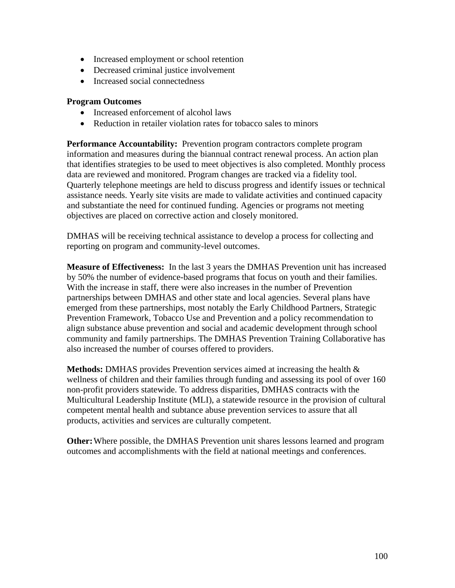- Increased employment or school retention
- Decreased criminal justice involvement
- Increased social connectedness

### **Program Outcomes**

- Increased enforcement of alcohol laws
- Reduction in retailer violation rates for tobacco sales to minors

**Performance Accountability:** Prevention program contractors complete program information and measures during the biannual contract renewal process. An action plan that identifies strategies to be used to meet objectives is also completed. Monthly process data are reviewed and monitored. Program changes are tracked via a fidelity tool. Quarterly telephone meetings are held to discuss progress and identify issues or technical assistance needs. Yearly site visits are made to validate activities and continued capacity and substantiate the need for continued funding. Agencies or programs not meeting objectives are placed on corrective action and closely monitored.

DMHAS will be receiving technical assistance to develop a process for collecting and reporting on program and community-level outcomes.

**Measure of Effectiveness:** In the last 3 years the DMHAS Prevention unit has increased by 50% the number of evidence-based programs that focus on youth and their families. With the increase in staff, there were also increases in the number of Prevention partnerships between DMHAS and other state and local agencies. Several plans have emerged from these partnerships, most notably the Early Childhood Partners, Strategic Prevention Framework, Tobacco Use and Prevention and a policy recommendation to align substance abuse prevention and social and academic development through school community and family partnerships. The DMHAS Prevention Training Collaborative has also increased the number of courses offered to providers.

**Methods:** DMHAS provides Prevention services aimed at increasing the health & wellness of children and their families through funding and assessing its pool of over 160 non-profit providers statewide. To address disparities, DMHAS contracts with the Multicultural Leadership Institute (MLI), a statewide resource in the provision of cultural competent mental health and subtance abuse prevention services to assure that all products, activities and services are culturally competent.

**Other:** Where possible, the DMHAS Prevention unit shares lessons learned and program outcomes and accomplishments with the field at national meetings and conferences.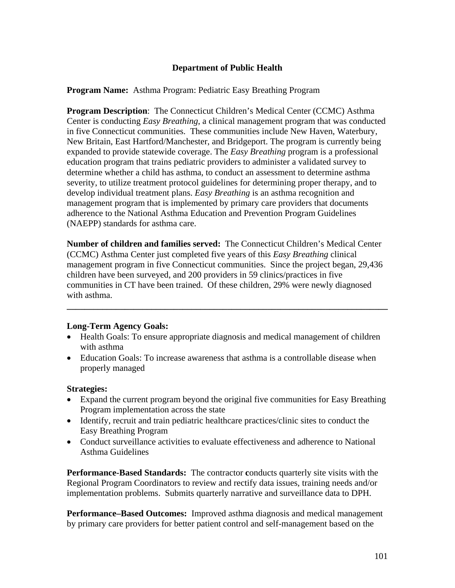# **Department of Public Health**

#### **Program Name:** Asthma Program: Pediatric Easy Breathing Program

**Program Description**: The Connecticut Children's Medical Center (CCMC) Asthma Center is conducting *Easy Breathing*, a clinical management program that was conducted in five Connecticut communities. These communities include New Haven, Waterbury, New Britain, East Hartford/Manchester, and Bridgeport. The program is currently being expanded to provide statewide coverage. The *Easy Breathing* program is a professional education program that trains pediatric providers to administer a validated survey to determine whether a child has asthma, to conduct an assessment to determine asthma severity, to utilize treatment protocol guidelines for determining proper therapy, and to develop individual treatment plans. *Easy Breathing* is an asthma recognition and management program that is implemented by primary care providers that documents adherence to the National Asthma Education and Prevention Program Guidelines (NAEPP) standards for asthma care.

**Number of children and families served:** The Connecticut Children's Medical Center (CCMC) Asthma Center just completed five years of this *Easy Breathing* clinical management program in five Connecticut communities. Since the project began, 29,436 children have been surveyed, and 200 providers in 59 clinics/practices in five communities in CT have been trained. Of these children, 29% were newly diagnosed with asthma.

**\_\_\_\_\_\_\_\_\_\_\_\_\_\_\_\_\_\_\_\_\_\_\_\_\_\_\_\_\_\_\_\_\_\_\_\_\_\_\_\_\_\_\_\_\_\_\_\_\_\_\_\_\_\_\_\_\_\_\_\_\_\_\_\_\_\_\_\_\_\_\_\_** 

### **Long-Term Agency Goals:**

- Health Goals: To ensure appropriate diagnosis and medical management of children with asthma
- Education Goals: To increase awareness that asthma is a controllable disease when properly managed

### **Strategies:**

- Expand the current program beyond the original five communities for Easy Breathing Program implementation across the state
- Identify, recruit and train pediatric healthcare practices/clinic sites to conduct the Easy Breathing Program
- Conduct surveillance activities to evaluate effectiveness and adherence to National Asthma Guidelines

**Performance-Based Standards:** The contractor **c**onducts quarterly site visits with the Regional Program Coordinators to review and rectify data issues, training needs and/or implementation problems. Submits quarterly narrative and surveillance data to DPH.

**Performance–Based Outcomes:** Improved asthma diagnosis and medical management by primary care providers for better patient control and self-management based on the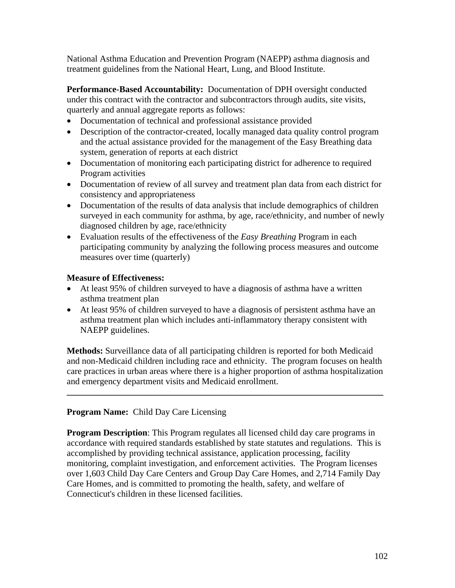National Asthma Education and Prevention Program (NAEPP) asthma diagnosis and treatment guidelines from the National Heart, Lung, and Blood Institute.

**Performance-Based Accountability:** Documentation of DPH oversight conducted under this contract with the contractor and subcontractors through audits, site visits, quarterly and annual aggregate reports as follows:

- Documentation of technical and professional assistance provided
- Description of the contractor-created, locally managed data quality control program and the actual assistance provided for the management of the Easy Breathing data system, generation of reports at each district
- Documentation of monitoring each participating district for adherence to required Program activities
- Documentation of review of all survey and treatment plan data from each district for consistency and appropriateness
- Documentation of the results of data analysis that include demographics of children surveyed in each community for asthma, by age, race/ethnicity, and number of newly diagnosed children by age, race/ethnicity
- Evaluation results of the effectiveness of the *Easy Breathing* Program in each participating community by analyzing the following process measures and outcome measures over time (quarterly)

# **Measure of Effectiveness:**

- At least 95% of children surveyed to have a diagnosis of asthma have a written asthma treatment plan
- At least 95% of children surveyed to have a diagnosis of persistent asthma have an asthma treatment plan which includes anti-inflammatory therapy consistent with NAEPP guidelines.

**Methods:** Surveillance data of all participating children is reported for both Medicaid and non-Medicaid children including race and ethnicity. The program focuses on health care practices in urban areas where there is a higher proportion of asthma hospitalization and emergency department visits and Medicaid enrollment.

**\_\_\_\_\_\_\_\_\_\_\_\_\_\_\_\_\_\_\_\_\_\_\_\_\_\_\_\_\_\_\_\_\_\_\_\_\_\_\_\_\_\_\_\_\_\_\_\_\_\_\_\_\_\_\_\_\_\_\_\_\_\_\_\_\_\_\_\_\_\_\_** 

# **Program Name:** Child Day Care Licensing

**Program Description**: This Program regulates all licensed child day care programs in accordance with required standards established by state statutes and regulations. This is accomplished by providing technical assistance, application processing, facility monitoring, complaint investigation, and enforcement activities. The Program licenses over 1,603 Child Day Care Centers and Group Day Care Homes, and 2,714 Family Day Care Homes, and is committed to promoting the health, safety, and welfare of Connecticut's children in these licensed facilities.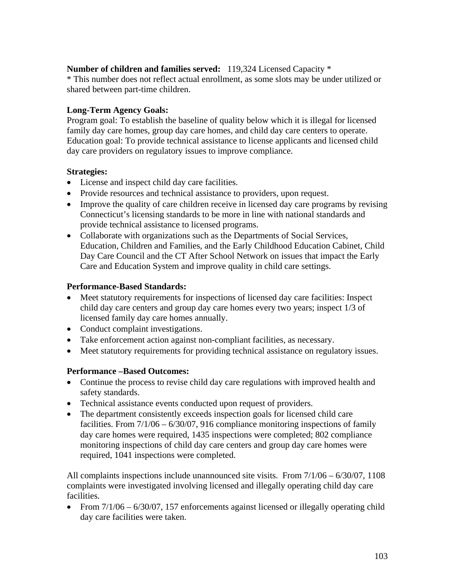# **Number of children and families served:** 119,324 Licensed Capacity \*

\* This number does not reflect actual enrollment, as some slots may be under utilized or shared between part-time children.

# **Long-Term Agency Goals:**

Program goal: To establish the baseline of quality below which it is illegal for licensed family day care homes, group day care homes, and child day care centers to operate. Education goal: To provide technical assistance to license applicants and licensed child day care providers on regulatory issues to improve compliance.

# **Strategies:**

- License and inspect child day care facilities.
- Provide resources and technical assistance to providers, upon request.
- Improve the quality of care children receive in licensed day care programs by revising Connecticut's licensing standards to be more in line with national standards and provide technical assistance to licensed programs.
- Collaborate with organizations such as the Departments of Social Services, Education, Children and Families, and the Early Childhood Education Cabinet, Child Day Care Council and the CT After School Network on issues that impact the Early Care and Education System and improve quality in child care settings.

# **Performance-Based Standards:**

- Meet statutory requirements for inspections of licensed day care facilities: Inspect child day care centers and group day care homes every two years; inspect 1/3 of licensed family day care homes annually.
- Conduct complaint investigations.
- Take enforcement action against non-compliant facilities, as necessary.
- Meet statutory requirements for providing technical assistance on regulatory issues.

# **Performance –Based Outcomes:**

- Continue the process to revise child day care regulations with improved health and safety standards.
- Technical assistance events conducted upon request of providers.
- The department consistently exceeds inspection goals for licensed child care facilities. From 7/1/06 – 6/30/07, 916 compliance monitoring inspections of family day care homes were required, 1435 inspections were completed; 802 compliance monitoring inspections of child day care centers and group day care homes were required, 1041 inspections were completed.

All complaints inspections include unannounced site visits. From 7/1/06 – 6/30/07, 1108 complaints were investigated involving licensed and illegally operating child day care facilities.

• From  $7/1/06 - 6/30/07$ , 157 enforcements against licensed or illegally operating child day care facilities were taken.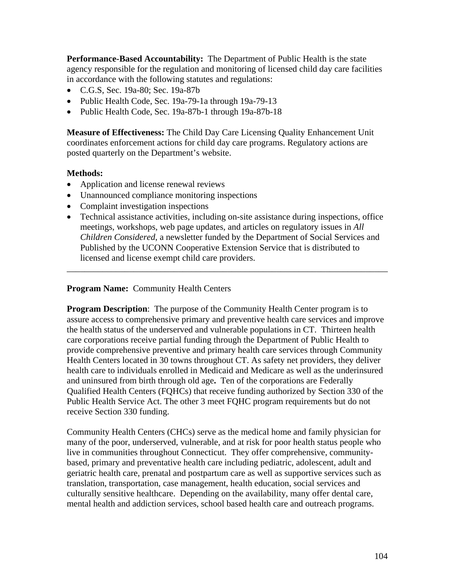**Performance-Based Accountability:** The Department of Public Health is the state agency responsible for the regulation and monitoring of licensed child day care facilities in accordance with the following statutes and regulations:

- C.G.S, Sec. 19a-80; Sec. 19a-87b
- Public Health Code, Sec. 19a-79-1a through 19a-79-13
- Public Health Code, Sec. 19a-87b-1 through 19a-87b-18

**Measure of Effectiveness:** The Child Day Care Licensing Quality Enhancement Unit coordinates enforcement actions for child day care programs. Regulatory actions are posted quarterly on the Department's website.

### **Methods:**

- Application and license renewal reviews
- Unannounced compliance monitoring inspections
- Complaint investigation inspections
- Technical assistance activities, including on-site assistance during inspections, office meetings, workshops, web page updates, and articles on regulatory issues in *All Children Considered*, a newsletter funded by the Department of Social Services and Published by the UCONN Cooperative Extension Service that is distributed to licensed and license exempt child care providers.

\_\_\_\_\_\_\_\_\_\_\_\_\_\_\_\_\_\_\_\_\_\_\_\_\_\_\_\_\_\_\_\_\_\_\_\_\_\_\_\_\_\_\_\_\_\_\_\_\_\_\_\_\_\_\_\_\_\_\_\_\_\_\_\_\_\_\_\_\_\_\_\_

### **Program Name:** Community Health Centers

**Program Description:** The purpose of the Community Health Center program is to assure access to comprehensive primary and preventive health care services and improve the health status of the underserved and vulnerable populations in CT. Thirteen health care corporations receive partial funding through the Department of Public Health to provide comprehensive preventive and primary health care services through Community Health Centers located in 30 towns throughout CT. As safety net providers, they deliver health care to individuals enrolled in Medicaid and Medicare as well as the underinsured and uninsured from birth through old age**.** Ten of the corporations are Federally Qualified Health Centers (FQHCs) that receive funding authorized by Section 330 of the Public Health Service Act. The other 3 meet FQHC program requirements but do not receive Section 330 funding.

Community Health Centers (CHCs) serve as the medical home and family physician for many of the poor, underserved, vulnerable, and at risk for poor health status people who live in communities throughout Connecticut. They offer comprehensive, communitybased, primary and preventative health care including pediatric, adolescent, adult and geriatric health care, prenatal and postpartum care as well as supportive services such as translation, transportation, case management, health education, social services and culturally sensitive healthcare. Depending on the availability, many offer dental care, mental health and addiction services, school based health care and outreach programs.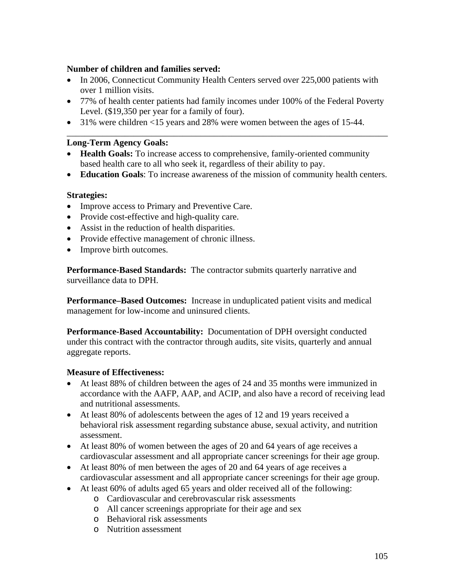## **Number of children and families served:**

- In 2006, Connecticut Community Health Centers served over 225,000 patients with over 1 million visits.
- 77% of health center patients had family incomes under 100% of the Federal Poverty Level. (\$19,350 per year for a family of four).

\_\_\_\_\_\_\_\_\_\_\_\_\_\_\_\_\_\_\_\_\_\_\_\_\_\_\_\_\_\_\_\_\_\_\_\_\_\_\_\_\_\_\_\_\_\_\_\_\_\_\_\_\_\_\_\_\_\_\_\_\_\_\_\_\_\_\_\_\_\_\_\_

• 31% were children <15 years and 28% were women between the ages of 15-44.

## **Long-Term Agency Goals:**

- **Health Goals:** To increase access to comprehensive, family-oriented community based health care to all who seek it, regardless of their ability to pay.
- **Education Goals**: To increase awareness of the mission of community health centers.

### **Strategies:**

- Improve access to Primary and Preventive Care.
- Provide cost-effective and high-quality care.
- Assist in the reduction of health disparities.
- Provide effective management of chronic illness.
- Improve birth outcomes.

**Performance-Based Standards:** The contractor submits quarterly narrative and surveillance data to DPH.

**Performance–Based Outcomes:** Increase in unduplicated patient visits and medical management for low-income and uninsured clients.

**Performance-Based Accountability:** Documentation of DPH oversight conducted under this contract with the contractor through audits, site visits, quarterly and annual aggregate reports.

### **Measure of Effectiveness:**

- At least 88% of children between the ages of 24 and 35 months were immunized in accordance with the AAFP, AAP, and ACIP, and also have a record of receiving lead and nutritional assessments.
- At least 80% of adolescents between the ages of 12 and 19 years received a behavioral risk assessment regarding substance abuse, sexual activity, and nutrition assessment.
- At least 80% of women between the ages of 20 and 64 years of age receives a cardiovascular assessment and all appropriate cancer screenings for their age group.
- At least 80% of men between the ages of 20 and 64 years of age receives a cardiovascular assessment and all appropriate cancer screenings for their age group.
- At least 60% of adults aged 65 years and older received all of the following:
	- o Cardiovascular and cerebrovascular risk assessments
	- o All cancer screenings appropriate for their age and sex
	- o Behavioral risk assessments
	- o Nutrition assessment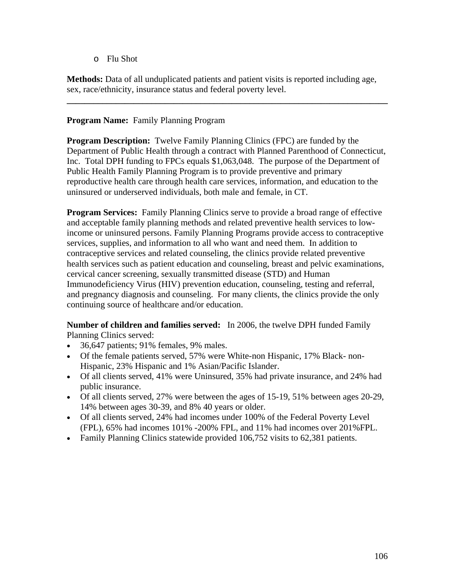o Flu Shot

**Methods:** Data of all unduplicated patients and patient visits is reported including age, sex, race/ethnicity, insurance status and federal poverty level.

**\_\_\_\_\_\_\_\_\_\_\_\_\_\_\_\_\_\_\_\_\_\_\_\_\_\_\_\_\_\_\_\_\_\_\_\_\_\_\_\_\_\_\_\_\_\_\_\_\_\_\_\_\_\_\_\_\_\_\_\_\_\_\_\_\_\_\_\_\_\_\_\_** 

## **Program Name:** Family Planning Program

**Program Description:** Twelve Family Planning Clinics (FPC) are funded by the Department of Public Health through a contract with Planned Parenthood of Connecticut, Inc. Total DPH funding to FPCs equals \$1,063,048. The purpose of the Department of Public Health Family Planning Program is to provide preventive and primary reproductive health care through health care services, information, and education to the uninsured or underserved individuals, both male and female, in CT.

**Program Services:** Family Planning Clinics serve to provide a broad range of effective and acceptable family planning methods and related preventive health services to lowincome or uninsured persons. Family Planning Programs provide access to contraceptive services, supplies, and information to all who want and need them. In addition to contraceptive services and related counseling, the clinics provide related preventive health services such as patient education and counseling, breast and pelvic examinations, cervical cancer screening, sexually transmitted disease (STD) and Human Immunodeficiency Virus (HIV) prevention education, counseling, testing and referral, and pregnancy diagnosis and counseling. For many clients, the clinics provide the only continuing source of healthcare and/or education.

**Number of children and families served:** In 2006, the twelve DPH funded Family Planning Clinics served:

- 36,647 patients; 91% females, 9% males.
- Of the female patients served, 57% were White-non Hispanic, 17% Black- non-Hispanic, 23% Hispanic and 1% Asian/Pacific Islander.
- Of all clients served, 41% were Uninsured, 35% had private insurance, and 24% had public insurance.
- Of all clients served, 27% were between the ages of 15-19, 51% between ages 20-29, 14% between ages 30-39, and 8% 40 years or older.
- Of all clients served, 24% had incomes under 100% of the Federal Poverty Level (FPL), 65% had incomes 101% -200% FPL, and 11% had incomes over 201%FPL.
- Family Planning Clinics statewide provided 106,752 visits to 62,381 patients.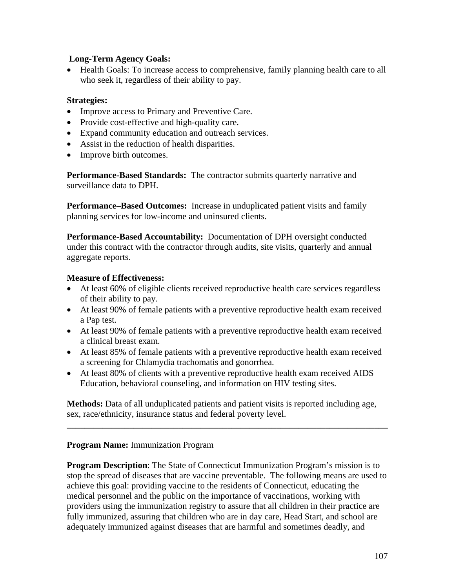## **Long-Term Agency Goals:**

• Health Goals: To increase access to comprehensive, family planning health care to all who seek it, regardless of their ability to pay.

## **Strategies:**

- Improve access to Primary and Preventive Care.
- Provide cost-effective and high-quality care.
- Expand community education and outreach services.
- Assist in the reduction of health disparities.
- Improve birth outcomes.

**Performance-Based Standards:** The contractor submits quarterly narrative and surveillance data to DPH.

**Performance–Based Outcomes:** Increase in unduplicated patient visits and family planning services for low-income and uninsured clients.

**Performance-Based Accountability:** Documentation of DPH oversight conducted under this contract with the contractor through audits, site visits, quarterly and annual aggregate reports.

## **Measure of Effectiveness:**

- At least 60% of eligible clients received reproductive health care services regardless of their ability to pay.
- At least 90% of female patients with a preventive reproductive health exam received a Pap test.
- At least 90% of female patients with a preventive reproductive health exam received a clinical breast exam.
- At least 85% of female patients with a preventive reproductive health exam received a screening for Chlamydia trachomatis and gonorrhea.
- At least 80% of clients with a preventive reproductive health exam received AIDS Education, behavioral counseling, and information on HIV testing sites.

**Methods:** Data of all unduplicated patients and patient visits is reported including age, sex, race/ethnicity, insurance status and federal poverty level.

**\_\_\_\_\_\_\_\_\_\_\_\_\_\_\_\_\_\_\_\_\_\_\_\_\_\_\_\_\_\_\_\_\_\_\_\_\_\_\_\_\_\_\_\_\_\_\_\_\_\_\_\_\_\_\_\_\_\_\_\_\_\_\_\_\_\_\_\_\_\_\_\_** 

## **Program Name:** Immunization Program

**Program Description:** The State of Connecticut Immunization Program's mission is to stop the spread of diseases that are vaccine preventable. The following means are used to achieve this goal: providing vaccine to the residents of Connecticut, educating the medical personnel and the public on the importance of vaccinations, working with providers using the immunization registry to assure that all children in their practice are fully immunized, assuring that children who are in day care, Head Start, and school are adequately immunized against diseases that are harmful and sometimes deadly, and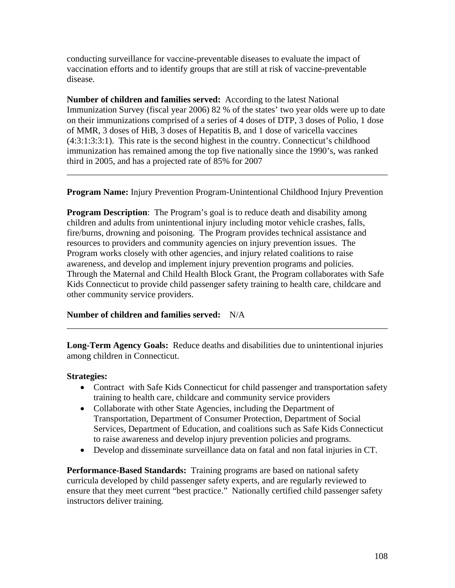conducting surveillance for vaccine-preventable diseases to evaluate the impact of vaccination efforts and to identify groups that are still at risk of vaccine-preventable disease.

**Number of children and families served:** According to the latest National Immunization Survey (fiscal year 2006) 82 % of the states' two year olds were up to date on their immunizations comprised of a series of 4 doses of DTP, 3 doses of Polio, 1 dose of MMR, 3 doses of HiB, 3 doses of Hepatitis B, and 1 dose of varicella vaccines (4:3:1:3:3:1). This rate is the second highest in the country. Connecticut's childhood immunization has remained among the top five nationally since the 1990's, was ranked third in 2005, and has a projected rate of 85% for 2007

**Program Name:** Injury Prevention Program-Unintentional Childhood Injury Prevention

\_\_\_\_\_\_\_\_\_\_\_\_\_\_\_\_\_\_\_\_\_\_\_\_\_\_\_\_\_\_\_\_\_\_\_\_\_\_\_\_\_\_\_\_\_\_\_\_\_\_\_\_\_\_\_\_\_\_\_\_\_\_\_\_\_\_\_\_\_\_\_\_

**Program Description**: The Program's goal is to reduce death and disability among children and adults from unintentional injury including motor vehicle crashes, falls, fire/burns, drowning and poisoning. The Program provides technical assistance and resources to providers and community agencies on injury prevention issues. The Program works closely with other agencies, and injury related coalitions to raise awareness, and develop and implement injury prevention programs and policies. Through the Maternal and Child Health Block Grant, the Program collaborates with Safe Kids Connecticut to provide child passenger safety training to health care, childcare and other community service providers.

## **Number of children and families served:** N/A

**Long-Term Agency Goals:** Reduce deaths and disabilities due to unintentional injuries among children in Connecticut.

\_\_\_\_\_\_\_\_\_\_\_\_\_\_\_\_\_\_\_\_\_\_\_\_\_\_\_\_\_\_\_\_\_\_\_\_\_\_\_\_\_\_\_\_\_\_\_\_\_\_\_\_\_\_\_\_\_\_\_\_\_\_\_\_\_\_\_\_\_\_\_\_

#### **Strategies:**

- Contract with Safe Kids Connecticut for child passenger and transportation safety training to health care, childcare and community service providers
- Collaborate with other State Agencies, including the Department of Transportation, Department of Consumer Protection, Department of Social Services, Department of Education, and coalitions such as Safe Kids Connecticut to raise awareness and develop injury prevention policies and programs.
- Develop and disseminate surveillance data on fatal and non fatal injuries in CT.

**Performance-Based Standards:** Training programs are based on national safety curricula developed by child passenger safety experts, and are regularly reviewed to ensure that they meet current "best practice." Nationally certified child passenger safety instructors deliver training.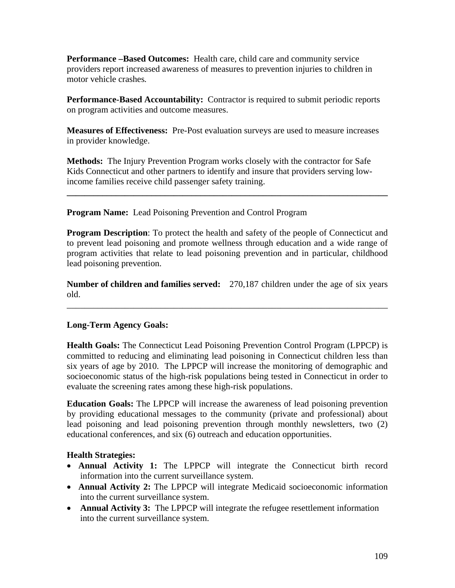**Performance –Based Outcomes:** Health care, child care and community service providers report increased awareness of measures to prevention injuries to children in motor vehicle crashes*.*

**Performance-Based Accountability:** Contractor is required to submit periodic reports on program activities and outcome measures.

**Measures of Effectiveness:** Pre-Post evaluation surveys are used to measure increases in provider knowledge.

**Methods:** The Injury Prevention Program works closely with the contractor for Safe Kids Connecticut and other partners to identify and insure that providers serving lowincome families receive child passenger safety training.

**Program Name:** Lead Poisoning Prevention and Control Program

**Program Description**: To protect the health and safety of the people of Connecticut and to prevent lead poisoning and promote wellness through education and a wide range of program activities that relate to lead poisoning prevention and in particular, childhood lead poisoning prevention.

**\_\_\_\_\_\_\_\_\_\_\_\_\_\_\_\_\_\_\_\_\_\_\_\_\_\_\_\_\_\_\_\_\_\_\_\_\_\_\_\_\_\_\_\_\_\_\_\_\_\_\_\_\_\_\_\_\_\_\_\_\_\_\_\_\_\_\_\_\_\_\_\_** 

**Number of children and families served:** 270,187 children under the age of six years old.

\_\_\_\_\_\_\_\_\_\_\_\_\_\_\_\_\_\_\_\_\_\_\_\_\_\_\_\_\_\_\_\_\_\_\_\_\_\_\_\_\_\_\_\_\_\_\_\_\_\_\_\_\_\_\_\_\_\_\_\_\_\_\_\_\_\_\_\_\_\_\_\_

# **Long-Term Agency Goals:**

**Health Goals:** The Connecticut Lead Poisoning Prevention Control Program (LPPCP) is committed to reducing and eliminating lead poisoning in Connecticut children less than six years of age by 2010. The LPPCP will increase the monitoring of demographic and socioeconomic status of the high-risk populations being tested in Connecticut in order to evaluate the screening rates among these high-risk populations.

**Education Goals:** The LPPCP will increase the awareness of lead poisoning prevention by providing educational messages to the community (private and professional) about lead poisoning and lead poisoning prevention through monthly newsletters, two (2) educational conferences, and six (6) outreach and education opportunities.

# **Health Strategies:**

- **Annual Activity 1:** The LPPCP will integrate the Connecticut birth record information into the current surveillance system.
- **Annual Activity 2:** The LPPCP will integrate Medicaid socioeconomic information into the current surveillance system.
- **Annual Activity 3:** The LPPCP will integrate the refugee resettlement information into the current surveillance system.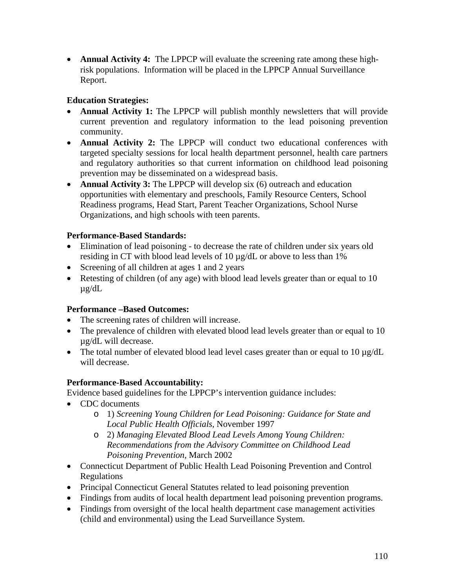• **Annual Activity 4:** The LPPCP will evaluate the screening rate among these highrisk populations. Information will be placed in the LPPCP Annual Surveillance Report.

# **Education Strategies:**

- **Annual Activity 1:** The LPPCP will publish monthly newsletters that will provide current prevention and regulatory information to the lead poisoning prevention community.
- **Annual Activity 2:** The LPPCP will conduct two educational conferences with targeted specialty sessions for local health department personnel, health care partners and regulatory authorities so that current information on childhood lead poisoning prevention may be disseminated on a widespread basis.
- **Annual Activity 3:** The LPPCP will develop six (6) outreach and education opportunities with elementary and preschools, Family Resource Centers, School Readiness programs, Head Start, Parent Teacher Organizations, School Nurse Organizations, and high schools with teen parents.

# **Performance-Based Standards:**

- Elimination of lead poisoning to decrease the rate of children under six years old residing in CT with blood lead levels of 10 µg/dL or above to less than 1%
- Screening of all children at ages 1 and 2 years
- Retesting of children (of any age) with blood lead levels greater than or equal to 10 µg/dL

## **Performance –Based Outcomes:**

- The screening rates of children will increase.
- The prevalence of children with elevated blood lead levels greater than or equal to 10 µg/dL will decrease.
- The total number of elevated blood lead level cases greater than or equal to 10  $\mu$ g/dL will decrease.

# **Performance-Based Accountability:**

Evidence based guidelines for the LPPCP's intervention guidance includes:

- CDC documents
	- o 1) *Screening Young Children for Lead Poisoning: Guidance for State and Local Public Health Officials*, November 1997
	- o 2) *Managing Elevated Blood Lead Levels Among Young Children: Recommendations from the Advisory Committee on Childhood Lead Poisoning Prevention*, March 2002
- Connecticut Department of Public Health Lead Poisoning Prevention and Control Regulations
- Principal Connecticut General Statutes related to lead poisoning prevention
- Findings from audits of local health department lead poisoning prevention programs.
- Findings from oversight of the local health department case management activities (child and environmental) using the Lead Surveillance System.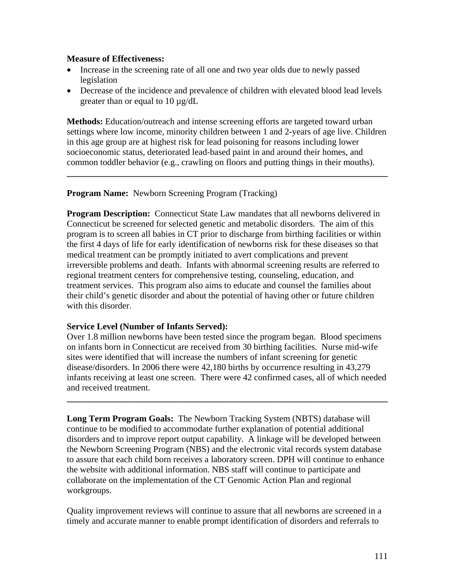#### **Measure of Effectiveness:**

- Increase in the screening rate of all one and two year olds due to newly passed legislation
- Decrease of the incidence and prevalence of children with elevated blood lead levels greater than or equal to 10 µg/dL

**Methods:** Education/outreach and intense screening efforts are targeted toward urban settings where low income, minority children between 1 and 2-years of age live. Children in this age group are at highest risk for lead poisoning for reasons including lower socioeconomic status, deteriorated lead-based paint in and around their homes, and common toddler behavior (e.g., crawling on floors and putting things in their mouths).

**\_\_\_\_\_\_\_\_\_\_\_\_\_\_\_\_\_\_\_\_\_\_\_\_\_\_\_\_\_\_\_\_\_\_\_\_\_\_\_\_\_\_\_\_\_\_\_\_\_\_\_\_\_\_\_\_\_\_\_\_\_\_\_\_\_\_\_\_\_\_\_\_**

**Program Name:** Newborn Screening Program (Tracking)

**Program Description:** Connecticut State Law mandates that all newborns delivered in Connecticut be screened for selected genetic and metabolic disorders. The aim of this program is to screen all babies in CT prior to discharge from birthing facilities or within the first 4 days of life for early identification of newborns risk for these diseases so that medical treatment can be promptly initiated to avert complications and prevent irreversible problems and death. Infants with abnormal screening results are referred to regional treatment centers for comprehensive testing, counseling, education, and treatment services. This program also aims to educate and counsel the families about their child's genetic disorder and about the potential of having other or future children with this disorder.

## **Service Level (Number of Infants Served):**

Over 1.8 million newborns have been tested since the program began. Blood specimens on infants born in Connecticut are received from 30 birthing facilities. Nurse mid-wife sites were identified that will increase the numbers of infant screening for genetic disease/disorders. In 2006 there were 42,180 births by occurrence resulting in 43,279 infants receiving at least one screen. There were 42 confirmed cases, all of which needed and received treatment.

**\_\_\_\_\_\_\_\_\_\_\_\_\_\_\_\_\_\_\_\_\_\_\_\_\_\_\_\_\_\_\_\_\_\_\_\_\_\_\_\_\_\_\_\_\_\_\_\_\_\_\_\_\_\_\_\_\_\_\_\_\_\_\_\_\_\_\_\_\_\_\_\_** 

**Long Term Program Goals:** The Newborn Tracking System (NBTS) database will continue to be modified to accommodate further explanation of potential additional disorders and to improve report output capability. A linkage will be developed between the Newborn Screening Program (NBS) and the electronic vital records system database to assure that each child born receives a laboratory screen. DPH will continue to enhance the website with additional information. NBS staff will continue to participate and collaborate on the implementation of the CT Genomic Action Plan and regional workgroups.

Quality improvement reviews will continue to assure that all newborns are screened in a timely and accurate manner to enable prompt identification of disorders and referrals to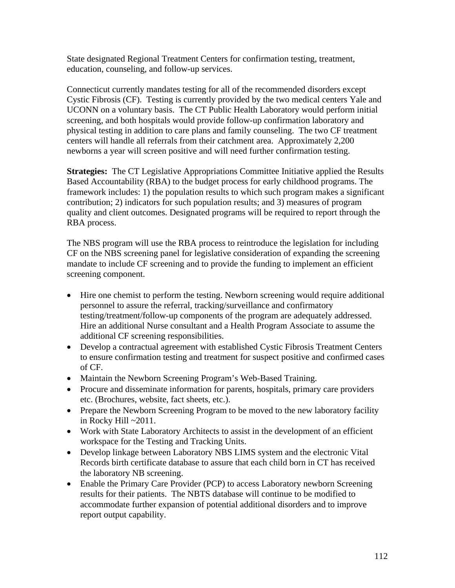State designated Regional Treatment Centers for confirmation testing, treatment, education, counseling, and follow-up services.

Connecticut currently mandates testing for all of the recommended disorders except Cystic Fibrosis (CF). Testing is currently provided by the two medical centers Yale and UCONN on a voluntary basis. The CT Public Health Laboratory would perform initial screening, and both hospitals would provide follow-up confirmation laboratory and physical testing in addition to care plans and family counseling. The two CF treatment centers will handle all referrals from their catchment area. Approximately 2,200 newborns a year will screen positive and will need further confirmation testing.

**Strategies:** The CT Legislative Appropriations Committee Initiative applied the Results Based Accountability (RBA) to the budget process for early childhood programs. The framework includes: 1) the population results to which such program makes a significant contribution; 2) indicators for such population results; and 3) measures of program quality and client outcomes. Designated programs will be required to report through the RBA process.

The NBS program will use the RBA process to reintroduce the legislation for including CF on the NBS screening panel for legislative consideration of expanding the screening mandate to include CF screening and to provide the funding to implement an efficient screening component.

- Hire one chemist to perform the testing. Newborn screening would require additional personnel to assure the referral, tracking/surveillance and confirmatory testing/treatment/follow-up components of the program are adequately addressed. Hire an additional Nurse consultant and a Health Program Associate to assume the additional CF screening responsibilities.
- Develop a contractual agreement with established Cystic Fibrosis Treatment Centers to ensure confirmation testing and treatment for suspect positive and confirmed cases of CF.
- Maintain the Newborn Screening Program's Web-Based Training.
- Procure and disseminate information for parents, hospitals, primary care providers etc. (Brochures, website, fact sheets, etc.).
- Prepare the Newborn Screening Program to be moved to the new laboratory facility in Rocky Hill ~2011.
- Work with State Laboratory Architects to assist in the development of an efficient workspace for the Testing and Tracking Units.
- Develop linkage between Laboratory NBS LIMS system and the electronic Vital Records birth certificate database to assure that each child born in CT has received the laboratory NB screening.
- Enable the Primary Care Provider (PCP) to access Laboratory newborn Screening results for their patients. The NBTS database will continue to be modified to accommodate further expansion of potential additional disorders and to improve report output capability.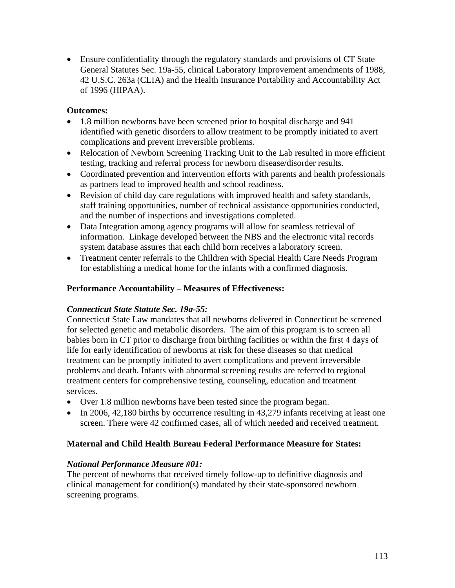• Ensure confidentiality through the regulatory standards and provisions of CT State General Statutes Sec. 19a-55, clinical Laboratory Improvement amendments of 1988, 42 U.S.C. 263a (CLIA) and the Health Insurance Portability and Accountability Act of 1996 (HIPAA).

## **Outcomes:**

- 1.8 million newborns have been screened prior to hospital discharge and 941 identified with genetic disorders to allow treatment to be promptly initiated to avert complications and prevent irreversible problems.
- Relocation of Newborn Screening Tracking Unit to the Lab resulted in more efficient testing, tracking and referral process for newborn disease/disorder results.
- Coordinated prevention and intervention efforts with parents and health professionals as partners lead to improved health and school readiness.
- Revision of child day care regulations with improved health and safety standards, staff training opportunities, number of technical assistance opportunities conducted, and the number of inspections and investigations completed.
- Data Integration among agency programs will allow for seamless retrieval of information. Linkage developed between the NBS and the electronic vital records system database assures that each child born receives a laboratory screen.
- Treatment center referrals to the Children with Special Health Care Needs Program for establishing a medical home for the infants with a confirmed diagnosis.

# **Performance Accountability – Measures of Effectiveness:**

## *Connecticut State Statute Sec. 19a-55:*

Connecticut State Law mandates that all newborns delivered in Connecticut be screened for selected genetic and metabolic disorders. The aim of this program is to screen all babies born in CT prior to discharge from birthing facilities or within the first 4 days of life for early identification of newborns at risk for these diseases so that medical treatment can be promptly initiated to avert complications and prevent irreversible problems and death. Infants with abnormal screening results are referred to regional treatment centers for comprehensive testing, counseling, education and treatment services.

- Over 1.8 million newborns have been tested since the program began.
- In 2006, 42,180 births by occurrence resulting in 43,279 infants receiving at least one screen. There were 42 confirmed cases, all of which needed and received treatment.

# **Maternal and Child Health Bureau Federal Performance Measure for States:**

## *National Performance Measure #01:*

The percent of newborns that received timely follow-up to definitive diagnosis and clinical management for condition(s) mandated by their state-sponsored newborn screening programs.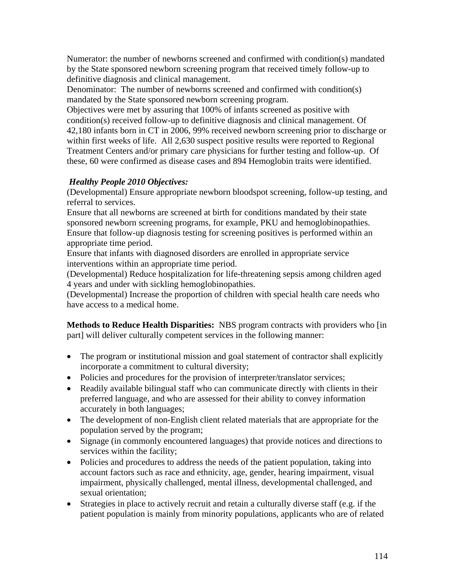Numerator: the number of newborns screened and confirmed with condition(s) mandated by the State sponsored newborn screening program that received timely follow-up to definitive diagnosis and clinical management.

Denominator: The number of newborns screened and confirmed with condition(s) mandated by the State sponsored newborn screening program.

Objectives were met by assuring that 100% of infants screened as positive with condition(s) received follow-up to definitive diagnosis and clinical management. Of 42,180 infants born in CT in 2006, 99% received newborn screening prior to discharge or within first weeks of life. All 2,630 suspect positive results were reported to Regional Treatment Centers and/or primary care physicians for further testing and follow-up. Of these, 60 were confirmed as disease cases and 894 Hemoglobin traits were identified.

# *Healthy People 2010 Objectives:*

(Developmental) Ensure appropriate newborn bloodspot screening, follow-up testing, and referral to services.

Ensure that all newborns are screened at birth for conditions mandated by their state sponsored newborn screening programs, for example, PKU and hemoglobinopathies. Ensure that follow-up diagnosis testing for screening positives is performed within an appropriate time period.

Ensure that infants with diagnosed disorders are enrolled in appropriate service interventions within an appropriate time period.

(Developmental) Reduce hospitalization for life-threatening sepsis among children aged 4 years and under with sickling hemoglobinopathies.

(Developmental) Increase the proportion of children with special health care needs who have access to a medical home.

**Methods to Reduce Health Disparities:** NBS program contracts with providers who [in part] will deliver culturally competent services in the following manner:

- The program or institutional mission and goal statement of contractor shall explicitly incorporate a commitment to cultural diversity;
- Policies and procedures for the provision of interpreter/translator services;
- Readily available bilingual staff who can communicate directly with clients in their preferred language, and who are assessed for their ability to convey information accurately in both languages;
- The development of non-English client related materials that are appropriate for the population served by the program;
- Signage (in commonly encountered languages) that provide notices and directions to services within the facility;
- Policies and procedures to address the needs of the patient population, taking into account factors such as race and ethnicity, age, gender, hearing impairment, visual impairment, physically challenged, mental illness, developmental challenged, and sexual orientation;
- Strategies in place to actively recruit and retain a culturally diverse staff (e.g. if the patient population is mainly from minority populations, applicants who are of related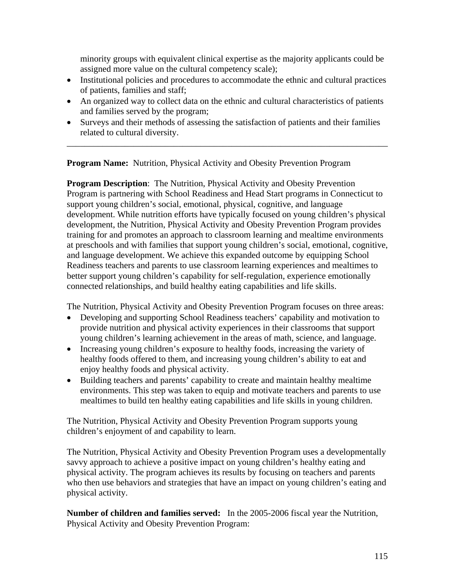minority groups with equivalent clinical expertise as the majority applicants could be assigned more value on the cultural competency scale);

- Institutional policies and procedures to accommodate the ethnic and cultural practices of patients, families and staff;
- An organized way to collect data on the ethnic and cultural characteristics of patients and families served by the program;
- Surveys and their methods of assessing the satisfaction of patients and their families related to cultural diversity.

\_\_\_\_\_\_\_\_\_\_\_\_\_\_\_\_\_\_\_\_\_\_\_\_\_\_\_\_\_\_\_\_\_\_\_\_\_\_\_\_\_\_\_\_\_\_\_\_\_\_\_\_\_\_\_\_\_\_\_\_\_\_\_\_\_\_\_\_\_\_\_\_

**Program Name:** Nutrition, Physical Activity and Obesity Prevention Program

**Program Description:** The Nutrition, Physical Activity and Obesity Prevention Program is partnering with School Readiness and Head Start programs in Connecticut to support young children's social, emotional, physical, cognitive, and language development. While nutrition efforts have typically focused on young children's physical development, the Nutrition, Physical Activity and Obesity Prevention Program provides training for and promotes an approach to classroom learning and mealtime environments at preschools and with families that support young children's social, emotional, cognitive, and language development. We achieve this expanded outcome by equipping School Readiness teachers and parents to use classroom learning experiences and mealtimes to better support young children's capability for self-regulation, experience emotionally connected relationships, and build healthy eating capabilities and life skills.

The Nutrition, Physical Activity and Obesity Prevention Program focuses on three areas:

- Developing and supporting School Readiness teachers' capability and motivation to provide nutrition and physical activity experiences in their classrooms that support young children's learning achievement in the areas of math, science, and language.
- Increasing young children's exposure to healthy foods, increasing the variety of healthy foods offered to them, and increasing young children's ability to eat and enjoy healthy foods and physical activity.
- Building teachers and parents' capability to create and maintain healthy mealtime environments. This step was taken to equip and motivate teachers and parents to use mealtimes to build ten healthy eating capabilities and life skills in young children.

The Nutrition, Physical Activity and Obesity Prevention Program supports young children's enjoyment of and capability to learn.

The Nutrition, Physical Activity and Obesity Prevention Program uses a developmentally savvy approach to achieve a positive impact on young children's healthy eating and physical activity. The program achieves its results by focusing on teachers and parents who then use behaviors and strategies that have an impact on young children's eating and physical activity.

**Number of children and families served:** In the 2005-2006 fiscal year the Nutrition, Physical Activity and Obesity Prevention Program: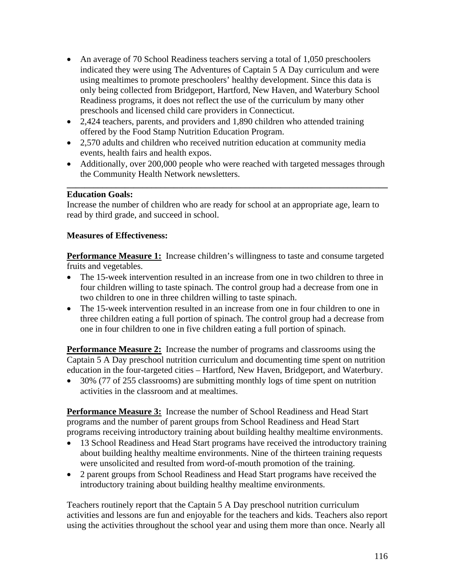- An average of 70 School Readiness teachers serving a total of 1,050 preschoolers indicated they were using The Adventures of Captain 5 A Day curriculum and were using mealtimes to promote preschoolers' healthy development. Since this data is only being collected from Bridgeport, Hartford, New Haven, and Waterbury School Readiness programs, it does not reflect the use of the curriculum by many other preschools and licensed child care providers in Connecticut.
- 2,424 teachers, parents, and providers and 1,890 children who attended training offered by the Food Stamp Nutrition Education Program.
- 2,570 adults and children who received nutrition education at community media events, health fairs and health expos.
- Additionally, over 200,000 people who were reached with targeted messages through the Community Health Network newsletters.

**\_\_\_\_\_\_\_\_\_\_\_\_\_\_\_\_\_\_\_\_\_\_\_\_\_\_\_\_\_\_\_\_\_\_\_\_\_\_\_\_\_\_\_\_\_\_\_\_\_\_\_\_\_\_\_\_\_\_\_\_\_\_\_\_\_\_\_\_\_\_\_\_** 

## **Education Goals:**

Increase the number of children who are ready for school at an appropriate age, learn to read by third grade, and succeed in school.

# **Measures of Effectiveness:**

**Performance Measure 1:** Increase children's willingness to taste and consume targeted fruits and vegetables.

- The 15-week intervention resulted in an increase from one in two children to three in four children willing to taste spinach. The control group had a decrease from one in two children to one in three children willing to taste spinach.
- The 15-week intervention resulted in an increase from one in four children to one in three children eating a full portion of spinach. The control group had a decrease from one in four children to one in five children eating a full portion of spinach.

**Performance Measure 2:** Increase the number of programs and classrooms using the Captain 5 A Day preschool nutrition curriculum and documenting time spent on nutrition education in the four-targeted cities – Hartford, New Haven, Bridgeport, and Waterbury.

• 30% (77 of 255 classrooms) are submitting monthly logs of time spent on nutrition activities in the classroom and at mealtimes.

**Performance Measure 3:** Increase the number of School Readiness and Head Start programs and the number of parent groups from School Readiness and Head Start programs receiving introductory training about building healthy mealtime environments.

- 13 School Readiness and Head Start programs have received the introductory training about building healthy mealtime environments. Nine of the thirteen training requests were unsolicited and resulted from word-of-mouth promotion of the training.
- 2 parent groups from School Readiness and Head Start programs have received the introductory training about building healthy mealtime environments.

Teachers routinely report that the Captain 5 A Day preschool nutrition curriculum activities and lessons are fun and enjoyable for the teachers and kids. Teachers also report using the activities throughout the school year and using them more than once. Nearly all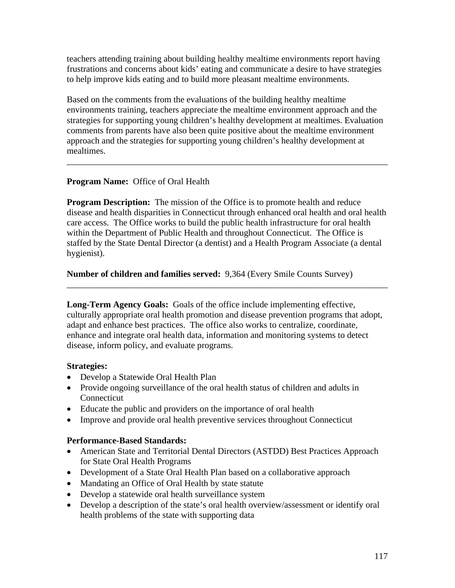teachers attending training about building healthy mealtime environments report having frustrations and concerns about kids' eating and communicate a desire to have strategies to help improve kids eating and to build more pleasant mealtime environments.

Based on the comments from the evaluations of the building healthy mealtime environments training, teachers appreciate the mealtime environment approach and the strategies for supporting young children's healthy development at mealtimes. Evaluation comments from parents have also been quite positive about the mealtime environment approach and the strategies for supporting young children's healthy development at mealtimes.

\_\_\_\_\_\_\_\_\_\_\_\_\_\_\_\_\_\_\_\_\_\_\_\_\_\_\_\_\_\_\_\_\_\_\_\_\_\_\_\_\_\_\_\_\_\_\_\_\_\_\_\_\_\_\_\_\_\_\_\_\_\_\_\_\_\_\_\_\_\_\_\_

# **Program Name:** Office of Oral Health

**Program Description:** The mission of the Office is to promote health and reduce disease and health disparities in Connecticut through enhanced oral health and oral health care access. The Office works to build the public health infrastructure for oral health within the Department of Public Health and throughout Connecticut. The Office is staffed by the State Dental Director (a dentist) and a Health Program Associate (a dental hygienist).

**Number of children and families served:** 9,364 (Every Smile Counts Survey)

**Long-Term Agency Goals:** Goals of the office include implementing effective, culturally appropriate oral health promotion and disease prevention programs that adopt, adapt and enhance best practices. The office also works to centralize, coordinate, enhance and integrate oral health data, information and monitoring systems to detect disease, inform policy, and evaluate programs.

\_\_\_\_\_\_\_\_\_\_\_\_\_\_\_\_\_\_\_\_\_\_\_\_\_\_\_\_\_\_\_\_\_\_\_\_\_\_\_\_\_\_\_\_\_\_\_\_\_\_\_\_\_\_\_\_\_\_\_\_\_\_\_\_\_\_\_\_\_\_\_\_

## **Strategies:**

- Develop a Statewide Oral Health Plan
- Provide ongoing surveillance of the oral health status of children and adults in **Connecticut**
- Educate the public and providers on the importance of oral health
- Improve and provide oral health preventive services throughout Connecticut

## **Performance-Based Standards:**

- American State and Territorial Dental Directors (ASTDD) Best Practices Approach for State Oral Health Programs
- Development of a State Oral Health Plan based on a collaborative approach
- Mandating an Office of Oral Health by state statute
- Develop a statewide oral health surveillance system
- Develop a description of the state's oral health overview/assessment or identify oral health problems of the state with supporting data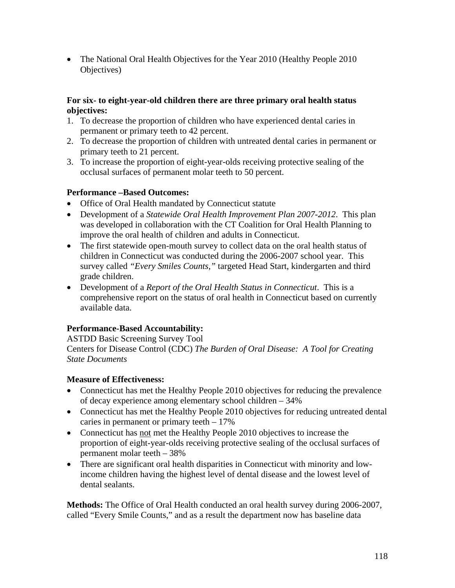• The National Oral Health Objectives for the Year 2010 (Healthy People 2010) Objectives)

## **For six- to eight-year-old children there are three primary oral health status objectives:**

- 1. To decrease the proportion of children who have experienced dental caries in permanent or primary teeth to 42 percent.
- 2. To decrease the proportion of children with untreated dental caries in permanent or primary teeth to 21 percent.
- 3. To increase the proportion of eight-year-olds receiving protective sealing of the occlusal surfaces of permanent molar teeth to 50 percent.

# **Performance –Based Outcomes:**

- Office of Oral Health mandated by Connecticut statute
- Development of a *Statewide Oral Health Improvement Plan 2007-2012*. This plan was developed in collaboration with the CT Coalition for Oral Health Planning to improve the oral health of children and adults in Connecticut.
- The first statewide open-mouth survey to collect data on the oral health status of children in Connecticut was conducted during the 2006-2007 school year. This survey called *"Every Smiles Counts,"* targeted Head Start, kindergarten and third grade children.
- Development of a *Report of the Oral Health Status in Connecticut*. This is a comprehensive report on the status of oral health in Connecticut based on currently available data.

# **Performance-Based Accountability:**

ASTDD Basic Screening Survey Tool Centers for Disease Control (CDC) *The Burden of Oral Disease: A Tool for Creating State Documents* 

# **Measure of Effectiveness:**

- Connecticut has met the Healthy People 2010 objectives for reducing the prevalence of decay experience among elementary school children – 34%
- Connecticut has met the Healthy People 2010 objectives for reducing untreated dental caries in permanent or primary teeth  $-17\%$
- Connecticut has not met the Healthy People 2010 objectives to increase the proportion of eight-year-olds receiving protective sealing of the occlusal surfaces of permanent molar teeth – 38%
- There are significant oral health disparities in Connecticut with minority and lowincome children having the highest level of dental disease and the lowest level of dental sealants.

**Methods:** The Office of Oral Health conducted an oral health survey during 2006-2007, called "Every Smile Counts," and as a result the department now has baseline data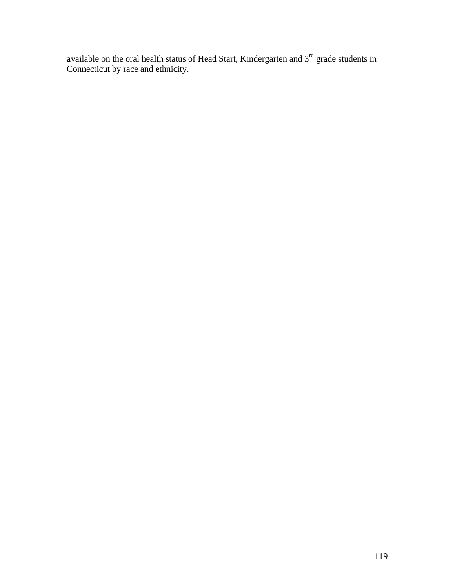available on the oral health status of Head Start, Kindergarten and  $3<sup>rd</sup>$  grade students in Connecticut by race and ethnicity.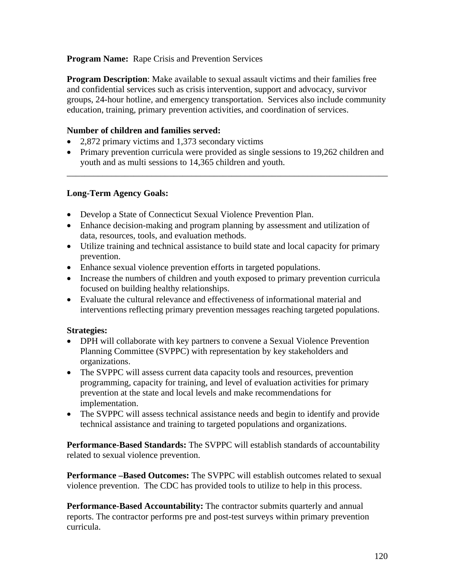## **Program Name:** Rape Crisis and Prevention Services

**Program Description**: Make available to sexual assault victims and their families free and confidential services such as crisis intervention, support and advocacy, survivor groups, 24-hour hotline, and emergency transportation. Services also include community education, training, primary prevention activities, and coordination of services.

#### **Number of children and families served:**

- 2,872 primary victims and 1,373 secondary victims
- Primary prevention curricula were provided as single sessions to 19,262 children and youth and as multi sessions to 14,365 children and youth.

\_\_\_\_\_\_\_\_\_\_\_\_\_\_\_\_\_\_\_\_\_\_\_\_\_\_\_\_\_\_\_\_\_\_\_\_\_\_\_\_\_\_\_\_\_\_\_\_\_\_\_\_\_\_\_\_\_\_\_\_\_\_\_\_\_\_\_\_\_\_\_\_

#### **Long-Term Agency Goals:**

- Develop a State of Connecticut Sexual Violence Prevention Plan.
- Enhance decision-making and program planning by assessment and utilization of data, resources, tools, and evaluation methods.
- Utilize training and technical assistance to build state and local capacity for primary prevention.
- Enhance sexual violence prevention efforts in targeted populations.
- Increase the numbers of children and youth exposed to primary prevention curricula focused on building healthy relationships.
- Evaluate the cultural relevance and effectiveness of informational material and interventions reflecting primary prevention messages reaching targeted populations.

#### **Strategies:**

- DPH will collaborate with key partners to convene a Sexual Violence Prevention Planning Committee (SVPPC) with representation by key stakeholders and organizations.
- The SVPPC will assess current data capacity tools and resources, prevention programming, capacity for training, and level of evaluation activities for primary prevention at the state and local levels and make recommendations for implementation.
- The SVPPC will assess technical assistance needs and begin to identify and provide technical assistance and training to targeted populations and organizations.

**Performance-Based Standards:** The SVPPC will establish standards of accountability related to sexual violence prevention.

**Performance –Based Outcomes:** The SVPPC will establish outcomes related to sexual violence prevention. The CDC has provided tools to utilize to help in this process.

**Performance-Based Accountability:** The contractor submits quarterly and annual reports. The contractor performs pre and post-test surveys within primary prevention curricula.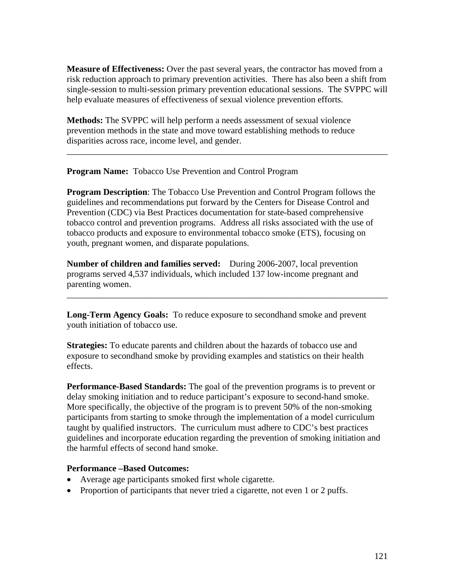**Measure of Effectiveness:** Over the past several years, the contractor has moved from a risk reduction approach to primary prevention activities. There has also been a shift from single-session to multi-session primary prevention educational sessions. The SVPPC will help evaluate measures of effectiveness of sexual violence prevention efforts.

\_\_\_\_\_\_\_\_\_\_\_\_\_\_\_\_\_\_\_\_\_\_\_\_\_\_\_\_\_\_\_\_\_\_\_\_\_\_\_\_\_\_\_\_\_\_\_\_\_\_\_\_\_\_\_\_\_\_\_\_\_\_\_\_\_\_\_\_\_\_\_\_

**Methods:** The SVPPC will help perform a needs assessment of sexual violence prevention methods in the state and move toward establishing methods to reduce disparities across race, income level, and gender.

**Program Name:** Tobacco Use Prevention and Control Program

**Program Description**: The Tobacco Use Prevention and Control Program follows the guidelines and recommendations put forward by the Centers for Disease Control and Prevention (CDC) via Best Practices documentation for state-based comprehensive tobacco control and prevention programs. Address all risks associated with the use of tobacco products and exposure to environmental tobacco smoke (ETS), focusing on youth, pregnant women, and disparate populations.

**Number of children and families served:** During 2006-2007, local prevention programs served 4,537 individuals, which included 137 low-income pregnant and parenting women.

**Long-Term Agency Goals:** To reduce exposure to secondhand smoke and prevent youth initiation of tobacco use.

\_\_\_\_\_\_\_\_\_\_\_\_\_\_\_\_\_\_\_\_\_\_\_\_\_\_\_\_\_\_\_\_\_\_\_\_\_\_\_\_\_\_\_\_\_\_\_\_\_\_\_\_\_\_\_\_\_\_\_\_\_\_\_\_\_\_\_\_\_\_\_\_

**Strategies:** To educate parents and children about the hazards of tobacco use and exposure to secondhand smoke by providing examples and statistics on their health effects.

**Performance-Based Standards:** The goal of the prevention programs is to prevent or delay smoking initiation and to reduce participant's exposure to second-hand smoke. More specifically, the objective of the program is to prevent 50% of the non-smoking participants from starting to smoke through the implementation of a model curriculum taught by qualified instructors. The curriculum must adhere to CDC's best practices guidelines and incorporate education regarding the prevention of smoking initiation and the harmful effects of second hand smoke.

## **Performance –Based Outcomes:**

- Average age participants smoked first whole cigarette.
- Proportion of participants that never tried a cigarette, not even 1 or 2 puffs.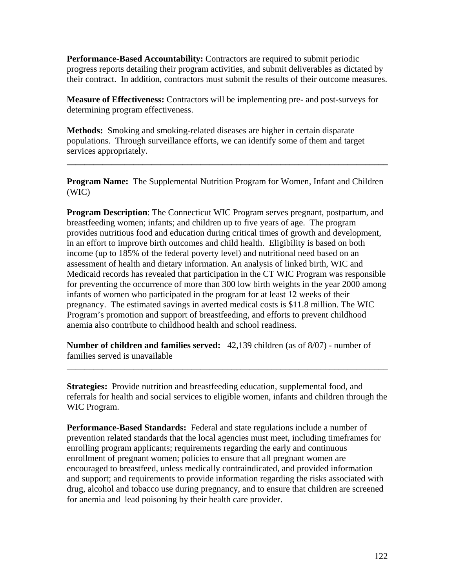**Performance-Based Accountability:** Contractors are required to submit periodic progress reports detailing their program activities, and submit deliverables as dictated by their contract. In addition, contractors must submit the results of their outcome measures.

**Measure of Effectiveness:** Contractors will be implementing pre- and post-surveys for determining program effectiveness.

**Methods:** Smoking and smoking-related diseases are higher in certain disparate populations. Through surveillance efforts, we can identify some of them and target services appropriately.

**Program Name:** The Supplemental Nutrition Program for Women, Infant and Children (WIC)

**\_\_\_\_\_\_\_\_\_\_\_\_\_\_\_\_\_\_\_\_\_\_\_\_\_\_\_\_\_\_\_\_\_\_\_\_\_\_\_\_\_\_\_\_\_\_\_\_\_\_\_\_\_\_\_\_\_\_\_\_\_\_\_\_\_\_\_\_\_\_\_\_** 

**Program Description**: The Connecticut WIC Program serves pregnant, postpartum, and breastfeeding women; infants; and children up to five years of age. The program provides nutritious food and education during critical times of growth and development, in an effort to improve birth outcomes and child health. Eligibility is based on both income (up to 185% of the federal poverty level) and nutritional need based on an assessment of health and dietary information. An analysis of linked birth, WIC and Medicaid records has revealed that participation in the CT WIC Program was responsible for preventing the occurrence of more than 300 low birth weights in the year 2000 among infants of women who participated in the program for at least 12 weeks of their pregnancy. The estimated savings in averted medical costs is \$11.8 million. The WIC Program's promotion and support of breastfeeding, and efforts to prevent childhood anemia also contribute to childhood health and school readiness.

**Number of children and families served:** 42,139 children (as of 8/07) - number of families served is unavailable

**Strategies:** Provide nutrition and breastfeeding education, supplemental food, and referrals for health and social services to eligible women, infants and children through the WIC Program.

\_\_\_\_\_\_\_\_\_\_\_\_\_\_\_\_\_\_\_\_\_\_\_\_\_\_\_\_\_\_\_\_\_\_\_\_\_\_\_\_\_\_\_\_\_\_\_\_\_\_\_\_\_\_\_\_\_\_\_\_\_\_\_\_\_\_\_\_\_\_\_\_

**Performance-Based Standards:** Federal and state regulations include a number of prevention related standards that the local agencies must meet, including timeframes for enrolling program applicants; requirements regarding the early and continuous enrollment of pregnant women; policies to ensure that all pregnant women are encouraged to breastfeed, unless medically contraindicated, and provided information and support; and requirements to provide information regarding the risks associated with drug, alcohol and tobacco use during pregnancy, and to ensure that children are screened for anemia and lead poisoning by their health care provider.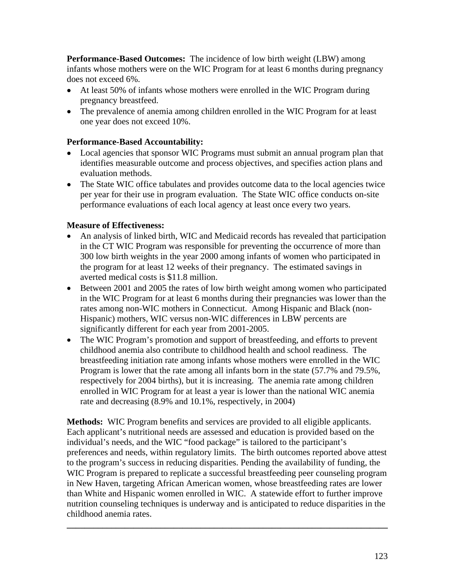**Performance-Based Outcomes:** The incidence of low birth weight (LBW) among infants whose mothers were on the WIC Program for at least 6 months during pregnancy does not exceed 6%.

- At least 50% of infants whose mothers were enrolled in the WIC Program during pregnancy breastfeed.
- The prevalence of anemia among children enrolled in the WIC Program for at least one year does not exceed 10%.

## **Performance-Based Accountability:**

- Local agencies that sponsor WIC Programs must submit an annual program plan that identifies measurable outcome and process objectives, and specifies action plans and evaluation methods.
- The State WIC office tabulates and provides outcome data to the local agencies twice per year for their use in program evaluation. The State WIC office conducts on-site performance evaluations of each local agency at least once every two years.

# **Measure of Effectiveness:**

- An analysis of linked birth, WIC and Medicaid records has revealed that participation in the CT WIC Program was responsible for preventing the occurrence of more than 300 low birth weights in the year 2000 among infants of women who participated in the program for at least 12 weeks of their pregnancy. The estimated savings in averted medical costs is \$11.8 million.
- Between 2001 and 2005 the rates of low birth weight among women who participated in the WIC Program for at least 6 months during their pregnancies was lower than the rates among non-WIC mothers in Connecticut. Among Hispanic and Black (non-Hispanic) mothers, WIC versus non-WIC differences in LBW percents are significantly different for each year from 2001-2005.
- The WIC Program's promotion and support of breastfeeding, and efforts to prevent childhood anemia also contribute to childhood health and school readiness. The breastfeeding initiation rate among infants whose mothers were enrolled in the WIC Program is lower that the rate among all infants born in the state (57.7% and 79.5%, respectively for 2004 births), but it is increasing. The anemia rate among children enrolled in WIC Program for at least a year is lower than the national WIC anemia rate and decreasing (8.9% and 10.1%, respectively, in 2004)

**Methods:** WIC Program benefits and services are provided to all eligible applicants. Each applicant's nutritional needs are assessed and education is provided based on the individual's needs, and the WIC "food package" is tailored to the participant's preferences and needs, within regulatory limits. The birth outcomes reported above attest to the program's success in reducing disparities. Pending the availability of funding, the WIC Program is prepared to replicate a successful breastfeeding peer counseling program in New Haven, targeting African American women, whose breastfeeding rates are lower than White and Hispanic women enrolled in WIC. A statewide effort to further improve nutrition counseling techniques is underway and is anticipated to reduce disparities in the childhood anemia rates.

**\_\_\_\_\_\_\_\_\_\_\_\_\_\_\_\_\_\_\_\_\_\_\_\_\_\_\_\_\_\_\_\_\_\_\_\_\_\_\_\_\_\_\_\_\_\_\_\_\_\_\_\_\_\_\_\_\_\_\_\_\_\_\_\_\_\_\_\_\_\_\_\_**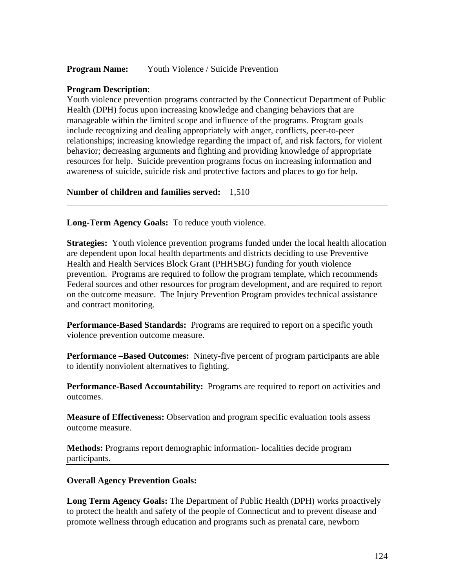#### **Program Name:** Youth Violence / Suicide Prevention

#### **Program Description**:

Youth violence prevention programs contracted by the Connecticut Department of Public Health (DPH) focus upon increasing knowledge and changing behaviors that are manageable within the limited scope and influence of the programs. Program goals include recognizing and dealing appropriately with anger, conflicts, peer-to-peer relationships; increasing knowledge regarding the impact of, and risk factors, for violent behavior; decreasing arguments and fighting and providing knowledge of appropriate resources for help. Suicide prevention programs focus on increasing information and awareness of suicide, suicide risk and protective factors and places to go for help.

\_\_\_\_\_\_\_\_\_\_\_\_\_\_\_\_\_\_\_\_\_\_\_\_\_\_\_\_\_\_\_\_\_\_\_\_\_\_\_\_\_\_\_\_\_\_\_\_\_\_\_\_\_\_\_\_\_\_\_\_\_\_\_\_\_\_\_\_\_\_\_\_

**Number of children and families served:** 1,510

**Long-Term Agency Goals:** To reduce youth violence.

**Strategies:** Youth violence prevention programs funded under the local health allocation are dependent upon local health departments and districts deciding to use Preventive Health and Health Services Block Grant (PHHSBG) funding for youth violence prevention. Programs are required to follow the program template, which recommends Federal sources and other resources for program development, and are required to report on the outcome measure. The Injury Prevention Program provides technical assistance and contract monitoring.

**Performance-Based Standards:** Programs are required to report on a specific youth violence prevention outcome measure.

**Performance –Based Outcomes:** Ninety-five percent of program participants are able to identify nonviolent alternatives to fighting.

**Performance-Based Accountability:** Programs are required to report on activities and outcomes.

**Measure of Effectiveness:** Observation and program specific evaluation tools assess outcome measure.

**Methods:** Programs report demographic information- localities decide program participants.

#### **Overall Agency Prevention Goals:**

**Long Term Agency Goals:** The Department of Public Health (DPH) works proactively to protect the health and safety of the people of Connecticut and to prevent disease and promote wellness through education and programs such as prenatal care, newborn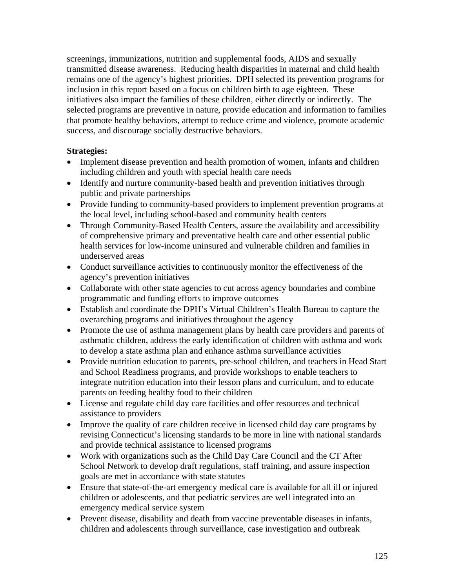screenings, immunizations, nutrition and supplemental foods, AIDS and sexually transmitted disease awareness. Reducing health disparities in maternal and child health remains one of the agency's highest priorities. DPH selected its prevention programs for inclusion in this report based on a focus on children birth to age eighteen. These initiatives also impact the families of these children, either directly or indirectly. The selected programs are preventive in nature, provide education and information to families that promote healthy behaviors, attempt to reduce crime and violence, promote academic success, and discourage socially destructive behaviors.

#### **Strategies:**

- Implement disease prevention and health promotion of women, infants and children including children and youth with special health care needs
- Identify and nurture community-based health and prevention initiatives through public and private partnerships
- Provide funding to community-based providers to implement prevention programs at the local level, including school-based and community health centers
- Through Community-Based Health Centers, assure the availability and accessibility of comprehensive primary and preventative health care and other essential public health services for low-income uninsured and vulnerable children and families in underserved areas
- Conduct surveillance activities to continuously monitor the effectiveness of the agency's prevention initiatives
- Collaborate with other state agencies to cut across agency boundaries and combine programmatic and funding efforts to improve outcomes
- Establish and coordinate the DPH's Virtual Children's Health Bureau to capture the overarching programs and initiatives throughout the agency
- Promote the use of asthma management plans by health care providers and parents of asthmatic children, address the early identification of children with asthma and work to develop a state asthma plan and enhance asthma surveillance activities
- Provide nutrition education to parents, pre-school children, and teachers in Head Start and School Readiness programs, and provide workshops to enable teachers to integrate nutrition education into their lesson plans and curriculum, and to educate parents on feeding healthy food to their children
- License and regulate child day care facilities and offer resources and technical assistance to providers
- Improve the quality of care children receive in licensed child day care programs by revising Connecticut's licensing standards to be more in line with national standards and provide technical assistance to licensed programs
- Work with organizations such as the Child Day Care Council and the CT After School Network to develop draft regulations, staff training, and assure inspection goals are met in accordance with state statutes
- Ensure that state-of-the-art emergency medical care is available for all ill or injured children or adolescents, and that pediatric services are well integrated into an emergency medical service system
- Prevent disease, disability and death from vaccine preventable diseases in infants, children and adolescents through surveillance, case investigation and outbreak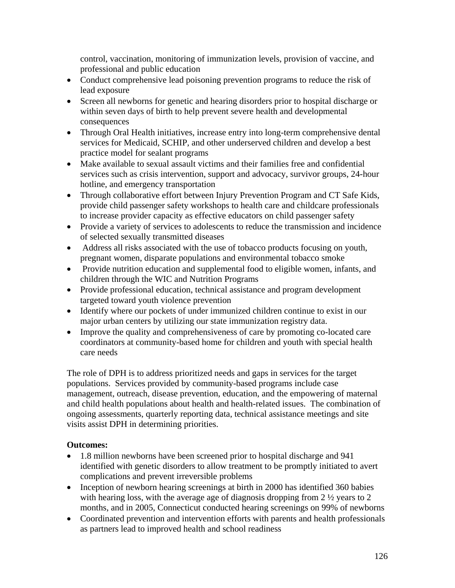control, vaccination, monitoring of immunization levels, provision of vaccine, and professional and public education

- Conduct comprehensive lead poisoning prevention programs to reduce the risk of lead exposure
- Screen all newborns for genetic and hearing disorders prior to hospital discharge or within seven days of birth to help prevent severe health and developmental consequences
- Through Oral Health initiatives, increase entry into long-term comprehensive dental services for Medicaid, SCHIP, and other underserved children and develop a best practice model for sealant programs
- Make available to sexual assault victims and their families free and confidential services such as crisis intervention, support and advocacy, survivor groups, 24-hour hotline, and emergency transportation
- Through collaborative effort between Injury Prevention Program and CT Safe Kids, provide child passenger safety workshops to health care and childcare professionals to increase provider capacity as effective educators on child passenger safety
- Provide a variety of services to adolescents to reduce the transmission and incidence of selected sexually transmitted diseases
- Address all risks associated with the use of tobacco products focusing on youth, pregnant women, disparate populations and environmental tobacco smoke
- Provide nutrition education and supplemental food to eligible women, infants, and children through the WIC and Nutrition Programs
- Provide professional education, technical assistance and program development targeted toward youth violence prevention
- Identify where our pockets of under immunized children continue to exist in our major urban centers by utilizing our state immunization registry data.
- Improve the quality and comprehensiveness of care by promoting co-located care coordinators at community-based home for children and youth with special health care needs

The role of DPH is to address prioritized needs and gaps in services for the target populations. Services provided by community-based programs include case management, outreach, disease prevention, education, and the empowering of maternal and child health populations about health and health-related issues. The combination of ongoing assessments, quarterly reporting data, technical assistance meetings and site visits assist DPH in determining priorities.

## **Outcomes:**

- 1.8 million newborns have been screened prior to hospital discharge and 941 identified with genetic disorders to allow treatment to be promptly initiated to avert complications and prevent irreversible problems
- Inception of newborn hearing screenings at birth in 2000 has identified 360 babies with hearing loss, with the average age of diagnosis dropping from 2  $\frac{1}{2}$  years to 2 months, and in 2005, Connecticut conducted hearing screenings on 99% of newborns
- Coordinated prevention and intervention efforts with parents and health professionals as partners lead to improved health and school readiness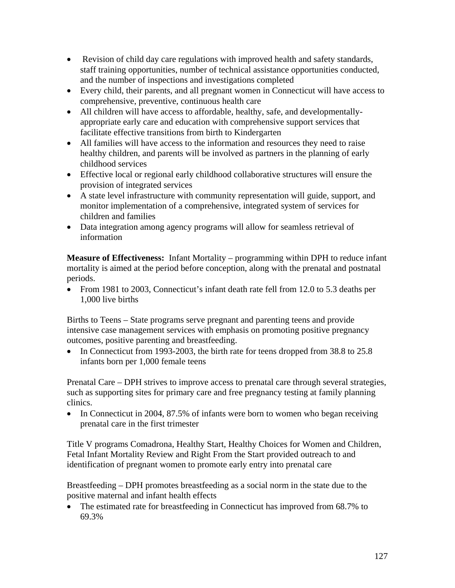- Revision of child day care regulations with improved health and safety standards, staff training opportunities, number of technical assistance opportunities conducted, and the number of inspections and investigations completed
- Every child, their parents, and all pregnant women in Connecticut will have access to comprehensive, preventive, continuous health care
- All children will have access to affordable, healthy, safe, and developmentallyappropriate early care and education with comprehensive support services that facilitate effective transitions from birth to Kindergarten
- All families will have access to the information and resources they need to raise healthy children, and parents will be involved as partners in the planning of early childhood services
- Effective local or regional early childhood collaborative structures will ensure the provision of integrated services
- A state level infrastructure with community representation will guide, support, and monitor implementation of a comprehensive, integrated system of services for children and families
- Data integration among agency programs will allow for seamless retrieval of information

**Measure of Effectiveness:** Infant Mortality – programming within DPH to reduce infant mortality is aimed at the period before conception, along with the prenatal and postnatal periods.

• From 1981 to 2003, Connecticut's infant death rate fell from 12.0 to 5.3 deaths per 1,000 live births

Births to Teens – State programs serve pregnant and parenting teens and provide intensive case management services with emphasis on promoting positive pregnancy outcomes, positive parenting and breastfeeding.

• In Connecticut from 1993-2003, the birth rate for teens dropped from 38.8 to 25.8 infants born per 1,000 female teens

Prenatal Care – DPH strives to improve access to prenatal care through several strategies, such as supporting sites for primary care and free pregnancy testing at family planning clinics.

• In Connecticut in 2004, 87.5% of infants were born to women who began receiving prenatal care in the first trimester

Title V programs Comadrona, Healthy Start, Healthy Choices for Women and Children, Fetal Infant Mortality Review and Right From the Start provided outreach to and identification of pregnant women to promote early entry into prenatal care

Breastfeeding – DPH promotes breastfeeding as a social norm in the state due to the positive maternal and infant health effects

• The estimated rate for breastfeeding in Connecticut has improved from 68.7% to 69.3%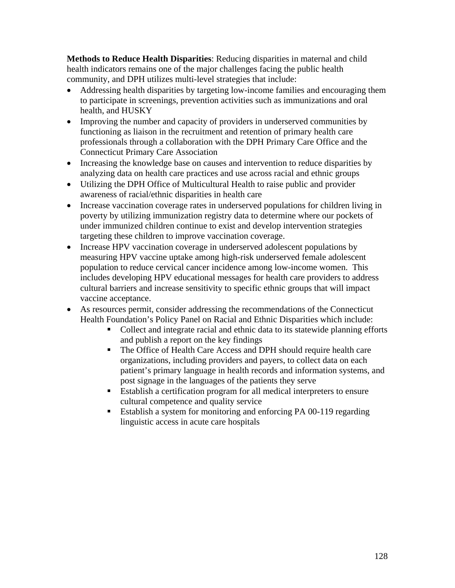**Methods to Reduce Health Disparities**: Reducing disparities in maternal and child health indicators remains one of the major challenges facing the public health community, and DPH utilizes multi-level strategies that include:

- Addressing health disparities by targeting low-income families and encouraging them to participate in screenings, prevention activities such as immunizations and oral health, and HUSKY
- Improving the number and capacity of providers in underserved communities by functioning as liaison in the recruitment and retention of primary health care professionals through a collaboration with the DPH Primary Care Office and the Connecticut Primary Care Association
- Increasing the knowledge base on causes and intervention to reduce disparities by analyzing data on health care practices and use across racial and ethnic groups
- Utilizing the DPH Office of Multicultural Health to raise public and provider awareness of racial/ethnic disparities in health care
- Increase vaccination coverage rates in underserved populations for children living in poverty by utilizing immunization registry data to determine where our pockets of under immunized children continue to exist and develop intervention strategies targeting these children to improve vaccination coverage.
- Increase HPV vaccination coverage in underserved adolescent populations by measuring HPV vaccine uptake among high-risk underserved female adolescent population to reduce cervical cancer incidence among low-income women. This includes developing HPV educational messages for health care providers to address cultural barriers and increase sensitivity to specific ethnic groups that will impact vaccine acceptance.
- As resources permit, consider addressing the recommendations of the Connecticut Health Foundation's Policy Panel on Racial and Ethnic Disparities which include:
	- Collect and integrate racial and ethnic data to its statewide planning efforts and publish a report on the key findings
	- The Office of Health Care Access and DPH should require health care organizations, including providers and payers, to collect data on each patient's primary language in health records and information systems, and post signage in the languages of the patients they serve
	- Establish a certification program for all medical interpreters to ensure cultural competence and quality service
	- Establish a system for monitoring and enforcing PA 00-119 regarding linguistic access in acute care hospitals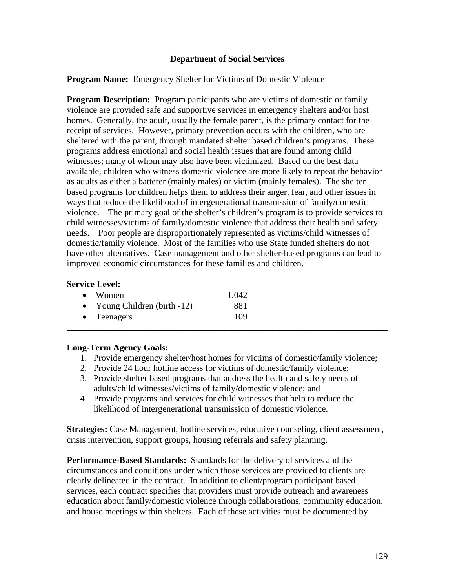#### **Department of Social Services**

**Program Name:** Emergency Shelter for Victims of Domestic Violence

**Program Description:** Program participants who are victims of domestic or family violence are provided safe and supportive services in emergency shelters and/or host homes. Generally, the adult, usually the female parent, is the primary contact for the receipt of services. However, primary prevention occurs with the children, who are sheltered with the parent, through mandated shelter based children's programs. These programs address emotional and social health issues that are found among child witnesses; many of whom may also have been victimized. Based on the best data available, children who witness domestic violence are more likely to repeat the behavior as adults as either a batterer (mainly males) or victim (mainly females). The shelter based programs for children helps them to address their anger, fear, and other issues in ways that reduce the likelihood of intergenerational transmission of family/domestic violence. The primary goal of the shelter's children's program is to provide services to child witnesses/victims of family/domestic violence that address their health and safety needs. Poor people are disproportionately represented as victims/child witnesses of domestic/family violence. Most of the families who use State funded shelters do not have other alternatives. Case management and other shelter-based programs can lead to improved economic circumstances for these families and children.

#### **Service Level:**

| $\bullet$ Women                 | 1,042 |  |
|---------------------------------|-------|--|
| • Young Children (birth $-12$ ) | 881   |  |
| $\bullet$ Teenagers             | 109   |  |
|                                 |       |  |

#### **Long-Term Agency Goals:**

- 1. Provide emergency shelter/host homes for victims of domestic/family violence;
- 2. Provide 24 hour hotline access for victims of domestic/family violence;
- 3. Provide shelter based programs that address the health and safety needs of adults/child witnesses/victims of family/domestic violence; and
- 4. Provide programs and services for child witnesses that help to reduce the likelihood of intergenerational transmission of domestic violence.

**Strategies:** Case Management, hotline services, educative counseling, client assessment, crisis intervention, support groups, housing referrals and safety planning.

**Performance-Based Standards:** Standards for the delivery of services and the circumstances and conditions under which those services are provided to clients are clearly delineated in the contract. In addition to client/program participant based services, each contract specifies that providers must provide outreach and awareness education about family/domestic violence through collaborations, community education, and house meetings within shelters. Each of these activities must be documented by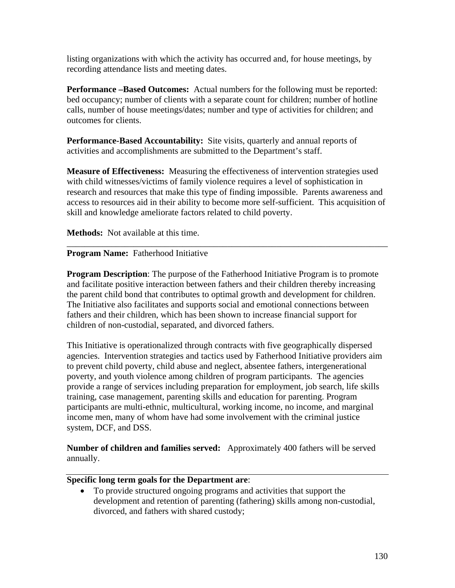listing organizations with which the activity has occurred and, for house meetings, by recording attendance lists and meeting dates.

**Performance –Based Outcomes:** Actual numbers for the following must be reported: bed occupancy; number of clients with a separate count for children; number of hotline calls, number of house meetings/dates; number and type of activities for children; and outcomes for clients.

**Performance-Based Accountability:** Site visits, quarterly and annual reports of activities and accomplishments are submitted to the Department's staff.

**Measure of Effectiveness:** Measuring the effectiveness of intervention strategies used with child witnesses/victims of family violence requires a level of sophistication in research and resources that make this type of finding impossible. Parents awareness and access to resources aid in their ability to become more self-sufficient. This acquisition of skill and knowledge ameliorate factors related to child poverty.

\_\_\_\_\_\_\_\_\_\_\_\_\_\_\_\_\_\_\_\_\_\_\_\_\_\_\_\_\_\_\_\_\_\_\_\_\_\_\_\_\_\_\_\_\_\_\_\_\_\_\_\_\_\_\_\_\_\_\_\_\_\_\_\_\_\_\_\_\_\_\_\_

**Methods:** Not available at this time.

#### **Program Name:** Fatherhood Initiative

**Program Description**: The purpose of the Fatherhood Initiative Program is to promote and facilitate positive interaction between fathers and their children thereby increasing the parent child bond that contributes to optimal growth and development for children. The Initiative also facilitates and supports social and emotional connections between fathers and their children, which has been shown to increase financial support for children of non-custodial, separated, and divorced fathers.

This Initiative is operationalized through contracts with five geographically dispersed agencies. Intervention strategies and tactics used by Fatherhood Initiative providers aim to prevent child poverty, child abuse and neglect, absentee fathers, intergenerational poverty, and youth violence among children of program participants. The agencies provide a range of services including preparation for employment, job search, life skills training, case management, parenting skills and education for parenting. Program participants are multi-ethnic, multicultural, working income, no income, and marginal income men, many of whom have had some involvement with the criminal justice system, DCF, and DSS.

**Number of children and families served:** Approximately 400 fathers will be served annually.

#### **Specific long term goals for the Department are**:

• To provide structured ongoing programs and activities that support the development and retention of parenting (fathering) skills among non-custodial, divorced, and fathers with shared custody;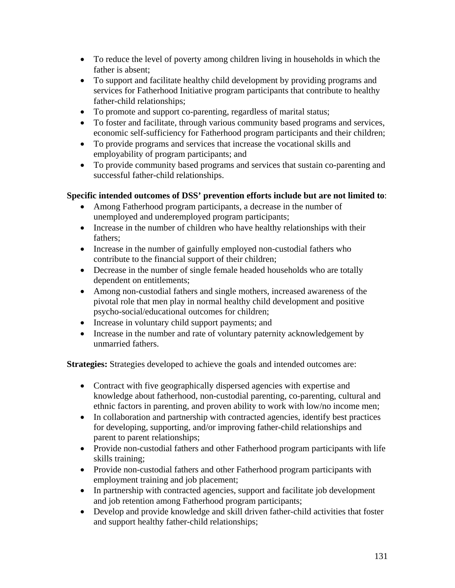- To reduce the level of poverty among children living in households in which the father is absent;
- To support and facilitate healthy child development by providing programs and services for Fatherhood Initiative program participants that contribute to healthy father-child relationships;
- To promote and support co-parenting, regardless of marital status;
- To foster and facilitate, through various community based programs and services, economic self-sufficiency for Fatherhood program participants and their children;
- To provide programs and services that increase the vocational skills and employability of program participants; and
- To provide community based programs and services that sustain co-parenting and successful father-child relationships.

# **Specific intended outcomes of DSS' prevention efforts include but are not limited to**:

- Among Fatherhood program participants, a decrease in the number of unemployed and underemployed program participants;
- Increase in the number of children who have healthy relationships with their fathers;
- Increase in the number of gainfully employed non-custodial fathers who contribute to the financial support of their children;
- Decrease in the number of single female headed households who are totally dependent on entitlements;
- Among non-custodial fathers and single mothers, increased awareness of the pivotal role that men play in normal healthy child development and positive psycho-social/educational outcomes for children;
- Increase in voluntary child support payments; and
- Increase in the number and rate of voluntary paternity acknowledgement by unmarried fathers.

**Strategies:** Strategies developed to achieve the goals and intended outcomes are:

- Contract with five geographically dispersed agencies with expertise and knowledge about fatherhood, non-custodial parenting, co-parenting, cultural and ethnic factors in parenting, and proven ability to work with low/no income men;
- In collaboration and partnership with contracted agencies, identify best practices for developing, supporting, and/or improving father-child relationships and parent to parent relationships;
- Provide non-custodial fathers and other Fatherhood program participants with life skills training;
- Provide non-custodial fathers and other Fatherhood program participants with employment training and job placement;
- In partnership with contracted agencies, support and facilitate job development and job retention among Fatherhood program participants;
- Develop and provide knowledge and skill driven father-child activities that foster and support healthy father-child relationships;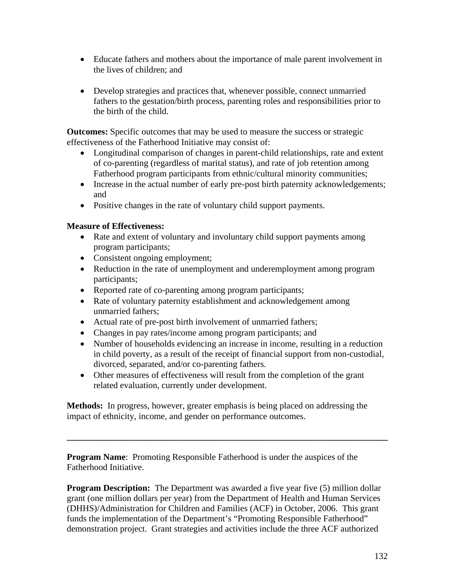- Educate fathers and mothers about the importance of male parent involvement in the lives of children; and
- Develop strategies and practices that, whenever possible, connect unmarried fathers to the gestation/birth process, parenting roles and responsibilities prior to the birth of the child.

**Outcomes:** Specific outcomes that may be used to measure the success or strategic effectiveness of the Fatherhood Initiative may consist of:

- Longitudinal comparison of changes in parent-child relationships, rate and extent of co-parenting (regardless of marital status), and rate of job retention among Fatherhood program participants from ethnic/cultural minority communities;
- Increase in the actual number of early pre-post birth paternity acknowledgements; and
- Positive changes in the rate of voluntary child support payments.

## **Measure of Effectiveness:**

- Rate and extent of voluntary and involuntary child support payments among program participants;
- Consistent ongoing employment;
- Reduction in the rate of unemployment and underemployment among program participants;
- Reported rate of co-parenting among program participants;
- Rate of voluntary paternity establishment and acknowledgement among unmarried fathers;
- Actual rate of pre-post birth involvement of unmarried fathers;
- Changes in pay rates/income among program participants; and
- Number of households evidencing an increase in income, resulting in a reduction in child poverty, as a result of the receipt of financial support from non-custodial, divorced, separated, and/or co-parenting fathers.
- Other measures of effectiveness will result from the completion of the grant related evaluation, currently under development.

**Methods:** In progress, however, greater emphasis is being placed on addressing the impact of ethnicity, income, and gender on performance outcomes.

**\_\_\_\_\_\_\_\_\_\_\_\_\_\_\_\_\_\_\_\_\_\_\_\_\_\_\_\_\_\_\_\_\_\_\_\_\_\_\_\_\_\_\_\_\_\_\_\_\_\_\_\_\_\_\_\_\_\_\_\_\_\_\_\_\_\_\_\_\_\_\_\_** 

**Program Name:** Promoting Responsible Fatherhood is under the auspices of the Fatherhood Initiative.

**Program Description:** The Department was awarded a five year five (5) million dollar grant (one million dollars per year) from the Department of Health and Human Services (DHHS)/Administration for Children and Families (ACF) in October, 2006. This grant funds the implementation of the Department's "Promoting Responsible Fatherhood" demonstration project. Grant strategies and activities include the three ACF authorized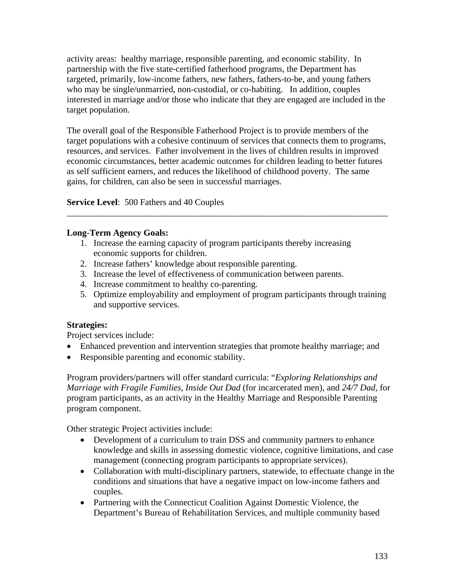activity areas: healthy marriage, responsible parenting, and economic stability. In partnership with the five state-certified fatherhood programs, the Department has targeted, primarily, low-income fathers, new fathers, fathers-to-be, and young fathers who may be single/unmarried, non-custodial, or co-habiting. In addition, couples interested in marriage and/or those who indicate that they are engaged are included in the target population.

The overall goal of the Responsible Fatherhood Project is to provide members of the target populations with a cohesive continuum of services that connects them to programs, resources, and services. Father involvement in the lives of children results in improved economic circumstances, better academic outcomes for children leading to better futures as self sufficient earners, and reduces the likelihood of childhood poverty. The same gains, for children, can also be seen in successful marriages.

\_\_\_\_\_\_\_\_\_\_\_\_\_\_\_\_\_\_\_\_\_\_\_\_\_\_\_\_\_\_\_\_\_\_\_\_\_\_\_\_\_\_\_\_\_\_\_\_\_\_\_\_\_\_\_\_\_\_\_\_\_\_\_\_\_\_\_\_\_\_\_\_

**Service Level**: 500 Fathers and 40 Couples

#### **Long-Term Agency Goals:**

- 1. Increase the earning capacity of program participants thereby increasing economic supports for children.
- 2. Increase fathers' knowledge about responsible parenting.
- 3. Increase the level of effectiveness of communication between parents.
- 4. Increase commitment to healthy co-parenting.
- 5. Optimize employability and employment of program participants through training and supportive services.

#### **Strategies:**

Project services include:

- Enhanced prevention and intervention strategies that promote healthy marriage; and
- Responsible parenting and economic stability.

Program providers/partners will offer standard curricula: "*Exploring Relationships and Marriage with Fragile Families, Inside Out Dad* (for incarcerated men), and *24/7 Dad,* for program participants, as an activity in the Healthy Marriage and Responsible Parenting program component.

Other strategic Project activities include:

- Development of a curriculum to train DSS and community partners to enhance knowledge and skills in assessing domestic violence, cognitive limitations, and case management (connecting program participants to appropriate services).
- Collaboration with multi-disciplinary partners, statewide, to effectuate change in the conditions and situations that have a negative impact on low-income fathers and couples.
- Partnering with the Connecticut Coalition Against Domestic Violence, the Department's Bureau of Rehabilitation Services, and multiple community based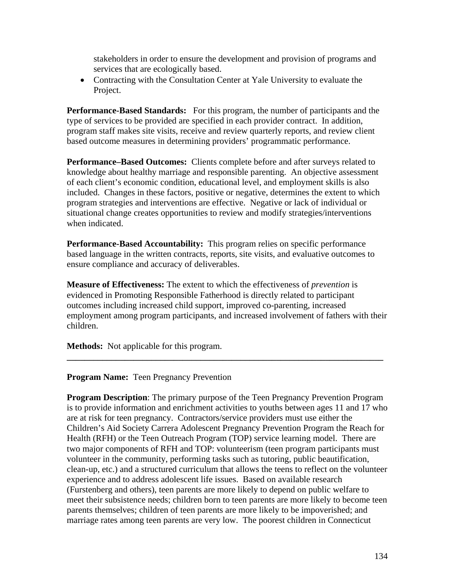stakeholders in order to ensure the development and provision of programs and services that are ecologically based.

• Contracting with the Consultation Center at Yale University to evaluate the Project.

**Performance-Based Standards:** For this program, the number of participants and the type of services to be provided are specified in each provider contract. In addition, program staff makes site visits, receive and review quarterly reports, and review client based outcome measures in determining providers' programmatic performance.

**Performance–Based Outcomes:** Clients complete before and after surveys related to knowledge about healthy marriage and responsible parenting. An objective assessment of each client's economic condition, educational level, and employment skills is also included. Changes in these factors, positive or negative, determines the extent to which program strategies and interventions are effective. Negative or lack of individual or situational change creates opportunities to review and modify strategies/interventions when indicated.

**Performance-Based Accountability:** This program relies on specific performance based language in the written contracts, reports, site visits, and evaluative outcomes to ensure compliance and accuracy of deliverables.

**Measure of Effectiveness:** The extent to which the effectiveness of *prevention* is evidenced in Promoting Responsible Fatherhood is directly related to participant outcomes including increased child support, improved co-parenting, increased employment among program participants, and increased involvement of fathers with their children.

**\_\_\_\_\_\_\_\_\_\_\_\_\_\_\_\_\_\_\_\_\_\_\_\_\_\_\_\_\_\_\_\_\_\_\_\_\_\_\_\_\_\_\_\_\_\_\_\_\_\_\_\_\_\_\_\_\_\_\_\_\_\_\_\_\_\_\_\_\_\_\_** 

**Methods:** Not applicable for this program.

#### **Program Name:** Teen Pregnancy Prevention

**Program Description:** The primary purpose of the Teen Pregnancy Prevention Program is to provide information and enrichment activities to youths between ages 11 and 17 who are at risk for teen pregnancy. Contractors/service providers must use either the Children's Aid Society Carrera Adolescent Pregnancy Prevention Program the Reach for Health (RFH) or the Teen Outreach Program (TOP) service learning model. There are two major components of RFH and TOP: volunteerism (teen program participants must volunteer in the community, performing tasks such as tutoring, public beautification, clean-up, etc.) and a structured curriculum that allows the teens to reflect on the volunteer experience and to address adolescent life issues. Based on available research (Furstenberg and others), teen parents are more likely to depend on public welfare to meet their subsistence needs; children born to teen parents are more likely to become teen parents themselves; children of teen parents are more likely to be impoverished; and marriage rates among teen parents are very low. The poorest children in Connecticut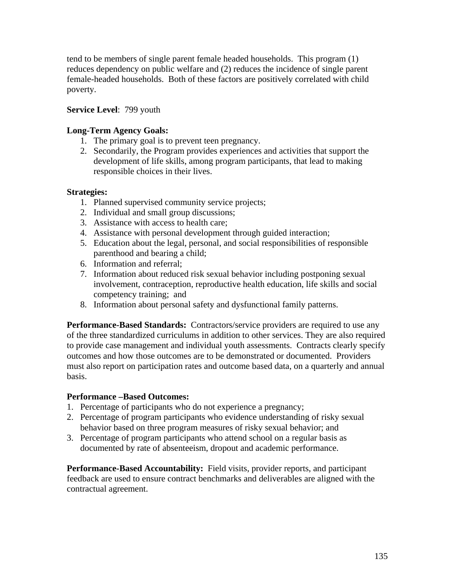tend to be members of single parent female headed households. This program (1) reduces dependency on public welfare and (2) reduces the incidence of single parent female-headed households. Both of these factors are positively correlated with child poverty.

## **Service Level**: 799 youth

## **Long-Term Agency Goals:**

- 1. The primary goal is to prevent teen pregnancy.
- 2. Secondarily, the Program provides experiences and activities that support the development of life skills, among program participants, that lead to making responsible choices in their lives.

## **Strategies:**

- 1. Planned supervised community service projects;
- 2. Individual and small group discussions;
- 3. Assistance with access to health care;
- 4. Assistance with personal development through guided interaction;
- 5. Education about the legal, personal, and social responsibilities of responsible parenthood and bearing a child;
- 6. Information and referral;
- 7. Information about reduced risk sexual behavior including postponing sexual involvement, contraception, reproductive health education, life skills and social competency training; and
- 8. Information about personal safety and dysfunctional family patterns.

**Performance-Based Standards:** Contractors/service providers are required to use any of the three standardized curriculums in addition to other services. They are also required to provide case management and individual youth assessments. Contracts clearly specify outcomes and how those outcomes are to be demonstrated or documented. Providers must also report on participation rates and outcome based data, on a quarterly and annual basis.

## **Performance –Based Outcomes:**

- 1. Percentage of participants who do not experience a pregnancy;
- 2. Percentage of program participants who evidence understanding of risky sexual behavior based on three program measures of risky sexual behavior; and
- 3. Percentage of program participants who attend school on a regular basis as documented by rate of absenteeism, dropout and academic performance.

**Performance-Based Accountability:** Field visits, provider reports, and participant feedback are used to ensure contract benchmarks and deliverables are aligned with the contractual agreement.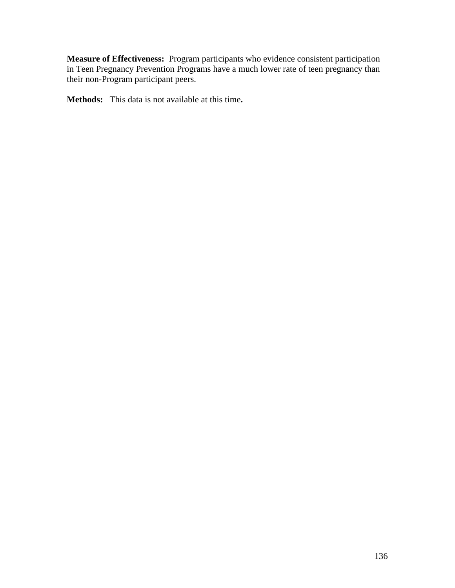**Measure of Effectiveness:** Program participants who evidence consistent participation in Teen Pregnancy Prevention Programs have a much lower rate of teen pregnancy than their non-Program participant peers.

**Methods:** This data is not available at this time**.**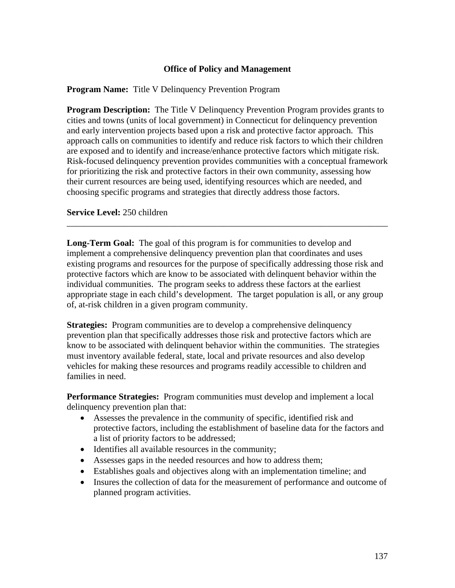#### **Office of Policy and Management**

#### **Program Name:** Title V Delinquency Prevention Program

**Program Description:** The Title V Delinquency Prevention Program provides grants to cities and towns (units of local government) in Connecticut for delinquency prevention and early intervention projects based upon a risk and protective factor approach. This approach calls on communities to identify and reduce risk factors to which their children are exposed and to identify and increase/enhance protective factors which mitigate risk. Risk-focused delinquency prevention provides communities with a conceptual framework for prioritizing the risk and protective factors in their own community, assessing how their current resources are being used, identifying resources which are needed, and choosing specific programs and strategies that directly address those factors.

#### **Service Level:** 250 children

**Long-Term Goal:** The goal of this program is for communities to develop and implement a comprehensive delinquency prevention plan that coordinates and uses existing programs and resources for the purpose of specifically addressing those risk and protective factors which are know to be associated with delinquent behavior within the individual communities. The program seeks to address these factors at the earliest appropriate stage in each child's development. The target population is all, or any group of, at-risk children in a given program community.

\_\_\_\_\_\_\_\_\_\_\_\_\_\_\_\_\_\_\_\_\_\_\_\_\_\_\_\_\_\_\_\_\_\_\_\_\_\_\_\_\_\_\_\_\_\_\_\_\_\_\_\_\_\_\_\_\_\_\_\_\_\_\_\_\_\_\_\_\_\_\_\_

**Strategies:** Program communities are to develop a comprehensive delinquency prevention plan that specifically addresses those risk and protective factors which are know to be associated with delinquent behavior within the communities. The strategies must inventory available federal, state, local and private resources and also develop vehicles for making these resources and programs readily accessible to children and families in need.

**Performance Strategies:** Program communities must develop and implement a local delinquency prevention plan that:

- Assesses the prevalence in the community of specific, identified risk and protective factors, including the establishment of baseline data for the factors and a list of priority factors to be addressed;
- Identifies all available resources in the community;
- Assesses gaps in the needed resources and how to address them;
- Establishes goals and objectives along with an implementation timeline; and
- Insures the collection of data for the measurement of performance and outcome of planned program activities.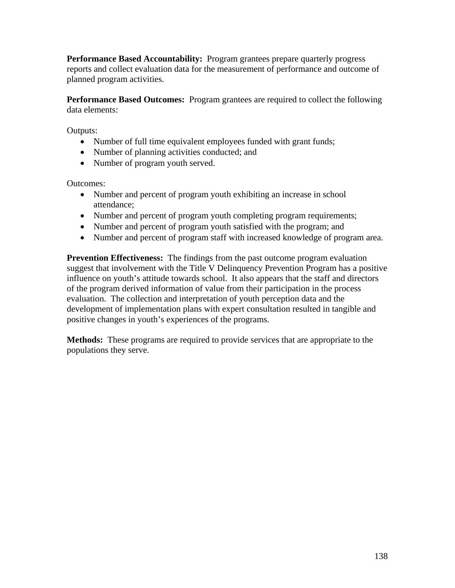**Performance Based Accountability:** Program grantees prepare quarterly progress reports and collect evaluation data for the measurement of performance and outcome of planned program activities.

**Performance Based Outcomes:** Program grantees are required to collect the following data elements:

Outputs:

- Number of full time equivalent employees funded with grant funds;
- Number of planning activities conducted; and
- Number of program youth served.

Outcomes:

- Number and percent of program youth exhibiting an increase in school attendance;
- Number and percent of program youth completing program requirements;
- Number and percent of program youth satisfied with the program; and
- Number and percent of program staff with increased knowledge of program area.

**Prevention Effectiveness:** The findings from the past outcome program evaluation suggest that involvement with the Title V Delinquency Prevention Program has a positive influence on youth's attitude towards school. It also appears that the staff and directors of the program derived information of value from their participation in the process evaluation. The collection and interpretation of youth perception data and the development of implementation plans with expert consultation resulted in tangible and positive changes in youth's experiences of the programs.

**Methods:** These programs are required to provide services that are appropriate to the populations they serve.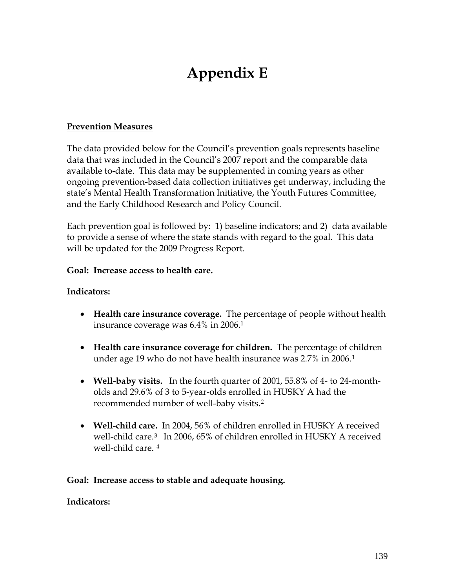# **Appendix E**

# **Prevention Measures**

The data provided below for the Council's prevention goals represents baseline data that was included in the Council's 2007 report and the comparable data available to-date. This data may be supplemented in coming years as other ongoing prevention-based data collection initiatives get underway, including the state's Mental Health Transformation Initiative, the Youth Futures Committee, and the Early Childhood Research and Policy Council.

Each prevention goal is followed by: 1) baseline indicators; and 2) data available to provide a sense of where the state stands with regard to the goal. This data will be updated for the 2009 Progress Report.

## **Goal: Increase access to health care.**

# **Indicators:**

- **Health care insurance coverage.** The percentage of people without health insurance coverage was 6.4% in 2006.1
- **Health care insurance coverage for children.** The percentage of children under age 19 who do not have health insurance was 2.7% in 2006.[1](#page-153-0)
- **Well-baby visits.** In the fourth quarter of 2001, 55.8% of 4- to 24-montholds and 29.6% of 3 to 5-year-olds enrolled in HUSKY A had the recommended number of well-baby visits.[2](#page-153-0)
- **Well-child care.** In 2004, 56% of children enrolled in HUSKY A received well-child care.[3](#page-153-0) In 2006, 65% of children enrolled in HUSKY A received well-child care. [4](#page-153-0)

## **Goal: Increase access to stable and adequate housing.**

## **Indicators:**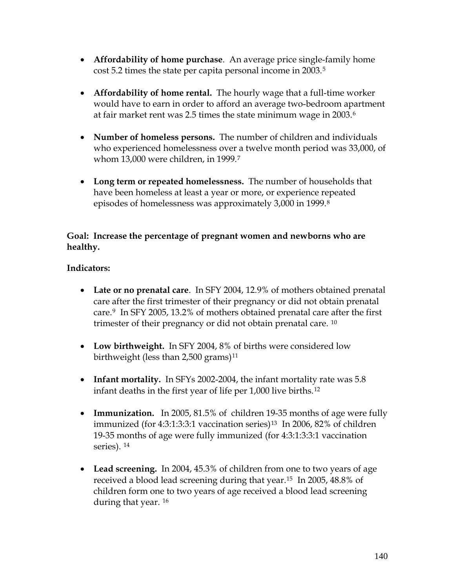- **Affordability of home purchase**. An average price single-family home cost 5.2 times the state per capita personal income in 2003.[5](#page-153-0)
- **Affordability of home rental.** The hourly wage that a full-time worker would have to earn in order to afford an average two-bedroom apartment at fair market rent was 2.5 times the state minimum wage in 2003.[6](#page-153-0)
- **Number of homeless persons.** The number of children and individuals who experienced homelessness over a twelve month period was 33,000, of whom 13,000 were children, in 1999.[7](#page-153-0)
- **Long term or repeated homelessness.** The number of households that have been homeless at least a year or more, or experience repeated episodes of homelessness was approximately 3,000 in 1999.[8](#page-153-0)

# **Goal: Increase the percentage of pregnant women and newborns who are healthy.**

# **Indicators:**

- **Late or no prenatal care**. In SFY 2004, 12.9% of mothers obtained prenatal care after the first trimester of their pregnancy or did not obtain prenatal care.[9](#page-153-0) In SFY 2005, 13.2% of mothers obtained prenatal care after the first trimester of their pregnancy or did not obtain prenatal care. [10](#page-153-0)
- **Low birthweight.** In SFY 2004, 8% of births were considered low birthweight (less than 2,500 grams)<sup>[11](#page-153-0)</sup>
- **Infant mortality.** In SFYs 2002-2004, the infant mortality rate was 5.8 infant deaths in the first year of life per 1,000 live births.[12](#page-153-0)
- **Immunization.** In 2005, 81.5% of children 19-35 months of age were fully immunized (for 4:3:1:3:3:1 vaccination series)<sup>[13](#page-153-0)</sup> In 2006, 82% of children 19-35 months of age were fully immunized (for 4:3:1:3:3:1 vaccination series). [14](#page-153-0)
- **Lead screening.** In 2004, 45.3% of children from one to two years of age received a blood lead screening during that year.[15](#page-153-0) In 2005, 48.8% of children form one to two years of age received a blood lead screening during that year. [16](#page-153-0)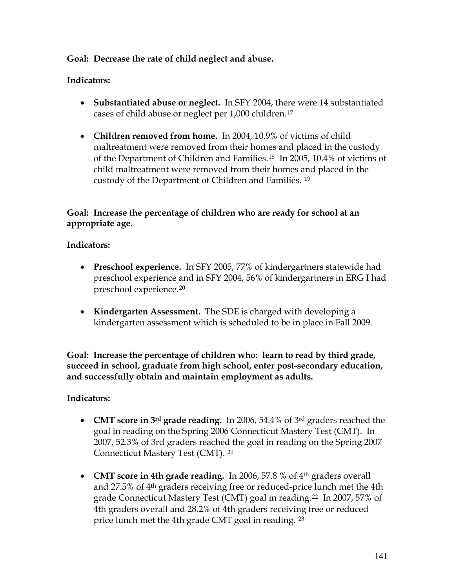# **Goal: Decrease the rate of child neglect and abuse.**

# **Indicators:**

- **Substantiated abuse or neglect.** In SFY 2004, there were 14 substantiated cases of child abuse or neglect per 1,000 children.[17](#page-153-0)
- **Children removed from home.** In 2004, 10.9% of victims of child maltreatment were removed from their homes and placed in the custody of the Department of Children and Families.[18](#page-153-0) In 2005, 10.4% of victims of child maltreatment were removed from their homes and placed in the custody of the Department of Children and Families. [19](#page-153-0)

# **Goal: Increase the percentage of children who are ready for school at an appropriate age.**

# **Indicators:**

- **Preschool experience.** In SFY 2005, 77% of kindergartners statewide had preschool experience and in SFY 2004, 56% of kindergartners in ERG I had preschool experience.[20](#page-153-0)
- **Kindergarten Assessment.** The SDE is charged with developing a kindergarten assessment which is scheduled to be in place in Fall 2009.

**Goal: Increase the percentage of children who: learn to read by third grade, succeed in school, graduate from high school, enter post-secondary education, and successfully obtain and maintain employment as adults.** 

## **Indicators:**

- **CMT score in 3rd grade reading.** In 2006, 54.4% of 3rd graders reached the goal in reading on the Spring 2006 Connecticut Mastery Test (CMT). In 2007, 52.3% of 3rd graders reached the goal in reading on the Spring 2007 Connecticut Mastery Test (CMT). [21](#page-153-0)
- **CMT score in 4th grade reading.** In 2006, 57.8 % of 4th graders overall and 27.5% of 4th graders receiving free or reduced-price lunch met the 4th grade Connecticut Mastery Test (CMT) goal in reading.[22](#page-153-0) In 2007, 57% of 4th graders overall and 28.2% of 4th graders receiving free or reduced price lunch met the 4th grade CMT goal in reading. [23](#page-153-0)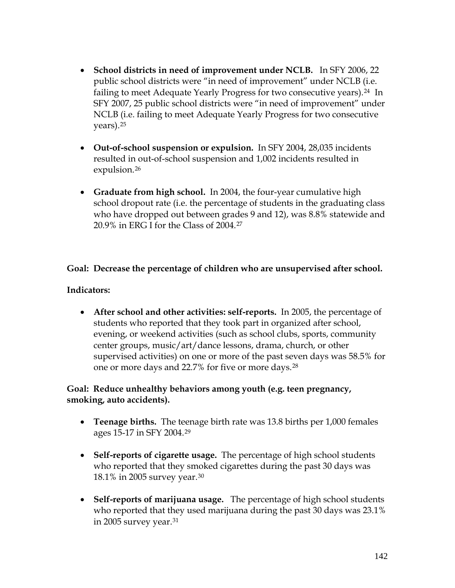- **School districts in need of improvement under NCLB.** In SFY 2006, 22 public school districts were "in need of improvement" under NCLB (i.e. failing to meet Adequate Yearly Progress for two consecutive years).[24](#page-153-0) In SFY 2007, 25 public school districts were "in need of improvement" under NCLB (i.e. failing to meet Adequate Yearly Progress for two consecutive years).[25](#page-153-0)
- **Out-of-school suspension or expulsion.** In SFY 2004, 28,035 incidents resulted in out-of-school suspension and 1,002 incidents resulted in expulsion.<sup>[26](#page-153-0)</sup>
- **Graduate from high school.** In 2004, the four-year cumulative high school dropout rate (i.e. the percentage of students in the graduating class who have dropped out between grades 9 and 12), was 8.8% statewide and 20.9% in ERG I for the Class of 2004.[27](#page-153-0)

# **Goal: Decrease the percentage of children who are unsupervised after school.**

# **Indicators:**

• **After school and other activities: self-reports.** In 2005, the percentage of students who reported that they took part in organized after school, evening, or weekend activities (such as school clubs, sports, community center groups, music/art/dance lessons, drama, church, or other supervised activities) on one or more of the past seven days was 58.5% for one or more days and 22.7% for five or more days.[28](#page-153-0)

# **Goal: Reduce unhealthy behaviors among youth (e.g. teen pregnancy, smoking, auto accidents).**

- **Teenage births.** The teenage birth rate was 13.8 births per 1,000 females ages 15-17 in SFY 2004.[29](#page-153-0)
- **Self-reports of cigarette usage.** The percentage of high school students who reported that they smoked cigarettes during the past 30 days was 18.1% in 2005 survey year.[30](#page-153-0)
- **Self-reports of marijuana usage.** The percentage of high school students who reported that they used marijuana during the past 30 days was 23.1% in 2005 survey year.[31](#page-153-0)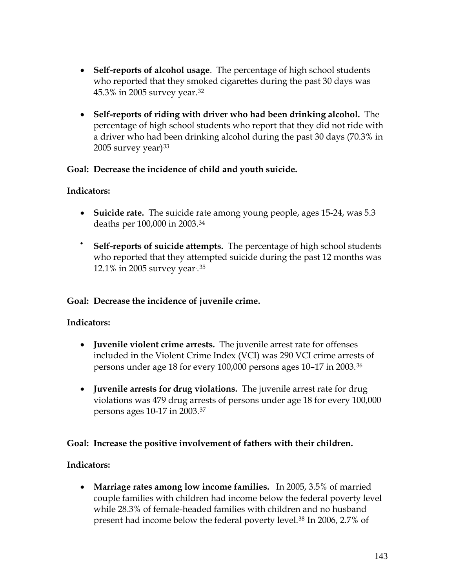- **Self-reports of alcohol usage**. The percentage of high school students who reported that they smoked cigarettes during the past 30 days was 45.3% in 2005 survey year.[32](#page-153-0)
- **Self-reports of riding with driver who had been drinking alcohol.** The percentage of high school students who report that they did not ride with a driver who had been drinking alcohol during the past 30 days (70.3% in  $2005$  survey year) $33$

# **Goal: Decrease the incidence of child and youth suicide.**

# **Indicators:**

- **Suicide rate.** The suicide rate among young people, ages 15-24, was 5.3 deaths per 100,000 in 2003.[34](#page-153-0)
- **Self-reports of suicide attempts.** The percentage of high school students who reported that they attempted suicide during the past 12 months was 12.1% in 2005 survey year. .[35](#page-153-0)

# **Goal: Decrease the incidence of juvenile crime.**

# **Indicators:**

- **Juvenile violent crime arrests.** The juvenile arrest rate for offenses included in the Violent Crime Index (VCI) was 290 VCI crime arrests of persons under age 18 for every 100,000 persons ages 10–17 in 2003.[36](#page-153-0)
- **Juvenile arrests for drug violations.** The juvenile arrest rate for drug violations was 479 drug arrests of persons under age 18 for every 100,000 persons ages 10-17 in 2003.[37](#page-153-0)

# **Goal: Increase the positive involvement of fathers with their children.**

# **Indicators:**

• **Marriage rates among low income families.** In 2005, 3.5% of married couple families with children had income below the federal poverty level while 28.3% of female-headed families with children and no husband present had income below the federal poverty level.<sup>[38](#page-153-0)</sup> In 2006, 2.7% of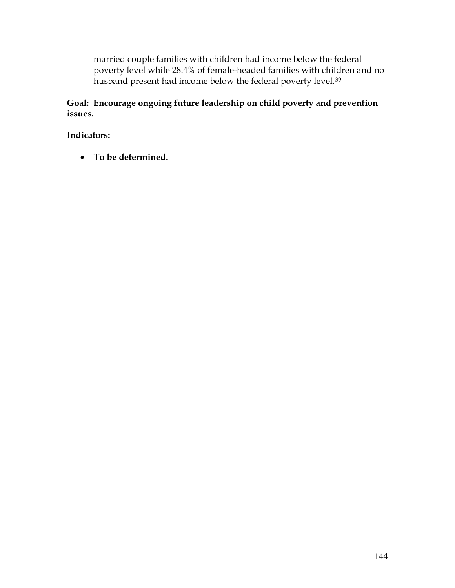married couple families with children had income below the federal poverty level while 28.4% of female-headed families with children and no husband present had income below the federal poverty level.<sup>[39](#page-153-0)</sup>

**Goal: Encourage ongoing future leadership on child poverty and prevention issues.** 

**Indicators:** 

• **To be determined.**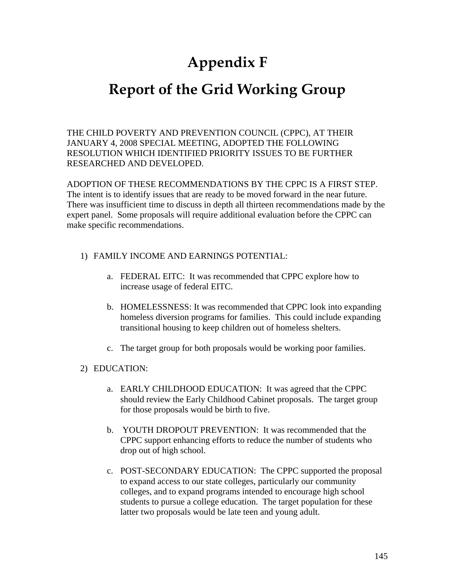# **Appendix F**

# **Report of the Grid Working Group**

THE CHILD POVERTY AND PREVENTION COUNCIL (CPPC), AT THEIR JANUARY 4, 2008 SPECIAL MEETING, ADOPTED THE FOLLOWING RESOLUTION WHICH IDENTIFIED PRIORITY ISSUES TO BE FURTHER RESEARCHED AND DEVELOPED.

ADOPTION OF THESE RECOMMENDATIONS BY THE CPPC IS A FIRST STEP. The intent is to identify issues that are ready to be moved forward in the near future. There was insufficient time to discuss in depth all thirteen recommendations made by the expert panel. Some proposals will require additional evaluation before the CPPC can make specific recommendations.

- 1) FAMILY INCOME AND EARNINGS POTENTIAL:
	- a. FEDERAL EITC: It was recommended that CPPC explore how to increase usage of federal EITC.
	- b. HOMELESSNESS: It was recommended that CPPC look into expanding homeless diversion programs for families. This could include expanding transitional housing to keep children out of homeless shelters.
	- c. The target group for both proposals would be working poor families.

### 2) EDUCATION:

- a. EARLY CHILDHOOD EDUCATION: It was agreed that the CPPC should review the Early Childhood Cabinet proposals. The target group for those proposals would be birth to five.
- b. YOUTH DROPOUT PREVENTION: It was recommended that the CPPC support enhancing efforts to reduce the number of students who drop out of high school.
- c. POST-SECONDARY EDUCATION: The CPPC supported the proposal to expand access to our state colleges, particularly our community colleges, and to expand programs intended to encourage high school students to pursue a college education. The target population for these latter two proposals would be late teen and young adult.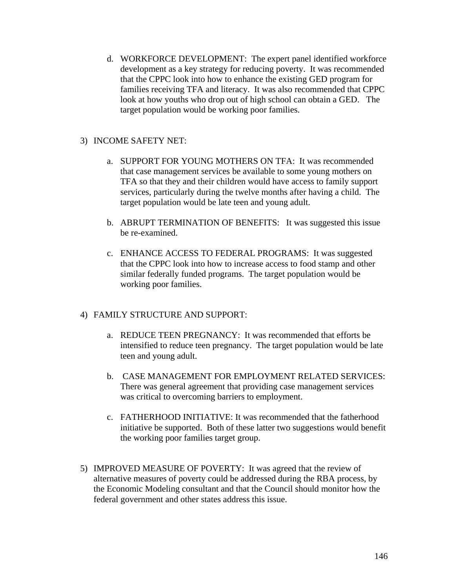d. WORKFORCE DEVELOPMENT: The expert panel identified workforce development as a key strategy for reducing poverty. It was recommended that the CPPC look into how to enhance the existing GED program for families receiving TFA and literacy. It was also recommended that CPPC look at how youths who drop out of high school can obtain a GED. The target population would be working poor families.

#### 3) INCOME SAFETY NET:

- a. SUPPORT FOR YOUNG MOTHERS ON TFA: It was recommended that case management services be available to some young mothers on TFA so that they and their children would have access to family support services, particularly during the twelve months after having a child. The target population would be late teen and young adult.
- b. ABRUPT TERMINATION OF BENEFITS: It was suggested this issue be re-examined.
- c. ENHANCE ACCESS TO FEDERAL PROGRAMS: It was suggested that the CPPC look into how to increase access to food stamp and other similar federally funded programs. The target population would be working poor families.

### 4) FAMILY STRUCTURE AND SUPPORT:

- a. REDUCE TEEN PREGNANCY: It was recommended that efforts be intensified to reduce teen pregnancy. The target population would be late teen and young adult.
- b. CASE MANAGEMENT FOR EMPLOYMENT RELATED SERVICES: There was general agreement that providing case management services was critical to overcoming barriers to employment.
- c. FATHERHOOD INITIATIVE: It was recommended that the fatherhood initiative be supported. Both of these latter two suggestions would benefit the working poor families target group.
- 5) IMPROVED MEASURE OF POVERTY: It was agreed that the review of alternative measures of poverty could be addressed during the RBA process, by the Economic Modeling consultant and that the Council should monitor how the federal government and other states address this issue.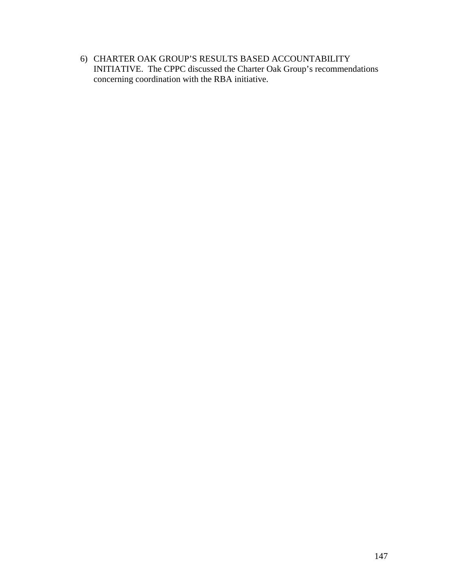6) CHARTER OAK GROUP'S RESULTS BASED ACCOUNTABILITY INITIATIVE. The CPPC discussed the Charter Oak Group's recommendations concerning coordination with the RBA initiative.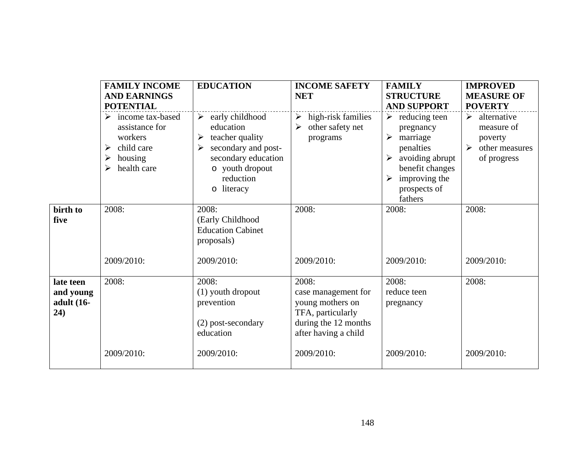|                                             | <b>FAMILY INCOME</b><br><b>AND EARNINGS</b><br><b>POTENTIAL</b>                                                  | <b>EDUCATION</b>                                                                                                                                                               | <b>INCOME SAFETY</b><br><b>NET</b>                                                                                                  | <b>FAMILY</b><br><b>STRUCTURE</b><br><b>AND SUPPORT</b>                                                                                                                                                                           | <b>IMPROVED</b><br><b>MEASURE OF</b><br><b>POVERTY</b>                                                          |
|---------------------------------------------|------------------------------------------------------------------------------------------------------------------|--------------------------------------------------------------------------------------------------------------------------------------------------------------------------------|-------------------------------------------------------------------------------------------------------------------------------------|-----------------------------------------------------------------------------------------------------------------------------------------------------------------------------------------------------------------------------------|-----------------------------------------------------------------------------------------------------------------|
|                                             | $\triangleright$ income tax-based<br>assistance for<br>workers<br>child care<br>➤<br>housing<br>➤<br>health care | $\blacktriangleright$<br>early childhood<br>education<br>teacher quality<br>➤<br>secondary and post-<br>➤<br>secondary education<br>o youth dropout<br>reduction<br>o literacy | $\triangleright$ high-risk families<br>other safety net<br>➤<br>programs                                                            | $\triangleright$ reducing teen<br>pregnancy<br>marriage<br>$\blacktriangleright$<br>penalties<br>avoiding abrupt<br>$\blacktriangleright$<br>benefit changes<br>improving the<br>$\blacktriangleright$<br>prospects of<br>fathers | $\triangleright$ alternative<br>measure of<br>poverty<br>other measures<br>$\blacktriangleright$<br>of progress |
| birth to<br>five                            | 2008:<br>2009/2010:                                                                                              | 2008:<br>(Early Childhood<br><b>Education Cabinet</b><br>proposals)<br>2009/2010:                                                                                              | 2008:<br>2009/2010:                                                                                                                 | 2008:<br>2009/2010:                                                                                                                                                                                                               | 2008:<br>2009/2010:                                                                                             |
| late teen<br>and young<br>adult (16-<br>24) | 2008:<br>2009/2010:                                                                                              | 2008:<br>(1) youth dropout<br>prevention<br>(2) post-secondary<br>education<br>2009/2010:                                                                                      | 2008:<br>case management for<br>young mothers on<br>TFA, particularly<br>during the 12 months<br>after having a child<br>2009/2010: | 2008:<br>reduce teen<br>pregnancy<br>2009/2010:                                                                                                                                                                                   | 2008:<br>2009/2010:                                                                                             |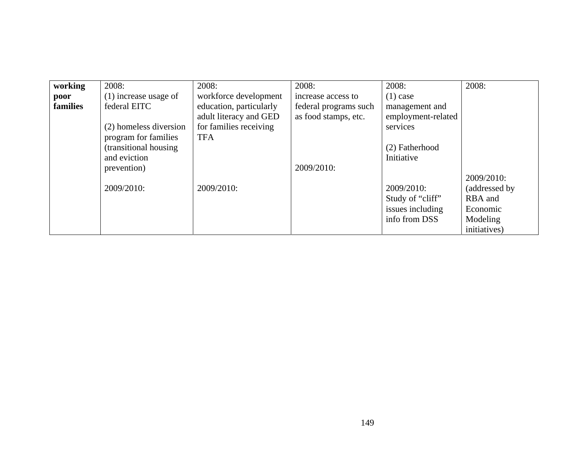| working  | 2008:                   | 2008:                   | 2008:                 | 2008:              | 2008:          |
|----------|-------------------------|-------------------------|-----------------------|--------------------|----------------|
| poor     | $(1)$ increase usage of | workforce development   | increase access to    | $(1)$ case         |                |
| families | federal EITC            | education, particularly | federal programs such | management and     |                |
|          |                         | adult literacy and GED  | as food stamps, etc.  | employment-related |                |
|          | (2) homeless diversion  | for families receiving  |                       | services           |                |
|          | program for families    | <b>TFA</b>              |                       |                    |                |
|          | (transitional housing)  |                         |                       | (2) Fatherhood     |                |
|          | and eviction            |                         |                       | Initiative         |                |
|          | prevention)             |                         | 2009/2010:            |                    |                |
|          |                         |                         |                       |                    | 2009/2010:     |
|          | 2009/2010:              | 2009/2010:              |                       | 2009/2010:         | (addressed by) |
|          |                         |                         |                       | Study of "cliff"   | RBA and        |
|          |                         |                         |                       | issues including   | Economic       |
|          |                         |                         |                       | info from DSS      | Modeling       |
|          |                         |                         |                       |                    | initiatives)   |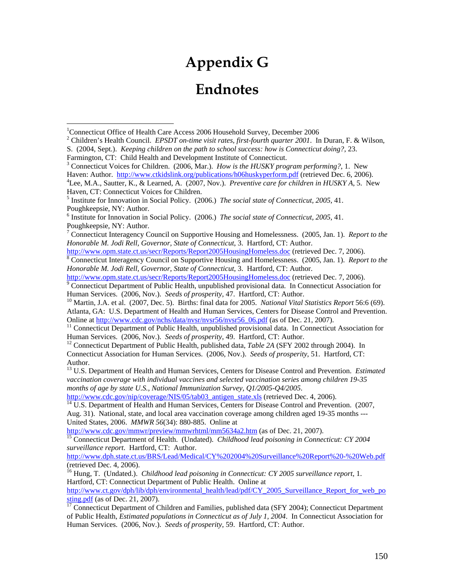# **Appendix G Endnotes**

Farmington, CT: Child Health and Development Institute of Connecticut.

 $\overline{a}$ 

3 Connecticut Voices for Children. (2006, Mar.). *How is the HUSKY program performing?*, 1. New Haven: Author. <http://www.ctkidslink.org/publications/h06huskyperform.pdf>(retrieved Dec. 6, 2006). Lee, M.A., Sautter, K., & Learned, A. (2007, Nov.). *Preventive care for children in HUSKY A*, 5. New Haven, CT: Connecticut Voices for Children.

<http://www.opm.state.ct.us/secr/Reports/Report2005HousingHomeless.doc>(retrieved Dec. 7, 2006).

 Connecticut Interagency Council on Supportive Housing and Homelessness. (2005, Jan. 1). *Report to the Honorable M. Jodi Rell, Governor, State of Connecticut*, 3. Hartford, CT: Author.

<http://www.opm.state.ct.us/secr/Reports/Report2005HousingHomeless.doc>(retrieved Dec. 7, 2006).<br><sup>[9](http://www.opm.state.ct.us/secr/Reports/Report2005HousingHomeless.doc)</sup> Connecticut Department of Public Health, unpublished provisional data. In Connecticut Association for Human Services. (2006, Nov.). *Seeds of prosperity*, 47. Hartford, CT: Author.<br><sup>10</sup> Martin, J.A. et al. (2007, Dec. 5). Births: final data for 2005. *National Vital Statistics Report* 56:6 (69).

Atlanta, GA: U.S. Department of Health and Human Services, Centers for Disease Control and Prevention.

Online at [http://www.cdc.gov/nchs/data/nvsr/nvsr56/nvsr56\\_06.pdf](http://www.cdc.gov/nchs/data/nvsr/nvsr56/nvsr56_06.pdf) (as of Dec. 21, 2007).<br><sup>11</sup> Connecticut Department of Public Health, unpublished provisional data. In Connecticut Association for Human Services. (2006, Nov.

<sup>12</sup> Connecticut Department of Public Health, published data, *Table 2A* (SFY 2002 through 2004). In Connecticut Association for Human Services. (2006, Nov.). *Seeds of prosperity*, 51. Hartford, CT: Author.

13 U.S. Department of Health and Human Services, Centers for Disease Control and Prevention. *Estimated vaccination coverage with individual vaccines and selected vaccination series among children 19-35 months of age by state U.S., National Immunization Survey, Q1/2005-Q4/2005*.

[http://www.cdc.gov/nip/coverage/NIS/05/tab03\\_antigen\\_state.xls](http://www.cdc.gov/nip/coverage/NIS/05/tab03_antigen_state.xls) (retrieved Dec. 4, 2006). <sup>14</sup> U.S. Department of Health and Human Services, Centers for Disease Control and Prevention. (2007, Aug. 31). National, state, and local area vaccination coverage among children aged 19-35 months --- United States, 2006. *MMWR 56*(34): 880-885. Online at http://www.cdc.gov/mmwr/preview/mmwrhtml/mm5634a2.htm (as of Dec. 21, 2007).

<sup>[15](http://www.cdc.gov/mmwr/preview/mmwrhtml/mm5634a2.htm)</sup> Connecticut Department of Health. (Undated). *Childhood lead poisoning in Connecticut: CY 2004 surveillance report*. Hartford, CT: Author.

<http://www.dph.state.ct.us/BRS/Lead/Medical/CY%202004%20Surveillance%20Report%20-%20Web.pdf> (retrieved Dec. 4, 2006).

16 Hung, T. (Undated.). *Childhood lead poisoning in Connecticut: CY 2005 surveillance report*, 1. Hartford, CT: Connecticut Department of Public Health. Online at

[http://www.ct.gov/dph/lib/dph/environmental\\_health/lead/pdf/CY\\_2005\\_Surveillance\\_Report\\_for\\_web\\_po](http://www.ct.gov/dph/lib/dph/environmental_health/lead/pdf/CY_2005_Surveillance_Report_for_web_posting.pdf) [sting.pdf](http://www.ct.gov/dph/lib/dph/environmental_health/lead/pdf/CY_2005_Surveillance_Report_for_web_posting.pdf) (as of Dec. 21, 2007).<br><sup>17</sup> Connecticut Department of Children and Families, published data (SFY 2004); Connecticut Department

of Public Health, *Estimated populations in Connecticut as of July 1, 2004*. In Connecticut Association for Human Services. (2006, Nov.). *Seeds of prosperity*, 59. Hartford, CT: Author.

<sup>&</sup>lt;sup>1</sup>Connecticut Office of Health Care Access 2006 Household Survey, December 2006

Children's Health Council. *EPSDT on-time visit rates, first-fourth quarter 2001*. In Duran, F. & Wilson, S. (2004, Sept.). *Keeping children on the path to school success: how is Connecticut doing?*, 23.

<sup>5</sup> Institute for Innovation in Social Policy. (2006.) *The social state of Connecticut, 2005*, 41. Poughkeepsie, NY: Author.

<sup>6</sup> Institute for Innovation in Social Policy. (2006.) *The social state of Connecticut, 2005*, 41. Poughkeepsie, NY: Author.

<sup>7</sup> Connecticut Interagency Council on Supportive Housing and Homelessness. (2005, Jan. 1). *Report to the Honorable M. Jodi Rell, Governor, State of Connecticut*, 3. Hartford, CT: Author.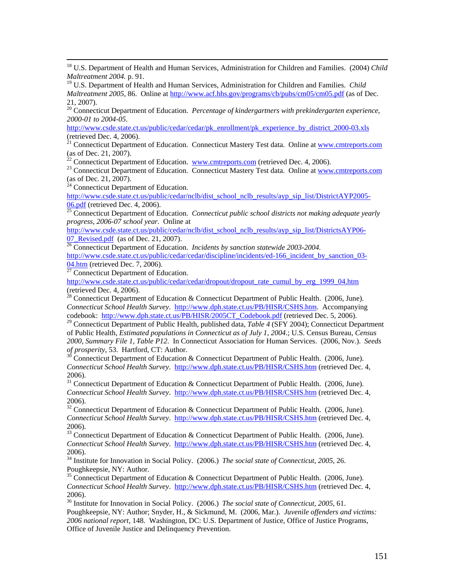18 U.S. Department of Health and Human Services, Administration for Children and Families. (2004) *Child Maltreatment 2004.* p. 91.

19 U.S. Department of Health and Human Services, Administration for Children and Families. *Child Maltreatment 2005*, 86. Online at <http://www.acf.hhs.gov/programs/cb/pubs/cm05/cm05.pdf> (as of Dec. 21, 2007).

20 Connecticut Department of Education. *Percentage of kindergartners with prekindergarten experience, 2000-01 to 2004-05*.

[http://www.csde.state.ct.us/public/cedar/cedar/pk\\_enrollment/pk\\_experience\\_by\\_district\\_2000-03.xls](http://www.csde.state.ct.us/public/cedar/cedar/pk_enrollment/pk_experience_by_district_2000-03.xls) (retrieved Dec. 4, 2006).

<sup>21</sup> Connecticut Department of Education. Connecticut Mastery Test data. Online at [www.cmtreports.com](http://www.cmtreports.com/) (as of Dec. 21, 2007).<br> $^{22}$  Connecticut Department of Education.  $\underline{www.cmtreports.com}$  (retrieved Dec. 4, 2006).

 $^{23}$  Connecticut Department of Education. [Connecticut Mastery T](http://www.cmtreports.com/)est data. Online at [www.cmtreports.com](http://www.cmtreports.com/) (as of Dec. 21, 2007).

 $24$  Connecticut Department of Education.

[http://www.csde.state.ct.us/public/cedar/nclb/dist\\_school\\_nclb\\_results/ayp\\_sip\\_list/DistrictAYP2005-](http://www.csde.state.ct.us/public/cedar/nclb/dist_school_nclb_results/ayp_sip_list/DistrictAYP2005-06.pdf)<br>06.pdf (retrieved Dec. 4, 2006).

<sup>[25](http://www.csde.state.ct.us/public/cedar/nclb/dist_school_nclb_results/ayp_sip_list/DistrictAYP2005-06.pdf)</sup> Connecticut Department of Education. *Connecticut public school districts not making adequate yearly* <sup>25</sup> Connecticut Department of Education. *Connecticut public school districts not making adequate yearly progress, 2006-07 school year.* Online at

[http://www.csde.state.ct.us/public/cedar/nclb/dist\\_school\\_nclb\\_results/ayp\\_sip\\_list/DistrictsAYP06-](http://www.csde.state.ct.us/public/cedar/nclb/dist_school_nclb_results/ayp_sip_list/DistrictsAYP06-07_Revised.pdf)<br>07 Revised.pdf (as of Dec. 21, 2007).

<sup>[26](http://www.csde.state.ct.us/public/cedar/nclb/dist_school_nclb_results/ayp_sip_list/DistrictsAYP06-07_Revised.pdf)</sup> Connecticut Department of Education. *Incidents by sanction statewide 2003-2004*.

[http://www.csde.state.ct.us/public/cedar/cedar/discipline/incidents/ed-166\\_incident\\_by\\_sanction\\_03-](http://www.csde.state.ct.us/public/cedar/cedar/discipline/incidents/ed-166_incident_by_sanction_03-04.htm)  $\frac{04. \text{htm}}{27}$  Connecticut Department of Education.

[http://www.csde.state.ct.us/public/cedar/cedar/dropout/dropout\\_rate\\_cumul\\_by\\_erg\\_1999\\_04.htm](http://www.csde.state.ct.us/public/cedar/cedar/dropout/dropout_rate_cumul_by_erg_1999_04.htm) (retrieved Dec. 4, 2006).

<sup>28</sup> Connecticut Department of Education & Connecticut Department of Public Health. (2006, June). *Connecticut School Health Survey*. <http://www.dph.state.ct.us/PB/HISR/CSHS.htm>. Accompanying codebook: [http://www.dph.state.ct.us/PB/HISR/2005CT\\_Codebook.pdf](http://www.dph.state.ct.us/PB/HISR/2005CT_Codebook.pdf) (retrieved Dec. 5, 2006).

29 Connecticut Department of Public Health, published data, *Table 4* (SFY 2004); Connecticut Department of Public Health, *Estimated populations in Connecticut as of July 1, 2004*.; U.S. Census Bureau, *Census 2000, Summary File 1, Table P12*. In Connecticut Association for Human Services. (2006, Nov.). *Seeds* 

**Connecticut Department of Education & Connecticut Department of Public Health. (2006, June).** *Connecticut School Health Survey*. <http://www.dph.state.ct.us/PB/HISR/CSHS.htm> (retrieved Dec. 4, 2006).

 $31$  Connecticut Department of Education & Connecticut Department of Public Health. (2006, June). *Connecticut School Health Survey*. <http://www.dph.state.ct.us/PB/HISR/CSHS.htm> (retrieved Dec. 4, 2006).

<sup>32</sup> Connecticut Department of Education & Connecticut Department of Public Health. (2006, June). *Connecticut School Health Survey*. <http://www.dph.state.ct.us/PB/HISR/CSHS.htm> (retrieved Dec. 4, 2006).

<sup>33</sup> Connecticut Department of Education & Connecticut Department of Public Health. (2006, June). *Connecticut School Health Survey*. <http://www.dph.state.ct.us/PB/HISR/CSHS.htm> (retrieved Dec. 4, 2006).

34 Institute for Innovation in Social Policy. (2006.) *The social state of Connecticut, 2005*, 26. Poughkeepsie, NY: Author.

 $35$  Connecticut Department of Education & Connecticut Department of Public Health. (2006, June). *Connecticut School Health Survey*. <http://www.dph.state.ct.us/PB/HISR/CSHS.htm> (retrieved Dec. 4, 2006).

36 Institute for Innovation in Social Policy. (2006.) *The social state of Connecticut, 2005*, 61. Poughkeepsie, NY: Author; Snyder, H., & Sickmund, M. (2006, Mar.). *Juvenile offenders and victims: 2006 national report*, 148. Washington, DC: U.S. Department of Justice, Office of Justice Programs, Office of Juvenile Justice and Delinquency Prevention.